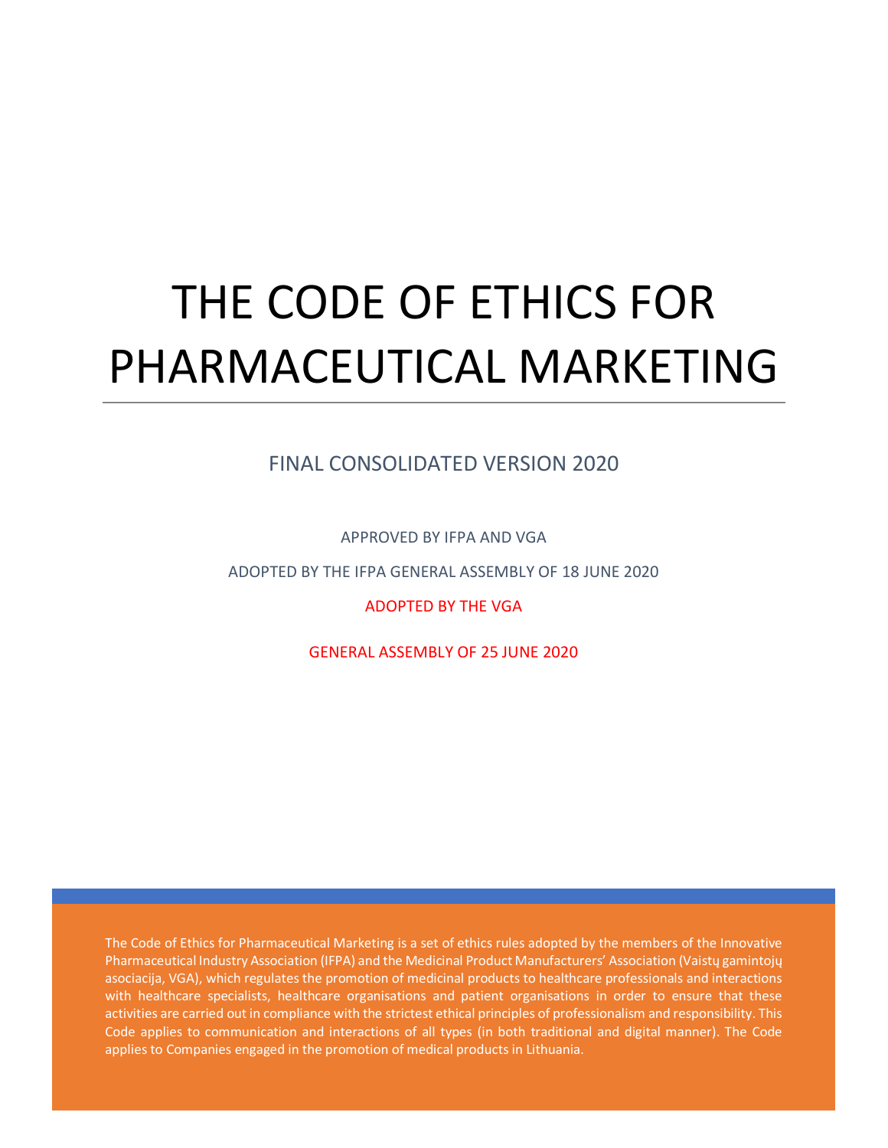# THE CODE OF ETHICS FOR PHARMACEUTICAL MARKETING

FINAL CONSOLIDATED VERSION 2020

APPROVED BY IFPA AND VGA

ADOPTED BY THE IFPA GENERAL ASSEMBLY OF 18 JUNE 2020

ADOPTED BY THE VGA

GENERAL ASSEMBLY OF 25 JUNE 2020

The Code of Ethics for Pharmaceutical Marketing is a set of ethics rules adopted by the members of the Innovative Pharmaceutical Industry Association (IFPA) and the Medicinal Product Manufacturers' Association (Vaistų gamintojų asociacija, VGA), which regulates the promotion of medicinal products to healthcare professionals and interactions with healthcare specialists, healthcare organisations and patient organisations in order to ensure that these activities are carried out in compliance with the strictest ethical principles of professionalism and responsibility. This Code applies to communication and interactions of all types (in both traditional and digital manner). The Code applies to Companies engaged in the promotion of medical products in Lithuania.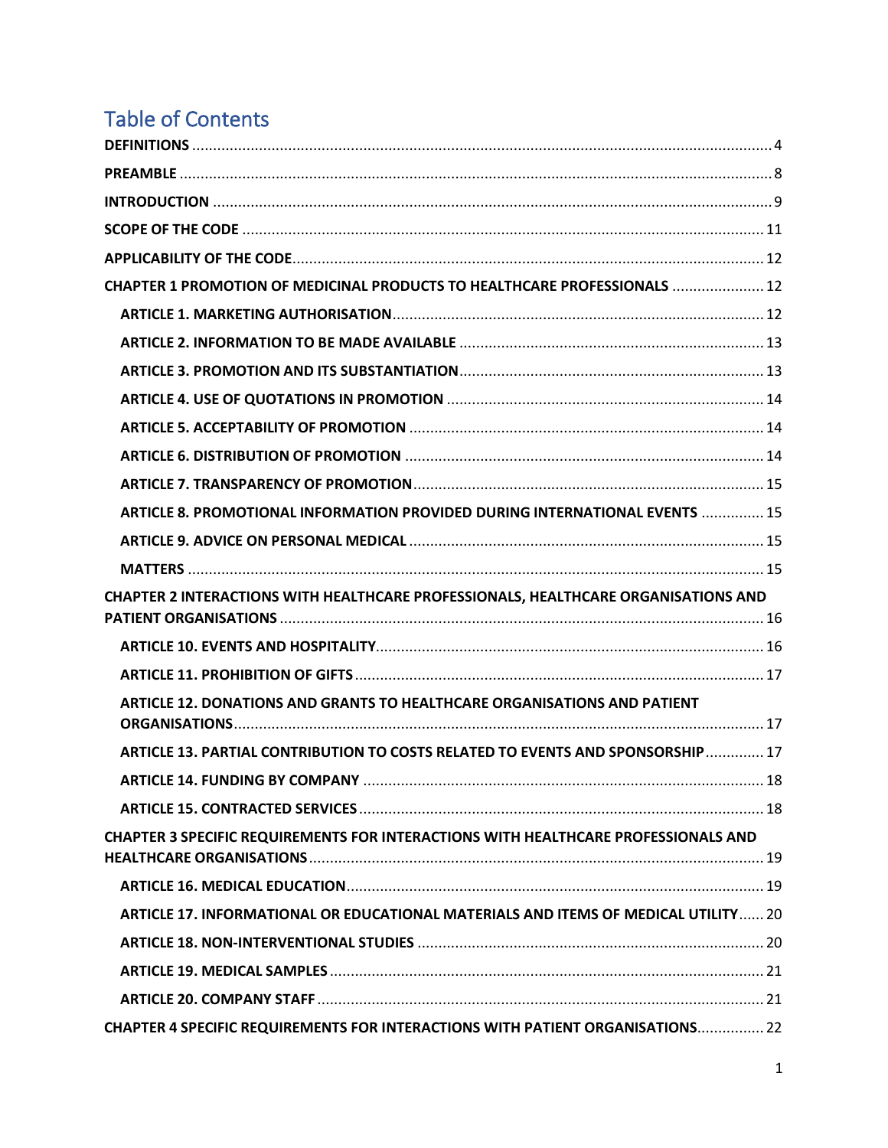# Table of Contents

| CHAPTER 1 PROMOTION OF MEDICINAL PRODUCTS TO HEALTHCARE PROFESSIONALS  12                 |
|-------------------------------------------------------------------------------------------|
|                                                                                           |
|                                                                                           |
|                                                                                           |
|                                                                                           |
|                                                                                           |
|                                                                                           |
|                                                                                           |
| ARTICLE 8. PROMOTIONAL INFORMATION PROVIDED DURING INTERNATIONAL EVENTS  15               |
|                                                                                           |
|                                                                                           |
|                                                                                           |
| <b>CHAPTER 2 INTERACTIONS WITH HEALTHCARE PROFESSIONALS, HEALTHCARE ORGANISATIONS AND</b> |
|                                                                                           |
|                                                                                           |
| ARTICLE 12. DONATIONS AND GRANTS TO HEALTHCARE ORGANISATIONS AND PATIENT                  |
|                                                                                           |
| ARTICLE 13. PARTIAL CONTRIBUTION TO COSTS RELATED TO EVENTS AND SPONSORSHIP  17           |
|                                                                                           |
|                                                                                           |
| <b>CHAPTER 3 SPECIFIC REQUIREMENTS FOR INTERACTIONS WITH HEALTHCARE PROFESSIONALS AND</b> |
|                                                                                           |
| ARTICLE 17. INFORMATIONAL OR EDUCATIONAL MATERIALS AND ITEMS OF MEDICAL UTILITY 20        |
|                                                                                           |
|                                                                                           |
|                                                                                           |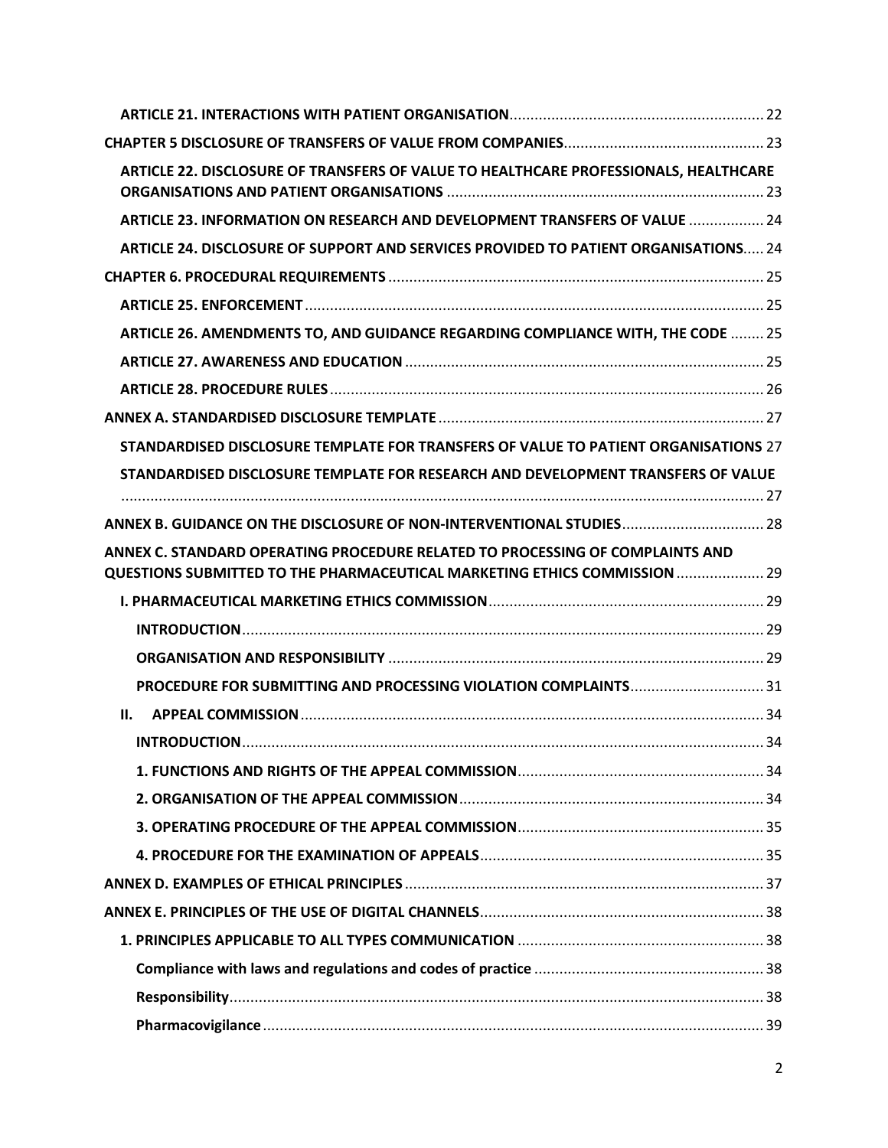| ARTICLE 22. DISCLOSURE OF TRANSFERS OF VALUE TO HEALTHCARE PROFESSIONALS, HEALTHCARE |  |
|--------------------------------------------------------------------------------------|--|
| ARTICLE 23. INFORMATION ON RESEARCH AND DEVELOPMENT TRANSFERS OF VALUE  24           |  |
| ARTICLE 24. DISCLOSURE OF SUPPORT AND SERVICES PROVIDED TO PATIENT ORGANISATIONS 24  |  |
|                                                                                      |  |
|                                                                                      |  |
| ARTICLE 26. AMENDMENTS TO, AND GUIDANCE REGARDING COMPLIANCE WITH, THE CODE  25      |  |
|                                                                                      |  |
|                                                                                      |  |
|                                                                                      |  |
| STANDARDISED DISCLOSURE TEMPLATE FOR TRANSFERS OF VALUE TO PATIENT ORGANISATIONS 27  |  |
| STANDARDISED DISCLOSURE TEMPLATE FOR RESEARCH AND DEVELOPMENT TRANSFERS OF VALUE     |  |
|                                                                                      |  |
| ANNEX B. GUIDANCE ON THE DISCLOSURE OF NON-INTERVENTIONAL STUDIES 28                 |  |
| ANNEX C. STANDARD OPERATING PROCEDURE RELATED TO PROCESSING OF COMPLAINTS AND        |  |
| QUESTIONS SUBMITTED TO THE PHARMACEUTICAL MARKETING ETHICS COMMISSION  29            |  |
|                                                                                      |  |
|                                                                                      |  |
|                                                                                      |  |
|                                                                                      |  |
| Ш.                                                                                   |  |
|                                                                                      |  |
|                                                                                      |  |
|                                                                                      |  |
|                                                                                      |  |
|                                                                                      |  |
|                                                                                      |  |
|                                                                                      |  |
|                                                                                      |  |
|                                                                                      |  |
|                                                                                      |  |
|                                                                                      |  |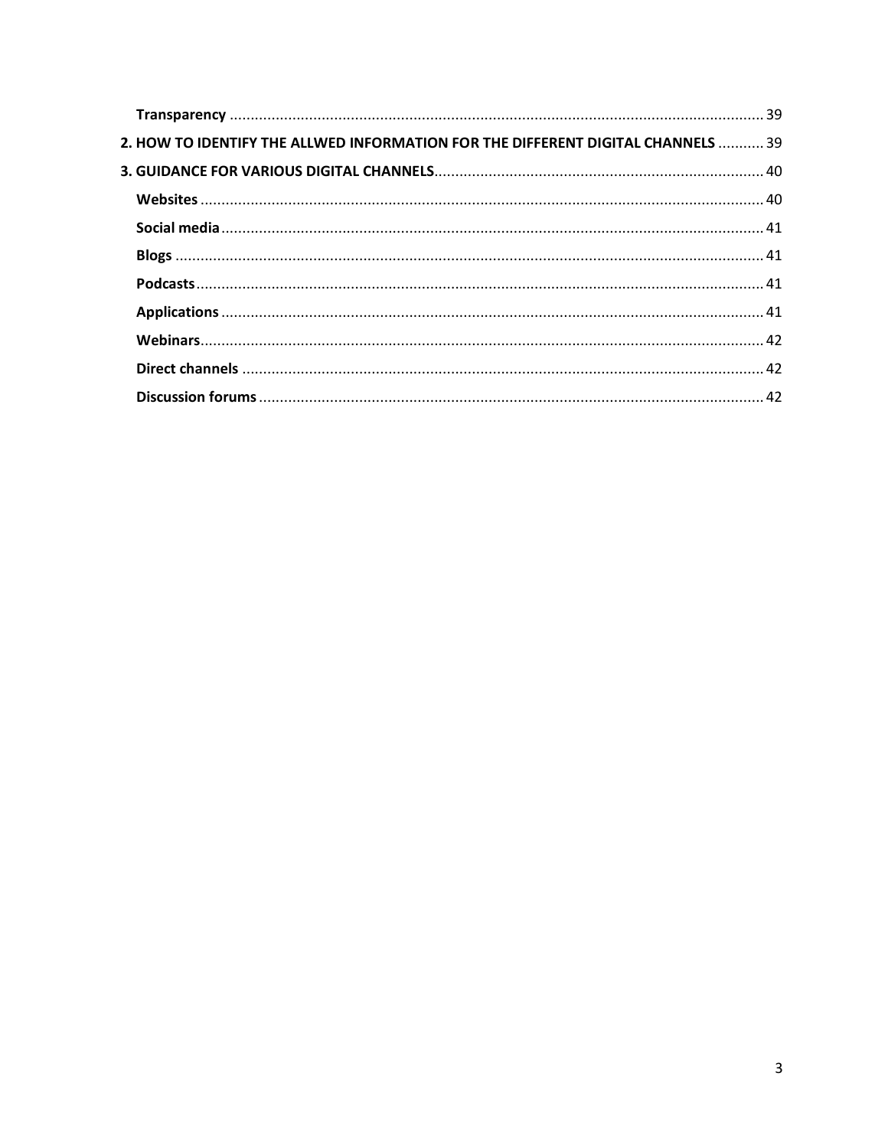| 2. HOW TO IDENTIFY THE ALLWED INFORMATION FOR THE DIFFERENT DIGITAL CHANNELS  39 |  |
|----------------------------------------------------------------------------------|--|
|                                                                                  |  |
|                                                                                  |  |
|                                                                                  |  |
|                                                                                  |  |
|                                                                                  |  |
|                                                                                  |  |
|                                                                                  |  |
|                                                                                  |  |
|                                                                                  |  |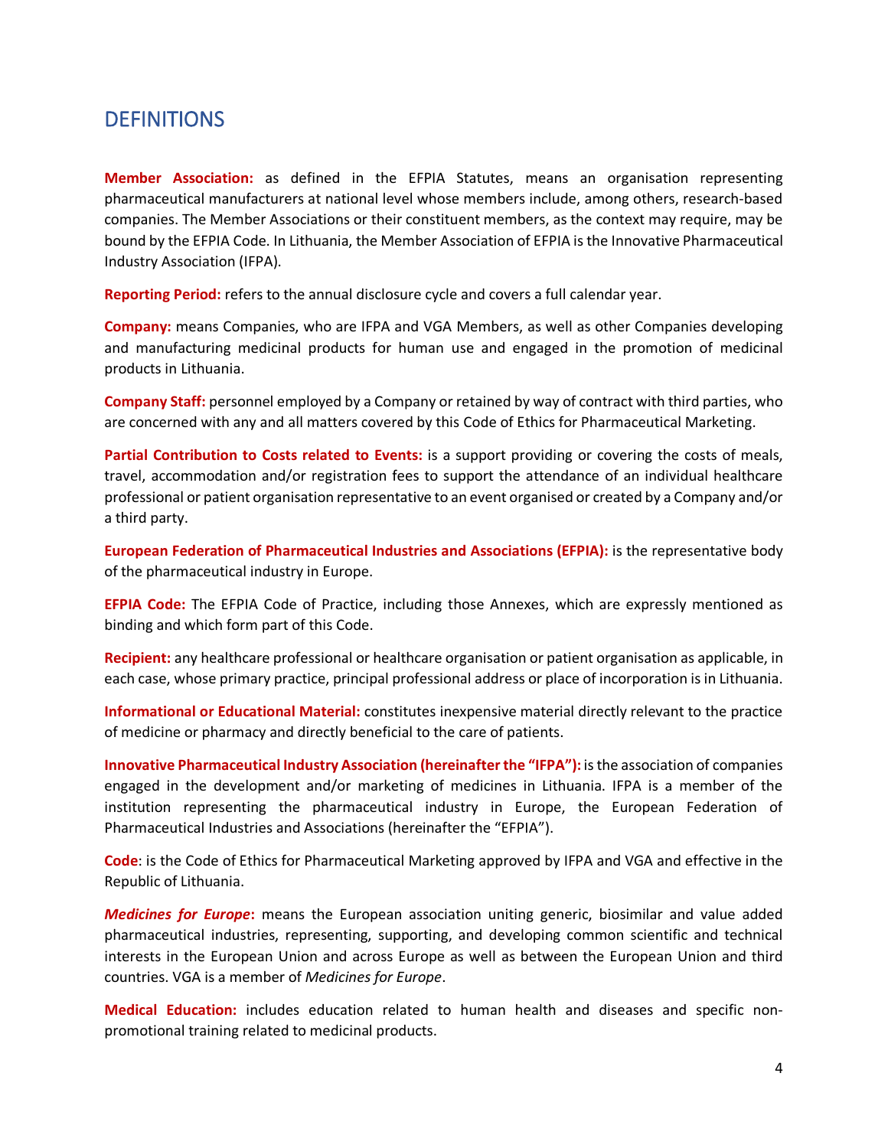# <span id="page-4-0"></span>**DEFINITIONS**

**Member Association:** as defined in the EFPIA Statutes, means an organisation representing pharmaceutical manufacturers at national level whose members include, among others, research-based companies. The Member Associations or their constituent members, as the context may require, may be bound by the EFPIA Code. In Lithuania, the Member Association of EFPIA is the Innovative Pharmaceutical Industry Association (IFPA).

**Reporting Period:** refers to the annual disclosure cycle and covers a full calendar year.

**Company:** means Companies, who are IFPA and VGA Members, as well as other Companies developing and manufacturing medicinal products for human use and engaged in the promotion of medicinal products in Lithuania.

**Company Staff:** personnel employed by a Company or retained by way of contract with third parties, who are concerned with any and all matters covered by this Code of Ethics for Pharmaceutical Marketing.

**Partial Contribution to Costs related to Events:** is a support providing or covering the costs of meals, travel, accommodation and/or registration fees to support the attendance of an individual healthcare professional or patient organisation representative to an event organised or created by a Company and/or a third party.

**European Federation of Pharmaceutical Industries and Associations (EFPIA):** is the representative body of the pharmaceutical industry in Europe.

**EFPIA Code:** The EFPIA Code of Practice, including those Annexes, which are expressly mentioned as binding and which form part of this Code.

**Recipient:** any healthcare professional or healthcare organisation or patient organisation as applicable, in each case, whose primary practice, principal professional address or place of incorporation is in Lithuania.

**Informational or Educational Material:** constitutes inexpensive material directly relevant to the practice of medicine or pharmacy and directly beneficial to the care of patients.

**Innovative Pharmaceutical Industry Association (hereinafter the "IFPA"):** is the association of companies engaged in the development and/or marketing of medicines in Lithuania. IFPA is a member of the institution representing the pharmaceutical industry in Europe, the European Federation of Pharmaceutical Industries and Associations (hereinafter the "EFPIA").

**Code**: is the Code of Ethics for Pharmaceutical Marketing approved by IFPA and VGA and effective in the Republic of Lithuania.

*Medicines for Europe***:** means the European association uniting generic, biosimilar and value added pharmaceutical industries, representing, supporting, and developing common scientific and technical interests in the European Union and across Europe as well as between the European Union and third countries. VGA is a member of *Medicines for Europe*.

**Medical Education:** includes education related to human health and diseases and specific nonpromotional training related to medicinal products.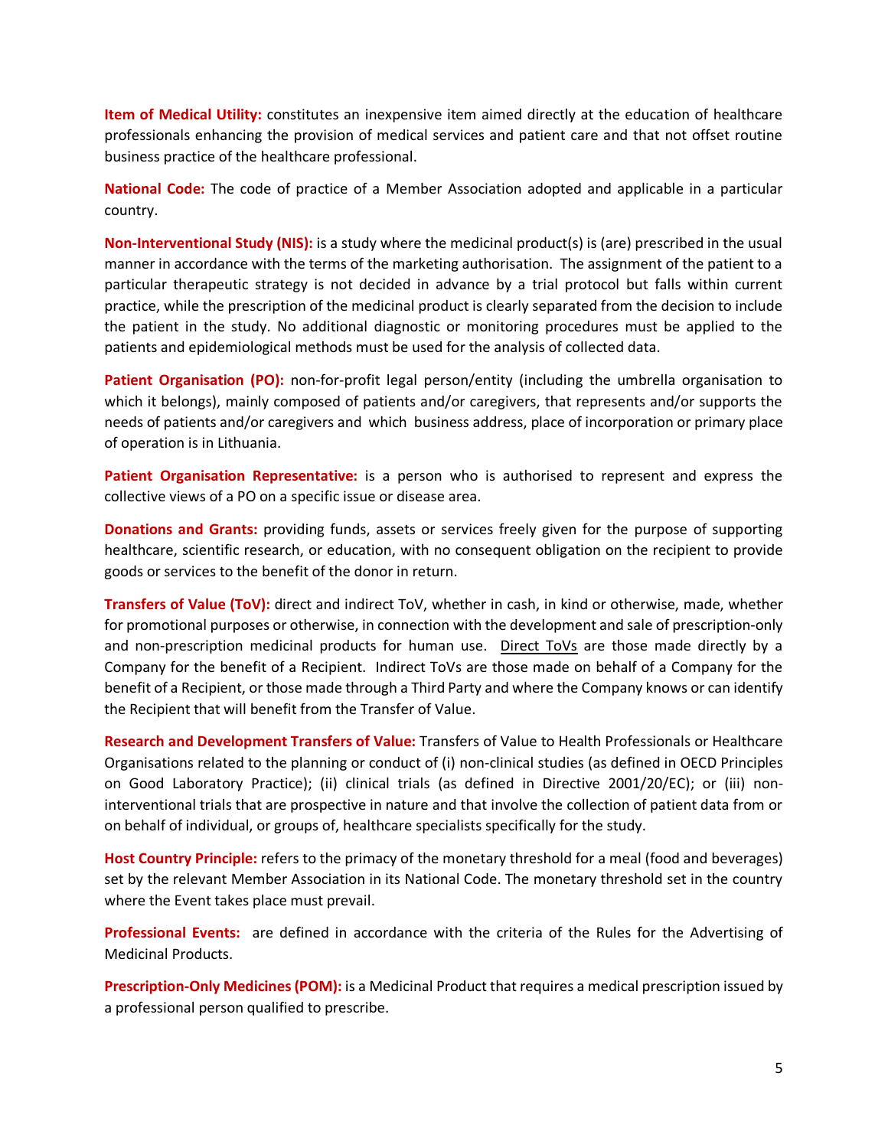**Item of Medical Utility:** constitutes an inexpensive item aimed directly at the education of healthcare professionals enhancing the provision of medical services and patient care and that not offset routine business practice of the healthcare professional.

**National Code:** The code of practice of a Member Association adopted and applicable in a particular country.

**Non-Interventional Study (NIS):** is a study where the medicinal product(s) is (are) prescribed in the usual manner in accordance with the terms of the marketing authorisation. The assignment of the patient to a particular therapeutic strategy is not decided in advance by a trial protocol but falls within current practice, while the prescription of the medicinal product is clearly separated from the decision to include the patient in the study. No additional diagnostic or monitoring procedures must be applied to the patients and epidemiological methods must be used for the analysis of collected data.

**Patient Organisation (PO):** non-for-profit legal person/entity (including the umbrella organisation to which it belongs), mainly composed of patients and/or caregivers, that represents and/or supports the needs of patients and/or caregivers and which business address, place of incorporation or primary place of operation is in Lithuania.

**Patient Organisation Representative:** is a person who is authorised to represent and express the collective views of a PO on a specific issue or disease area.

**Donations and Grants:** providing funds, assets or services freely given for the purpose of supporting healthcare, scientific research, or education, with no consequent obligation on the recipient to provide goods or services to the benefit of the donor in return.

**Transfers of Value (ToV):** direct and indirect ToV, whether in cash, in kind or otherwise, made, whether for promotional purposes or otherwise, in connection with the development and sale of prescription-only and non-prescription medicinal products for human use. Direct ToVs are those made directly by a Company for the benefit of a Recipient. Indirect ToVs are those made on behalf of a Company for the benefit of a Recipient, or those made through a Third Party and where the Company knows or can identify the Recipient that will benefit from the Transfer of Value.

**Research and Development Transfers of Value:** Transfers of Value to Health Professionals or Healthcare Organisations related to the planning or conduct of (i) non-clinical studies (as defined in OECD Principles on Good Laboratory Practice); (ii) clinical trials (as defined in Directive 2001/20/EC); or (iii) noninterventional trials that are prospective in nature and that involve the collection of patient data from or on behalf of individual, or groups of, healthcare specialists specifically for the study.

**Host Country Principle:** refers to the primacy of the monetary threshold for a meal (food and beverages) set by the relevant Member Association in its National Code. The monetary threshold set in the country where the Event takes place must prevail.

**Professional Events:** are defined in accordance with the criteria of the Rules for the Advertising of Medicinal Products.

**Prescription-Only Medicines (POM):** is a Medicinal Product that requires a medical prescription issued by a professional person qualified to prescribe.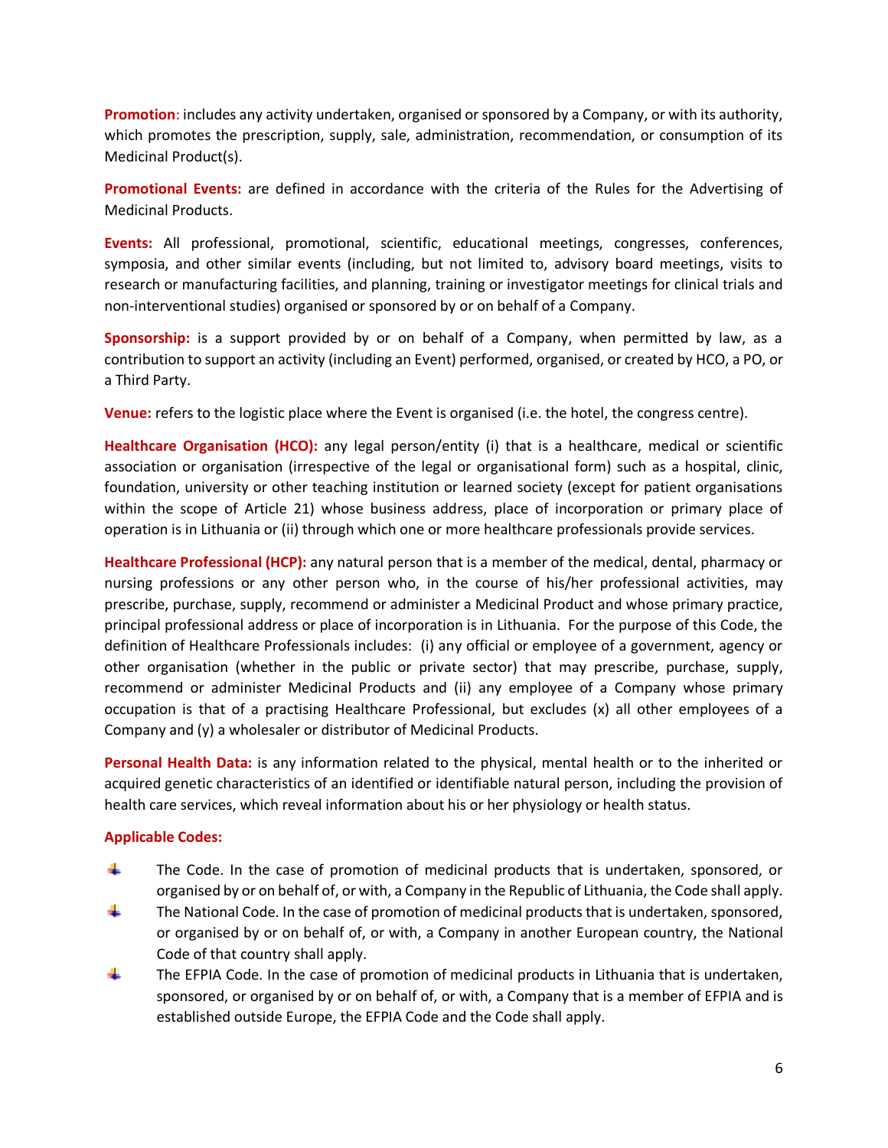**Promotion**: includes any activity undertaken, organised or sponsored by a Company, or with its authority, which promotes the prescription, supply, sale, administration, recommendation, or consumption of its Medicinal Product(s).

**Promotional Events:** are defined in accordance with the criteria of the Rules for the Advertising of Medicinal Products.

**Events:** All professional, promotional, scientific, educational meetings, congresses, conferences, symposia, and other similar events (including, but not limited to, advisory board meetings, visits to research or manufacturing facilities, and planning, training or investigator meetings for clinical trials and non-interventional studies) organised or sponsored by or on behalf of a Company.

**Sponsorship:** is a support provided by or on behalf of a Company, when permitted by law, as a contribution to support an activity (including an Event) performed, organised, or created by HCO, a PO, or a Third Party.

**Venue:** refers to the logistic place where the Event is organised (i.e. the hotel, the congress centre).

**Healthcare Organisation (HCO):** any legal person/entity (i) that is a healthcare, medical or scientific association or organisation (irrespective of the legal or organisational form) such as a hospital, clinic, foundation, university or other teaching institution or learned society (except for patient organisations within the scope of Article 21) whose business address, place of incorporation or primary place of operation is in Lithuania or (ii) through which one or more healthcare professionals provide services.

**Healthcare Professional (HCP):** any natural person that is a member of the medical, dental, pharmacy or nursing professions or any other person who, in the course of his/her professional activities, may prescribe, purchase, supply, recommend or administer a Medicinal Product and whose primary practice, principal professional address or place of incorporation is in Lithuania. For the purpose of this Code, the definition of Healthcare Professionals includes: (i) any official or employee of a government, agency or other organisation (whether in the public or private sector) that may prescribe, purchase, supply, recommend or administer Medicinal Products and (ii) any employee of a Company whose primary occupation is that of a practising Healthcare Professional, but excludes (x) all other employees of a Company and (y) a wholesaler or distributor of Medicinal Products.

**Personal Health Data:** is any information related to the physical, mental health or to the inherited or acquired genetic characteristics of an identified or identifiable natural person, including the provision of health care services, which reveal information about his or her physiology or health status.

#### **Applicable Codes:**

- -4 The Code. In the case of promotion of medicinal products that is undertaken, sponsored, or organised by or on behalf of, or with, a Company in the Republic of Lithuania, the Code shall apply.
- 44 The National Code. In the case of promotion of medicinal products that is undertaken, sponsored, or organised by or on behalf of, or with, a Company in another European country, the National Code of that country shall apply.
- a. The EFPIA Code. In the case of promotion of medicinal products in Lithuania that is undertaken, sponsored, or organised by or on behalf of, or with, a Company that is a member of EFPIA and is established outside Europe, the EFPIA Code and the Code shall apply.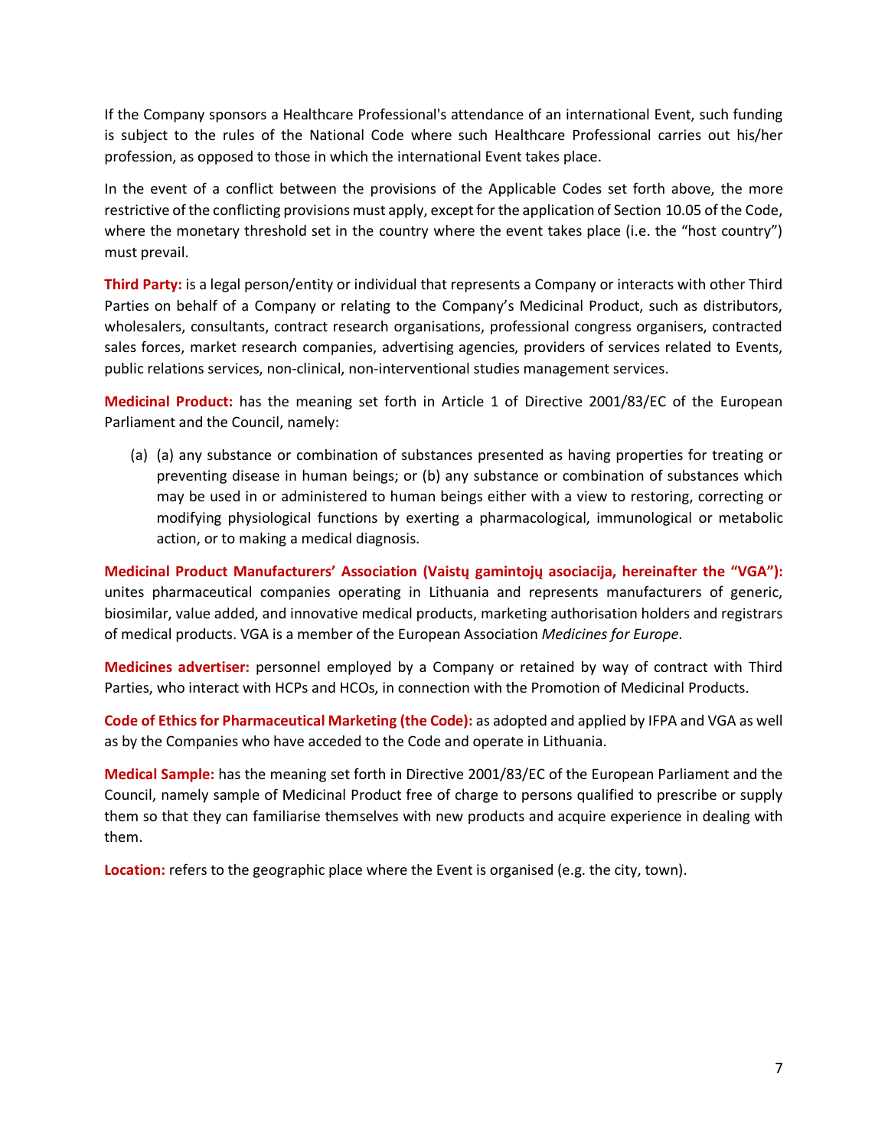If the Company sponsors a Healthcare Professional's attendance of an international Event, such funding is subject to the rules of the National Code where such Healthcare Professional carries out his/her profession, as opposed to those in which the international Event takes place.

In the event of a conflict between the provisions of the Applicable Codes set forth above, the more restrictive of the conflicting provisions must apply, except for the application of Section 10.05 of the Code, where the monetary threshold set in the country where the event takes place (i.e. the "host country") must prevail.

**Third Party:** is a legal person/entity or individual that represents a Company or interacts with other Third Parties on behalf of a Company or relating to the Company's Medicinal Product, such as distributors, wholesalers, consultants, contract research organisations, professional congress organisers, contracted sales forces, market research companies, advertising agencies, providers of services related to Events, public relations services, non-clinical, non-interventional studies management services.

**Medicinal Product:** has the meaning set forth in Article 1 of Directive 2001/83/EC of the European Parliament and the Council, namely:

(a) (a) any substance or combination of substances presented as having properties for treating or preventing disease in human beings; or (b) any substance or combination of substances which may be used in or administered to human beings either with a view to restoring, correcting or modifying physiological functions by exerting a pharmacological, immunological or metabolic action, or to making a medical diagnosis.

**Medicinal Product Manufacturers' Association (Vaistų gamintojų asociacija, hereinafter the "VGA"):** unites pharmaceutical companies operating in Lithuania and represents manufacturers of generic, biosimilar, value added, and innovative medical products, marketing authorisation holders and registrars of medical products. VGA is a member of the European Association *Medicines for Europe*.

**Medicines advertiser:** personnel employed by a Company or retained by way of contract with Third Parties, who interact with HCPs and HCOs, in connection with the Promotion of Medicinal Products.

**Code of Ethics for Pharmaceutical Marketing (the Code):** as adopted and applied by IFPA and VGA as well as by the Companies who have acceded to the Code and operate in Lithuania.

**Medical Sample:** has the meaning set forth in Directive 2001/83/EC of the European Parliament and the Council, namely sample of Medicinal Product free of charge to persons qualified to prescribe or supply them so that they can familiarise themselves with new products and acquire experience in dealing with them.

**Location:** refers to the geographic place where the Event is organised (e.g. the city, town).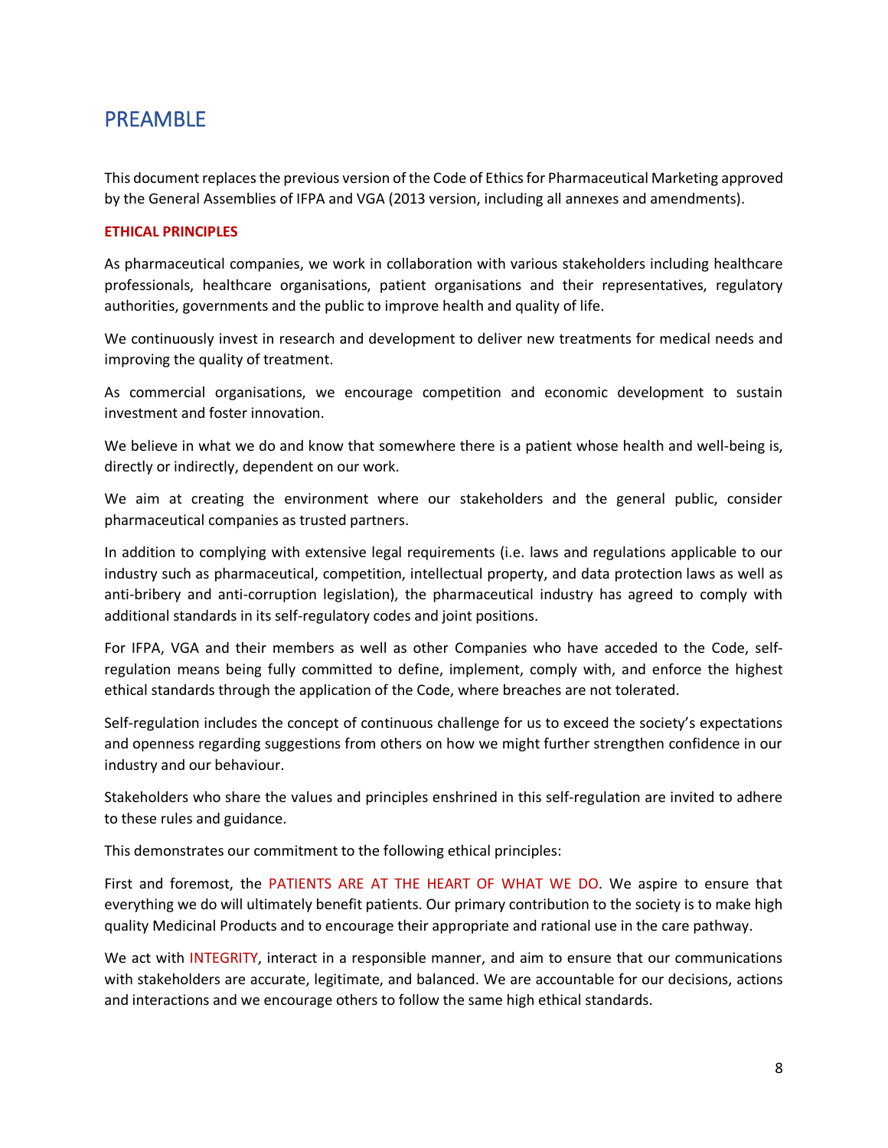# <span id="page-8-0"></span>PREAMBLE

This document replaces the previous version of the Code of Ethics for Pharmaceutical Marketing approved by the General Assemblies of IFPA and VGA (2013 version, including all annexes and amendments).

#### **ETHICAL PRINCIPLES**

As pharmaceutical companies, we work in collaboration with various stakeholders including healthcare professionals, healthcare organisations, patient organisations and their representatives, regulatory authorities, governments and the public to improve health and quality of life.

We continuously invest in research and development to deliver new treatments for medical needs and improving the quality of treatment.

As commercial organisations, we encourage competition and economic development to sustain investment and foster innovation.

We believe in what we do and know that somewhere there is a patient whose health and well-being is, directly or indirectly, dependent on our work.

We aim at creating the environment where our stakeholders and the general public, consider pharmaceutical companies as trusted partners.

In addition to complying with extensive legal requirements (i.e. laws and regulations applicable to our industry such as pharmaceutical, competition, intellectual property, and data protection laws as well as anti-bribery and anti-corruption legislation), the pharmaceutical industry has agreed to comply with additional standards in its self-regulatory codes and joint positions.

For IFPA, VGA and their members as well as other Companies who have acceded to the Code, selfregulation means being fully committed to define, implement, comply with, and enforce the highest ethical standards through the application of the Code, where breaches are not tolerated.

Self-regulation includes the concept of continuous challenge for us to exceed the society's expectations and openness regarding suggestions from others on how we might further strengthen confidence in our industry and our behaviour.

Stakeholders who share the values and principles enshrined in this self-regulation are invited to adhere to these rules and guidance.

This demonstrates our commitment to the following ethical principles:

First and foremost, the PATIENTS ARE AT THE HEART OF WHAT WE DO. We aspire to ensure that everything we do will ultimately benefit patients. Our primary contribution to the society is to make high quality Medicinal Products and to encourage their appropriate and rational use in the care pathway.

We act with INTEGRITY, interact in a responsible manner, and aim to ensure that our communications with stakeholders are accurate, legitimate, and balanced. We are accountable for our decisions, actions and interactions and we encourage others to follow the same high ethical standards.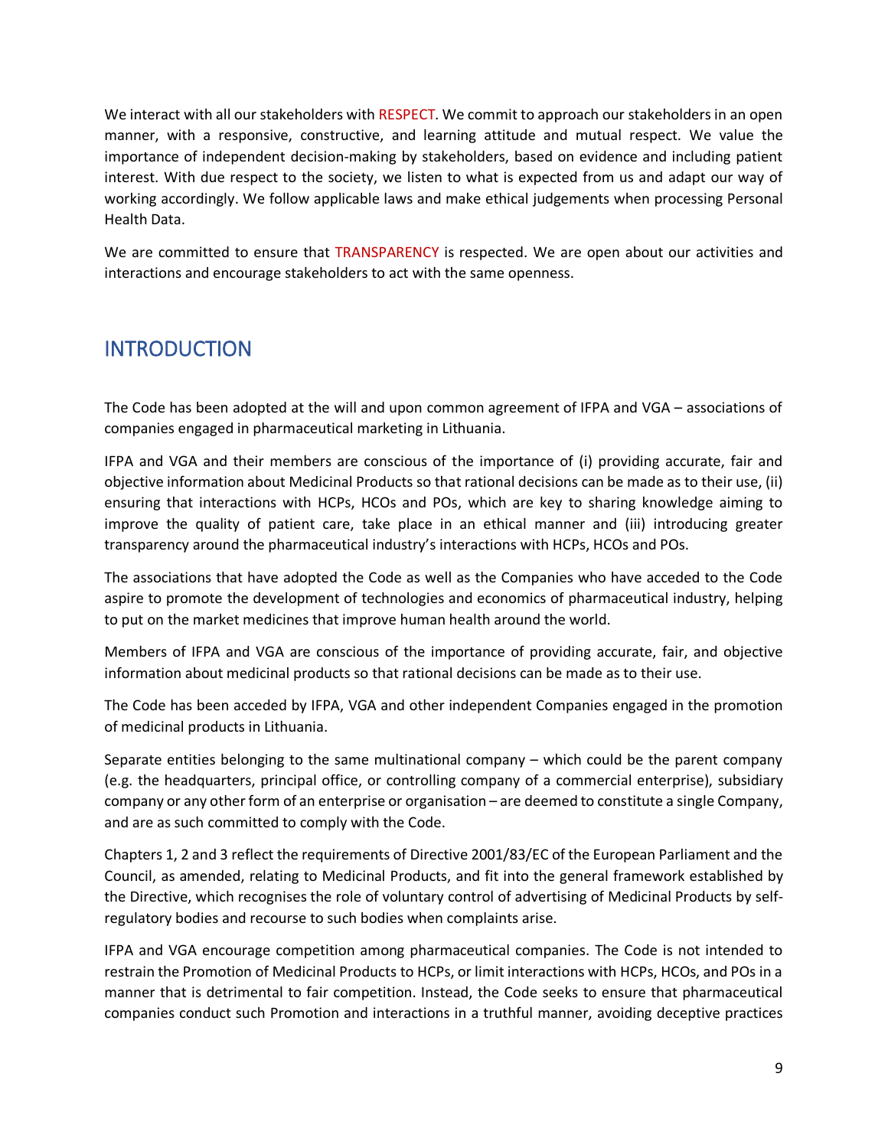We interact with all our stakeholders with RESPECT. We commit to approach our stakeholders in an open manner, with a responsive, constructive, and learning attitude and mutual respect. We value the importance of independent decision-making by stakeholders, based on evidence and including patient interest. With due respect to the society, we listen to what is expected from us and adapt our way of working accordingly. We follow applicable laws and make ethical judgements when processing Personal Health Data.

We are committed to ensure that TRANSPARENCY is respected. We are open about our activities and interactions and encourage stakeholders to act with the same openness.

# <span id="page-9-0"></span>**INTRODUCTION**

The Code has been adopted at the will and upon common agreement of IFPA and VGA – associations of companies engaged in pharmaceutical marketing in Lithuania.

IFPA and VGA and their members are conscious of the importance of (i) providing accurate, fair and objective information about Medicinal Products so that rational decisions can be made as to their use, (ii) ensuring that interactions with HCPs, HCOs and POs, which are key to sharing knowledge aiming to improve the quality of patient care, take place in an ethical manner and (iii) introducing greater transparency around the pharmaceutical industry's interactions with HCPs, HCOs and POs.

The associations that have adopted the Code as well as the Companies who have acceded to the Code aspire to promote the development of technologies and economics of pharmaceutical industry, helping to put on the market medicines that improve human health around the world.

Members of IFPA and VGA are conscious of the importance of providing accurate, fair, and objective information about medicinal products so that rational decisions can be made as to their use.

The Code has been acceded by IFPA, VGA and other independent Companies engaged in the promotion of medicinal products in Lithuania.

Separate entities belonging to the same multinational company – which could be the parent company (e.g. the headquarters, principal office, or controlling company of a commercial enterprise), subsidiary company or any other form of an enterprise or organisation – are deemed to constitute a single Company, and are as such committed to comply with the Code.

Chapters 1, 2 and 3 reflect the requirements of Directive 2001/83/EC of the European Parliament and the Council, as amended, relating to Medicinal Products, and fit into the general framework established by the Directive, which recognises the role of voluntary control of advertising of Medicinal Products by selfregulatory bodies and recourse to such bodies when complaints arise.

IFPA and VGA encourage competition among pharmaceutical companies. The Code is not intended to restrain the Promotion of Medicinal Products to HCPs, or limit interactions with HCPs, HCOs, and POs in a manner that is detrimental to fair competition. Instead, the Code seeks to ensure that pharmaceutical companies conduct such Promotion and interactions in a truthful manner, avoiding deceptive practices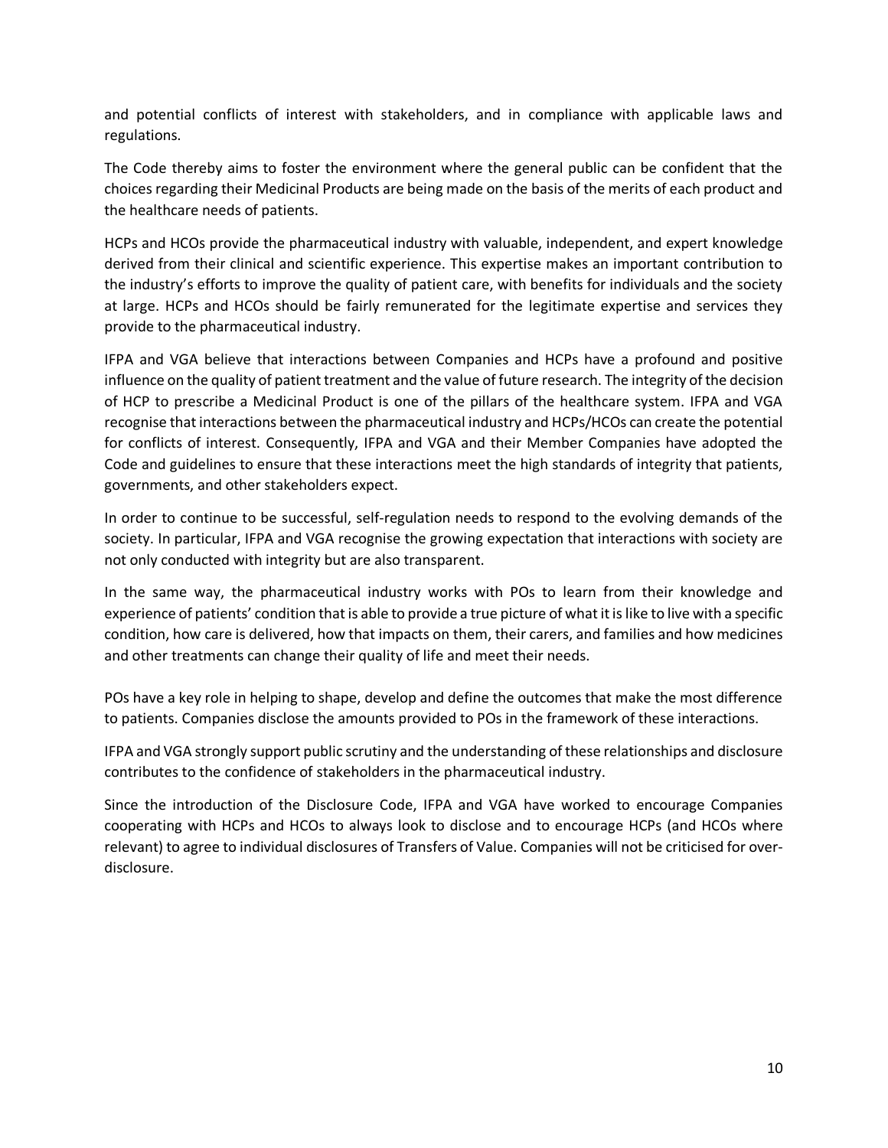and potential conflicts of interest with stakeholders, and in compliance with applicable laws and regulations.

The Code thereby aims to foster the environment where the general public can be confident that the choices regarding their Medicinal Products are being made on the basis of the merits of each product and the healthcare needs of patients.

HCPs and HCOs provide the pharmaceutical industry with valuable, independent, and expert knowledge derived from their clinical and scientific experience. This expertise makes an important contribution to the industry's efforts to improve the quality of patient care, with benefits for individuals and the society at large. HCPs and HCOs should be fairly remunerated for the legitimate expertise and services they provide to the pharmaceutical industry.

IFPA and VGA believe that interactions between Companies and HCPs have a profound and positive influence on the quality of patient treatment and the value of future research. The integrity of the decision of HCP to prescribe a Medicinal Product is one of the pillars of the healthcare system. IFPA and VGA recognise that interactions between the pharmaceutical industry and HCPs/HCOs can create the potential for conflicts of interest. Consequently, IFPA and VGA and their Member Companies have adopted the Code and guidelines to ensure that these interactions meet the high standards of integrity that patients, governments, and other stakeholders expect.

In order to continue to be successful, self-regulation needs to respond to the evolving demands of the society. In particular, IFPA and VGA recognise the growing expectation that interactions with society are not only conducted with integrity but are also transparent.

In the same way, the pharmaceutical industry works with POs to learn from their knowledge and experience of patients' condition that is able to provide a true picture of what it is like to live with a specific condition, how care is delivered, how that impacts on them, their carers, and families and how medicines and other treatments can change their quality of life and meet their needs.

POs have a key role in helping to shape, develop and define the outcomes that make the most difference to patients. Companies disclose the amounts provided to POs in the framework of these interactions.

IFPA and VGA strongly support public scrutiny and the understanding of these relationships and disclosure contributes to the confidence of stakeholders in the pharmaceutical industry.

Since the introduction of the Disclosure Code, IFPA and VGA have worked to encourage Companies cooperating with HCPs and HCOs to always look to disclose and to encourage HCPs (and HCOs where relevant) to agree to individual disclosures of Transfers of Value. Companies will not be criticised for overdisclosure.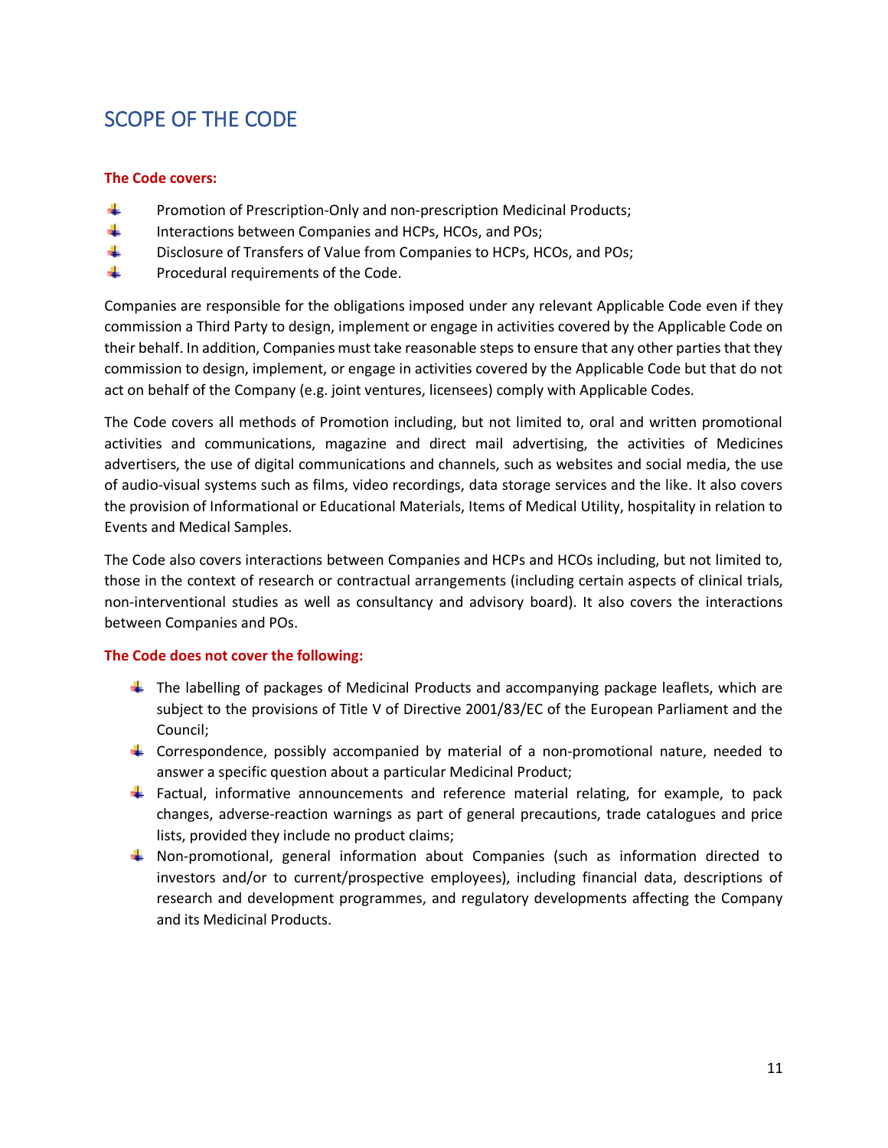# <span id="page-11-0"></span>SCOPE OF THE CODE

#### **The Code covers:**

- ÷ Promotion of Prescription-Only and non-prescription Medicinal Products;
- 4 Interactions between Companies and HCPs, HCOs, and POs;
- and the Disclosure of Transfers of Value from Companies to HCPs, HCOs, and POs;
- 4 Procedural requirements of the Code.

Companies are responsible for the obligations imposed under any relevant Applicable Code even if they commission a Third Party to design, implement or engage in activities covered by the Applicable Code on their behalf. In addition, Companies must take reasonable steps to ensure that any other parties that they commission to design, implement, or engage in activities covered by the Applicable Code but that do not act on behalf of the Company (e.g. joint ventures, licensees) comply with Applicable Codes.

The Code covers all methods of Promotion including, but not limited to, oral and written promotional activities and communications, magazine and direct mail advertising, the activities of Medicines advertisers, the use of digital communications and channels, such as websites and social media, the use of audio-visual systems such as films, video recordings, data storage services and the like. It also covers the provision of Informational or Educational Materials, Items of Medical Utility, hospitality in relation to Events and Medical Samples.

The Code also covers interactions between Companies and HCPs and HCOs including, but not limited to, those in the context of research or contractual arrangements (including certain aspects of clinical trials, non-interventional studies as well as consultancy and advisory board). It also covers the interactions between Companies and POs.

#### **The Code does not cover the following:**

- $\ddot{\phantom{1}}$  The labelling of packages of Medicinal Products and accompanying package leaflets, which are subject to the provisions of Title V of Directive 2001/83/EC of the European Parliament and the Council;
- $\ddot{\phantom{1}}$  Correspondence, possibly accompanied by material of a non-promotional nature, needed to answer a specific question about a particular Medicinal Product;
- $\ddot{+}$  Factual, informative announcements and reference material relating, for example, to pack changes, adverse-reaction warnings as part of general precautions, trade catalogues and price lists, provided they include no product claims;
- Non-promotional, general information about Companies (such as information directed to investors and/or to current/prospective employees), including financial data, descriptions of research and development programmes, and regulatory developments affecting the Company and its Medicinal Products.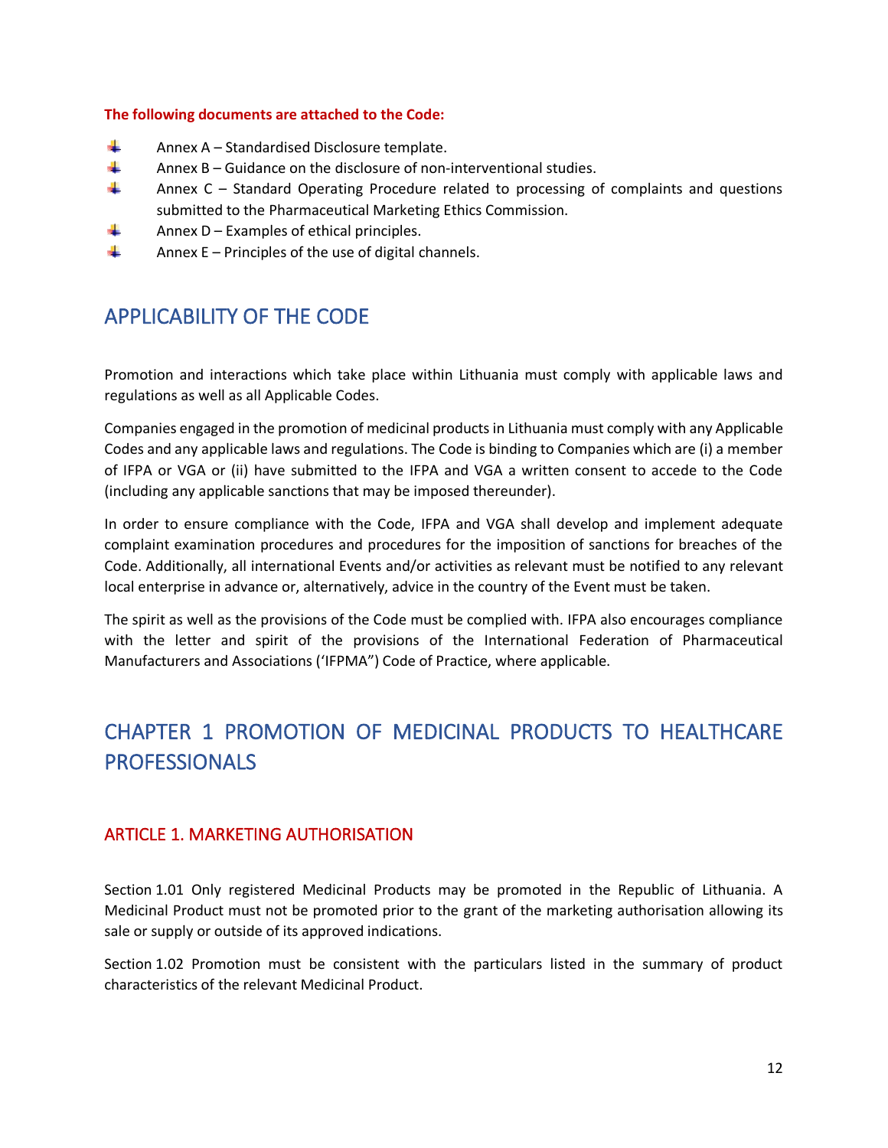#### **The following documents are attached to the Code:**

- d. Annex A – Standardised Disclosure template.
- 44 Annex B – Guidance on the disclosure of non-interventional studies.
- **Section** Annex C – Standard Operating Procedure related to processing of complaints and questions submitted to the Pharmaceutical Marketing Ethics Commission.
- 4 Annex D – Examples of ethical principles.
- all. Annex E – Principles of the use of digital channels.

# <span id="page-12-0"></span>APPLICABILITY OF THE CODE

Promotion and interactions which take place within Lithuania must comply with applicable laws and regulations as well as all Applicable Codes.

Companies engaged in the promotion of medicinal products in Lithuania must comply with any Applicable Codes and any applicable laws and regulations. The Code is binding to Companies which are (i) a member of IFPA or VGA or (ii) have submitted to the IFPA and VGA a written consent to accede to the Code (including any applicable sanctions that may be imposed thereunder).

In order to ensure compliance with the Code, IFPA and VGA shall develop and implement adequate complaint examination procedures and procedures for the imposition of sanctions for breaches of the Code. Additionally, all international Events and/or activities as relevant must be notified to any relevant local enterprise in advance or, alternatively, advice in the country of the Event must be taken.

The spirit as well as the provisions of the Code must be complied with. IFPA also encourages compliance with the letter and spirit of the provisions of the International Federation of Pharmaceutical Manufacturers and Associations ('IFPMA") Code of Practice, where applicable.

# <span id="page-12-1"></span>CHAPTER 1 PROMOTION OF MEDICINAL PRODUCTS TO HEALTHCARE PROFESSIONALS

### <span id="page-12-2"></span>ARTICLE 1. MARKETING AUTHORISATION

Section 1.01 Only registered Medicinal Products may be promoted in the Republic of Lithuania. A Medicinal Product must not be promoted prior to the grant of the marketing authorisation allowing its sale or supply or outside of its approved indications.

Section 1.02 Promotion must be consistent with the particulars listed in the summary of product characteristics of the relevant Medicinal Product.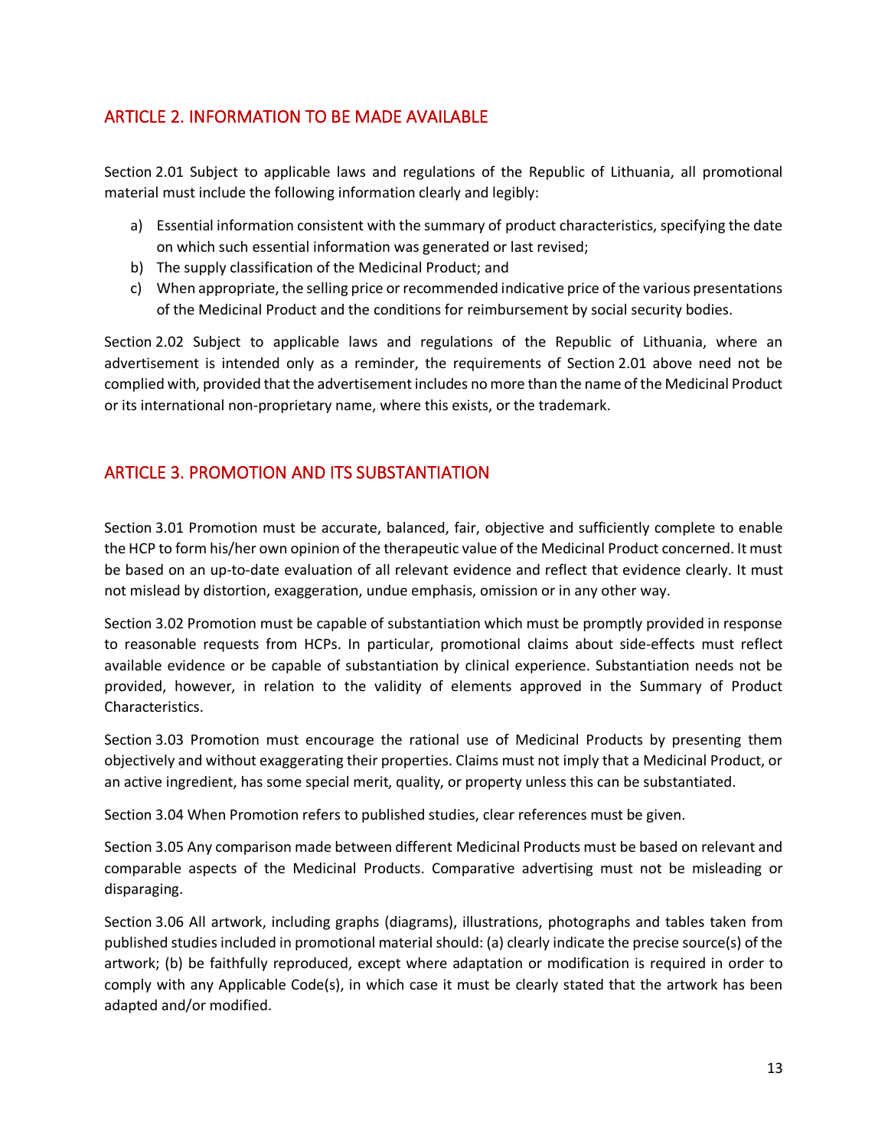# <span id="page-13-0"></span>ARTICLE 2. INFORMATION TO BE MADE AVAILABLE

Section 2.01 Subject to applicable laws and regulations of the Republic of Lithuania, all promotional material must include the following information clearly and legibly:

- a) Essential information consistent with the summary of product characteristics, specifying the date on which such essential information was generated or last revised;
- b) The supply classification of the Medicinal Product; and
- c) When appropriate, the selling price or recommended indicative price of the various presentations of the Medicinal Product and the conditions for reimbursement by social security bodies.

Section 2.02 Subject to applicable laws and regulations of the Republic of Lithuania, where an advertisement is intended only as a reminder, the requirements of Section 2.01 above need not be complied with, provided that the advertisement includes no more than the name of the Medicinal Product or its international non-proprietary name, where this exists, or the trademark.

# <span id="page-13-1"></span>ARTICLE 3. PROMOTION AND ITS SUBSTANTIATION

Section 3.01 Promotion must be accurate, balanced, fair, objective and sufficiently complete to enable the HCP to form his/her own opinion of the therapeutic value of the Medicinal Product concerned. It must be based on an up-to-date evaluation of all relevant evidence and reflect that evidence clearly. It must not mislead by distortion, exaggeration, undue emphasis, omission or in any other way.

Section 3.02 Promotion must be capable of substantiation which must be promptly provided in response to reasonable requests from HCPs. In particular, promotional claims about side-effects must reflect available evidence or be capable of substantiation by clinical experience. Substantiation needs not be provided, however, in relation to the validity of elements approved in the Summary of Product Characteristics.

Section 3.03 Promotion must encourage the rational use of Medicinal Products by presenting them objectively and without exaggerating their properties. Claims must not imply that a Medicinal Product, or an active ingredient, has some special merit, quality, or property unless this can be substantiated.

Section 3.04 When Promotion refers to published studies, clear references must be given.

Section 3.05 Any comparison made between different Medicinal Products must be based on relevant and comparable aspects of the Medicinal Products. Comparative advertising must not be misleading or disparaging.

Section 3.06 All artwork, including graphs (diagrams), illustrations, photographs and tables taken from published studies included in promotional material should: (a) clearly indicate the precise source(s) of the artwork; (b) be faithfully reproduced, except where adaptation or modification is required in order to comply with any Applicable Code(s), in which case it must be clearly stated that the artwork has been adapted and/or modified.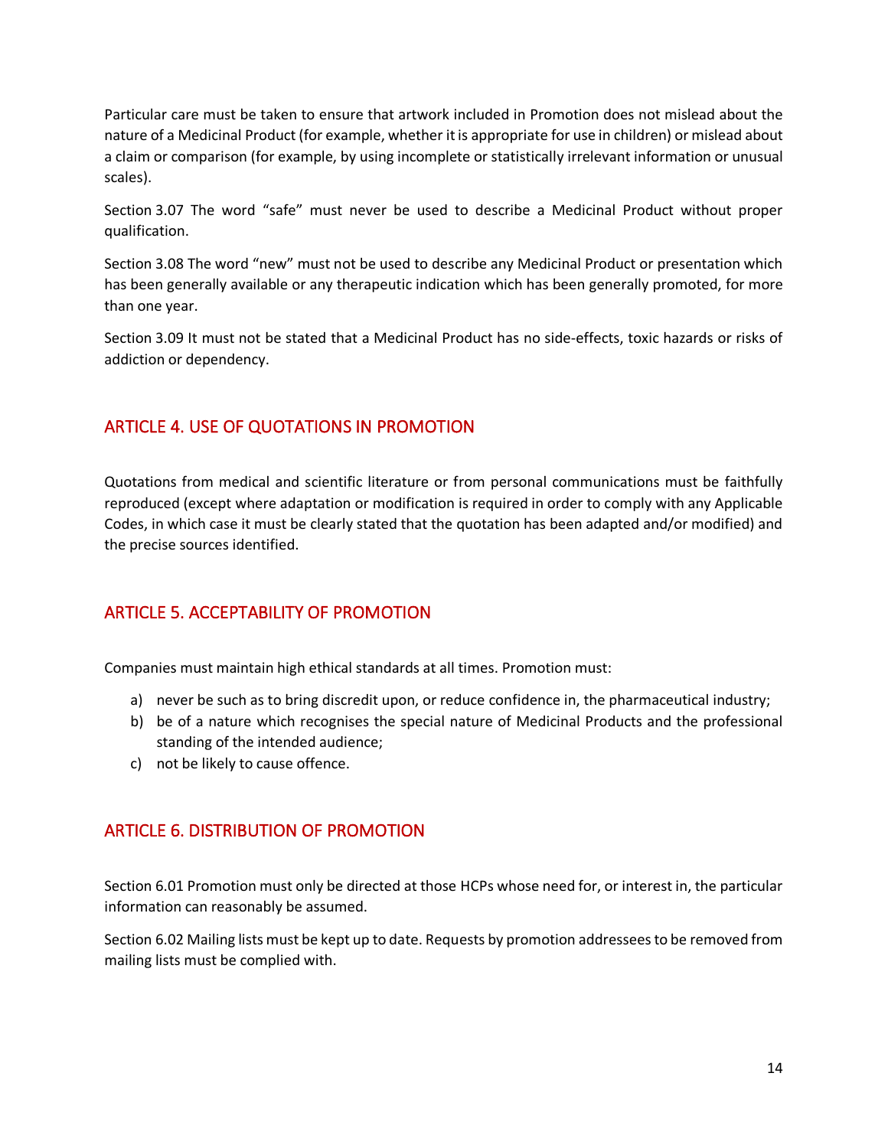Particular care must be taken to ensure that artwork included in Promotion does not mislead about the nature of a Medicinal Product (for example, whether it is appropriate for use in children) or mislead about a claim or comparison (for example, by using incomplete or statistically irrelevant information or unusual scales).

Section 3.07 The word "safe" must never be used to describe a Medicinal Product without proper qualification.

Section 3.08 The word "new" must not be used to describe any Medicinal Product or presentation which has been generally available or any therapeutic indication which has been generally promoted, for more than one year.

Section 3.09 It must not be stated that a Medicinal Product has no side-effects, toxic hazards or risks of addiction or dependency.

# <span id="page-14-0"></span>ARTICLE 4. USE OF QUOTATIONS IN PROMOTION

Quotations from medical and scientific literature or from personal communications must be faithfully reproduced (except where adaptation or modification is required in order to comply with any Applicable Codes, in which case it must be clearly stated that the quotation has been adapted and/or modified) and the precise sources identified.

# <span id="page-14-1"></span>ARTICLE 5. ACCEPTABILITY OF PROMOTION

Companies must maintain high ethical standards at all times. Promotion must:

- a) never be such as to bring discredit upon, or reduce confidence in, the pharmaceutical industry;
- b) be of a nature which recognises the special nature of Medicinal Products and the professional standing of the intended audience;
- c) not be likely to cause offence.

### <span id="page-14-2"></span>ARTICLE 6. DISTRIBUTION OF PROMOTION

Section 6.01 Promotion must only be directed at those HCPs whose need for, or interest in, the particular information can reasonably be assumed.

Section 6.02 Mailing lists must be kept up to date. Requests by promotion addressees to be removed from mailing lists must be complied with.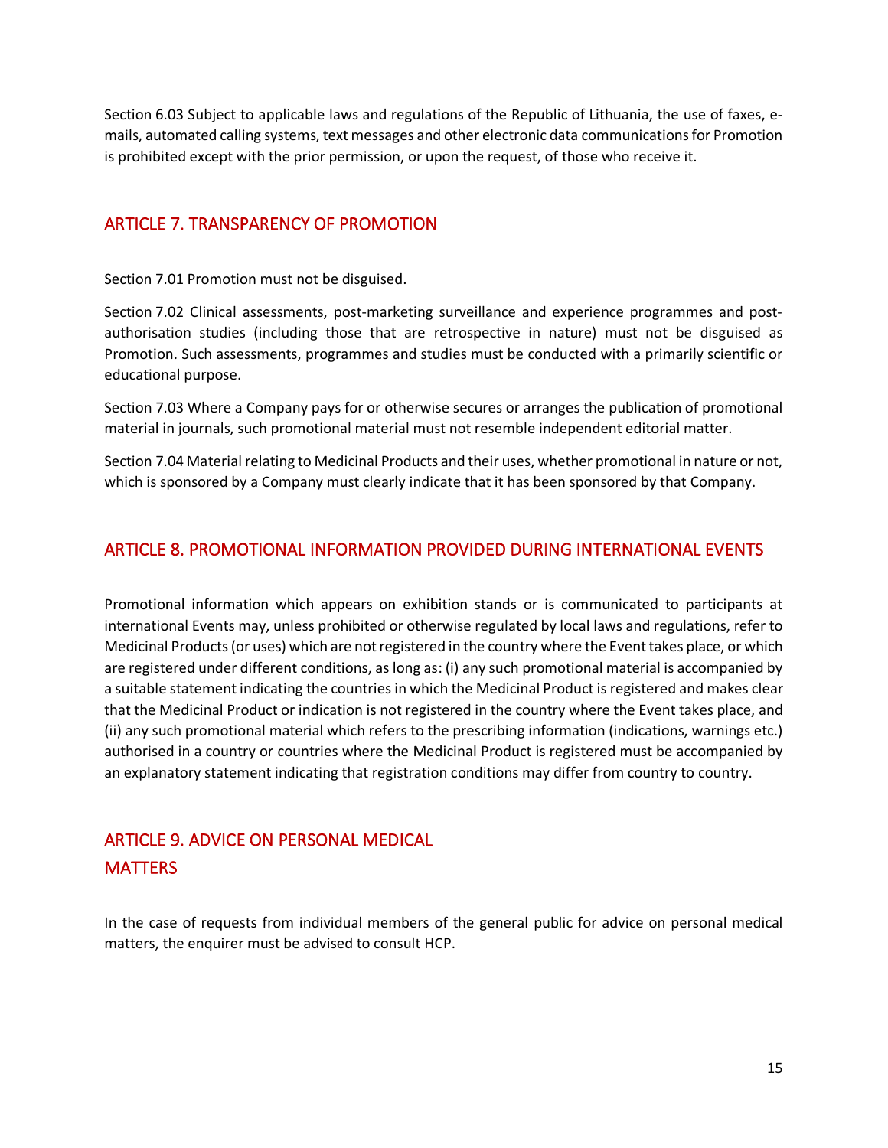Section 6.03 Subject to applicable laws and regulations of the Republic of Lithuania, the use of faxes, emails, automated calling systems, text messages and other electronic data communications for Promotion is prohibited except with the prior permission, or upon the request, of those who receive it.

### <span id="page-15-0"></span>ARTICLE 7. TRANSPARENCY OF PROMOTION

Section 7.01 Promotion must not be disguised.

Section 7.02 Clinical assessments, post-marketing surveillance and experience programmes and postauthorisation studies (including those that are retrospective in nature) must not be disguised as Promotion. Such assessments, programmes and studies must be conducted with a primarily scientific or educational purpose.

Section 7.03 Where a Company pays for or otherwise secures or arranges the publication of promotional material in journals, such promotional material must not resemble independent editorial matter.

Section 7.04 Material relating to Medicinal Products and their uses, whether promotional in nature or not, which is sponsored by a Company must clearly indicate that it has been sponsored by that Company.

### <span id="page-15-1"></span>ARTICLE 8. PROMOTIONAL INFORMATION PROVIDED DURING INTERNATIONAL EVENTS

Promotional information which appears on exhibition stands or is communicated to participants at international Events may, unless prohibited or otherwise regulated by local laws and regulations, refer to Medicinal Products (or uses) which are not registered in the country where the Event takes place, or which are registered under different conditions, as long as: (i) any such promotional material is accompanied by a suitable statement indicating the countries in which the Medicinal Product is registered and makes clear that the Medicinal Product or indication is not registered in the country where the Event takes place, and (ii) any such promotional material which refers to the prescribing information (indications, warnings etc.) authorised in a country or countries where the Medicinal Product is registered must be accompanied by an explanatory statement indicating that registration conditions may differ from country to country.

# <span id="page-15-3"></span><span id="page-15-2"></span>ARTICLE 9. ADVICE ON PERSONAL MEDICAL **MATTERS**

In the case of requests from individual members of the general public for advice on personal medical matters, the enquirer must be advised to consult HCP.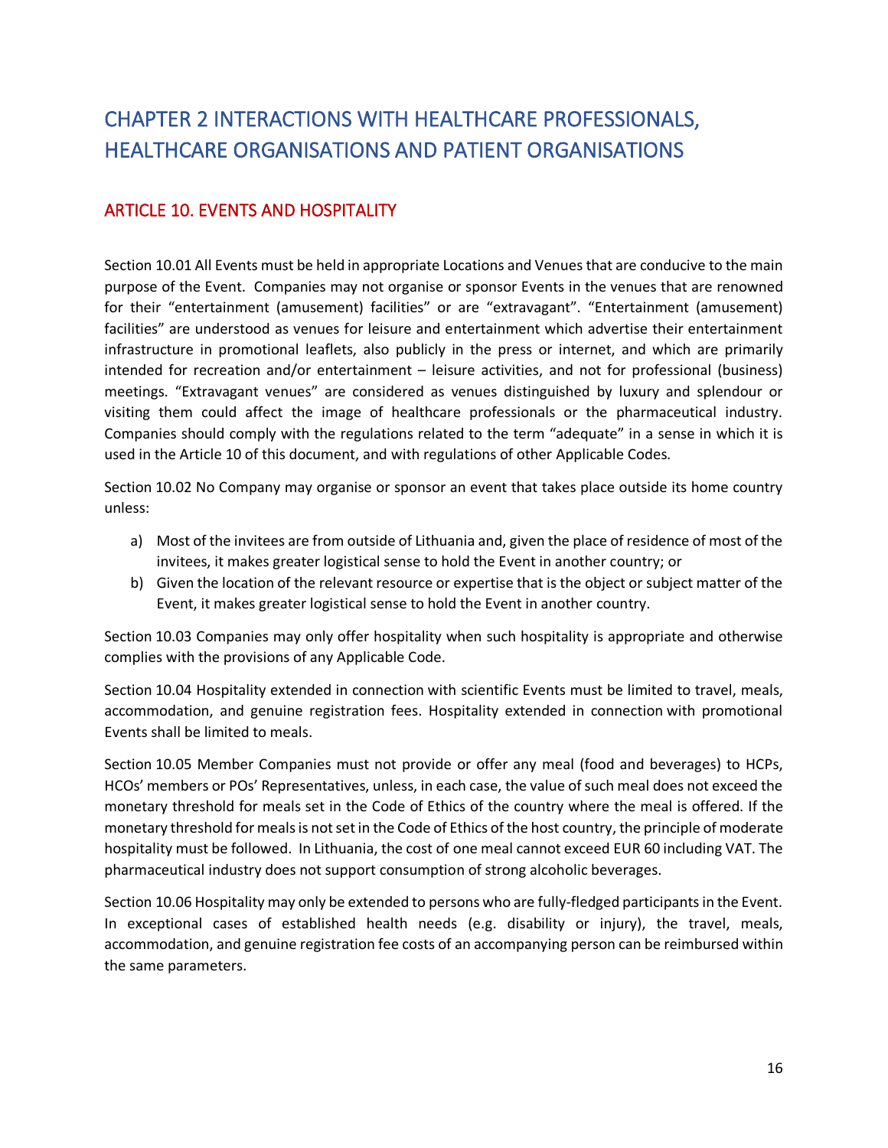# <span id="page-16-0"></span>CHAPTER 2 INTERACTIONS WITH HEALTHCARE PROFESSIONALS, HEALTHCARE ORGANISATIONS AND PATIENT ORGANISATIONS

## <span id="page-16-1"></span>ARTICLE 10. EVENTS AND HOSPITALITY

Section 10.01 All Events must be held in appropriate Locations and Venues that are conducive to the main purpose of the Event. Companies may not organise or sponsor Events in the venues that are renowned for their "entertainment (amusement) facilities" or are "extravagant". "Entertainment (amusement) facilities" are understood as venues for leisure and entertainment which advertise their entertainment infrastructure in promotional leaflets, also publicly in the press or internet, and which are primarily intended for recreation and/or entertainment – leisure activities, and not for professional (business) meetings. "Extravagant venues" are considered as venues distinguished by luxury and splendour or visiting them could affect the image of healthcare professionals or the pharmaceutical industry. Companies should comply with the regulations related to the term "adequate" in a sense in which it is used in the Article 10 of this document, and with regulations of other Applicable Codes.

Section 10.02 No Company may organise or sponsor an event that takes place outside its home country unless:

- a) Most of the invitees are from outside of Lithuania and, given the place of residence of most of the invitees, it makes greater logistical sense to hold the Event in another country; or
- b) Given the location of the relevant resource or expertise that is the object or subject matter of the Event, it makes greater logistical sense to hold the Event in another country.

Section 10.03 Companies may only offer hospitality when such hospitality is appropriate and otherwise complies with the provisions of any Applicable Code.

Section 10.04 Hospitality extended in connection with scientific Events must be limited to travel, meals, accommodation, and genuine registration fees. Hospitality extended in connection with promotional Events shall be limited to meals.

Section 10.05 Member Companies must not provide or offer any meal (food and beverages) to HCPs, HCOs' members or POs' Representatives, unless, in each case, the value of such meal does not exceed the monetary threshold for meals set in the Code of Ethics of the country where the meal is offered. If the monetary threshold for meals is not set in the Code of Ethics of the host country, the principle of moderate hospitality must be followed. In Lithuania, the cost of one meal cannot exceed EUR 60 including VAT. The pharmaceutical industry does not support consumption of strong alcoholic beverages.

Section 10.06 Hospitality may only be extended to persons who are fully-fledged participants in the Event. In exceptional cases of established health needs (e.g. disability or injury), the travel, meals, accommodation, and genuine registration fee costs of an accompanying person can be reimbursed within the same parameters.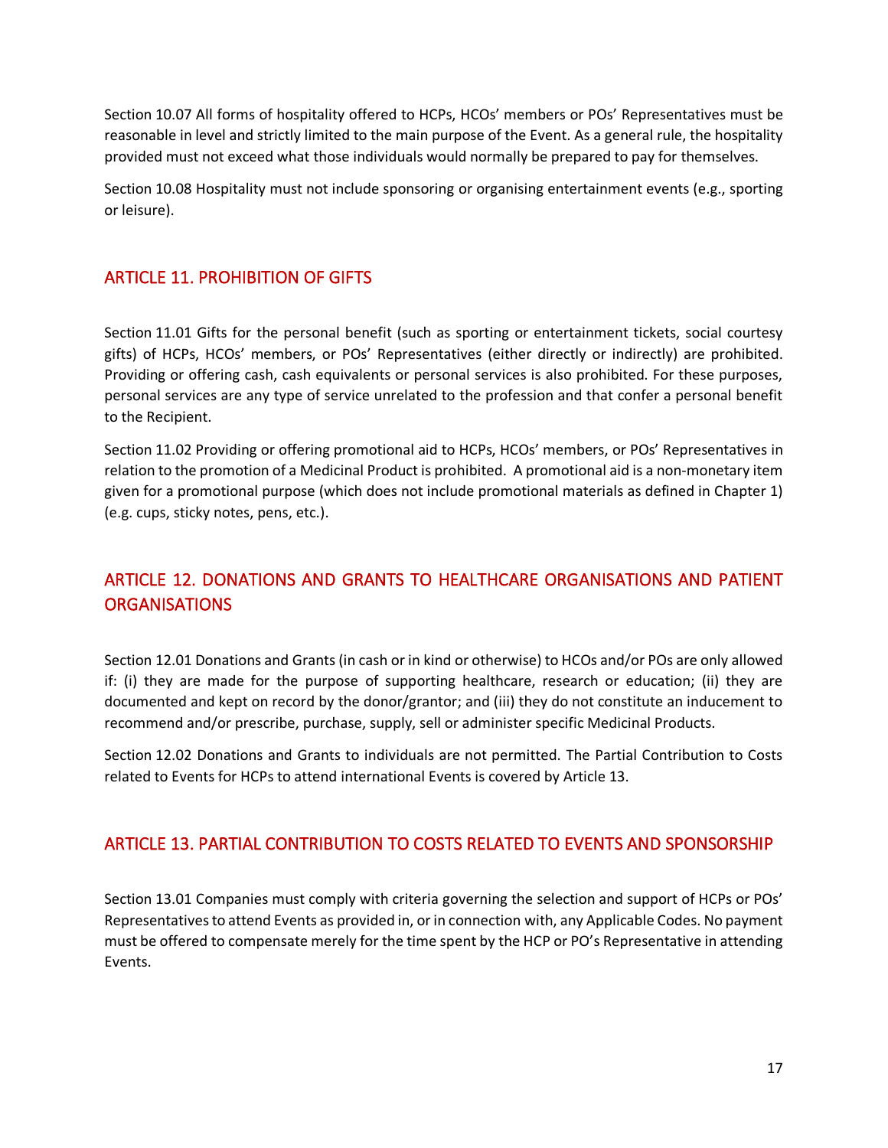Section 10.07 All forms of hospitality offered to HCPs, HCOs' members or POs' Representatives must be reasonable in level and strictly limited to the main purpose of the Event. As a general rule, the hospitality provided must not exceed what those individuals would normally be prepared to pay for themselves.

Section 10.08 Hospitality must not include sponsoring or organising entertainment events (e.g., sporting or leisure).

# <span id="page-17-0"></span>ARTICLE 11. PROHIBITION OF GIFTS

Section 11.01 Gifts for the personal benefit (such as sporting or entertainment tickets, social courtesy gifts) of HCPs, HCOs' members, or POs' Representatives (either directly or indirectly) are prohibited. Providing or offering cash, cash equivalents or personal services is also prohibited. For these purposes, personal services are any type of service unrelated to the profession and that confer a personal benefit to the Recipient.

Section 11.02 Providing or offering promotional aid to HCPs, HCOs' members, or POs' Representatives in relation to the promotion of a Medicinal Product is prohibited. A promotional aid is a non-monetary item given for a promotional purpose (which does not include promotional materials as defined in Chapter 1) (e.g. cups, sticky notes, pens, etc.).

# <span id="page-17-1"></span>ARTICLE 12. DONATIONS AND GRANTS TO HEALTHCARE ORGANISATIONS AND PATIENT **ORGANISATIONS**

Section 12.01 Donations and Grants (in cash or in kind or otherwise) to HCOs and/or POs are only allowed if: (i) they are made for the purpose of supporting healthcare, research or education; (ii) they are documented and kept on record by the donor/grantor; and (iii) they do not constitute an inducement to recommend and/or prescribe, purchase, supply, sell or administer specific Medicinal Products.

Section 12.02 Donations and Grants to individuals are not permitted. The Partial Contribution to Costs related to Events for HCPs to attend international Events is covered by Article 13.

### <span id="page-17-2"></span>ARTICLE 13. PARTIAL CONTRIBUTION TO COSTS RELATED TO EVENTS AND SPONSORSHIP

Section 13.01 Companies must comply with criteria governing the selection and support of HCPs or POs' Representatives to attend Events as provided in, or in connection with, any Applicable Codes. No payment must be offered to compensate merely for the time spent by the HCP or PO's Representative in attending Events.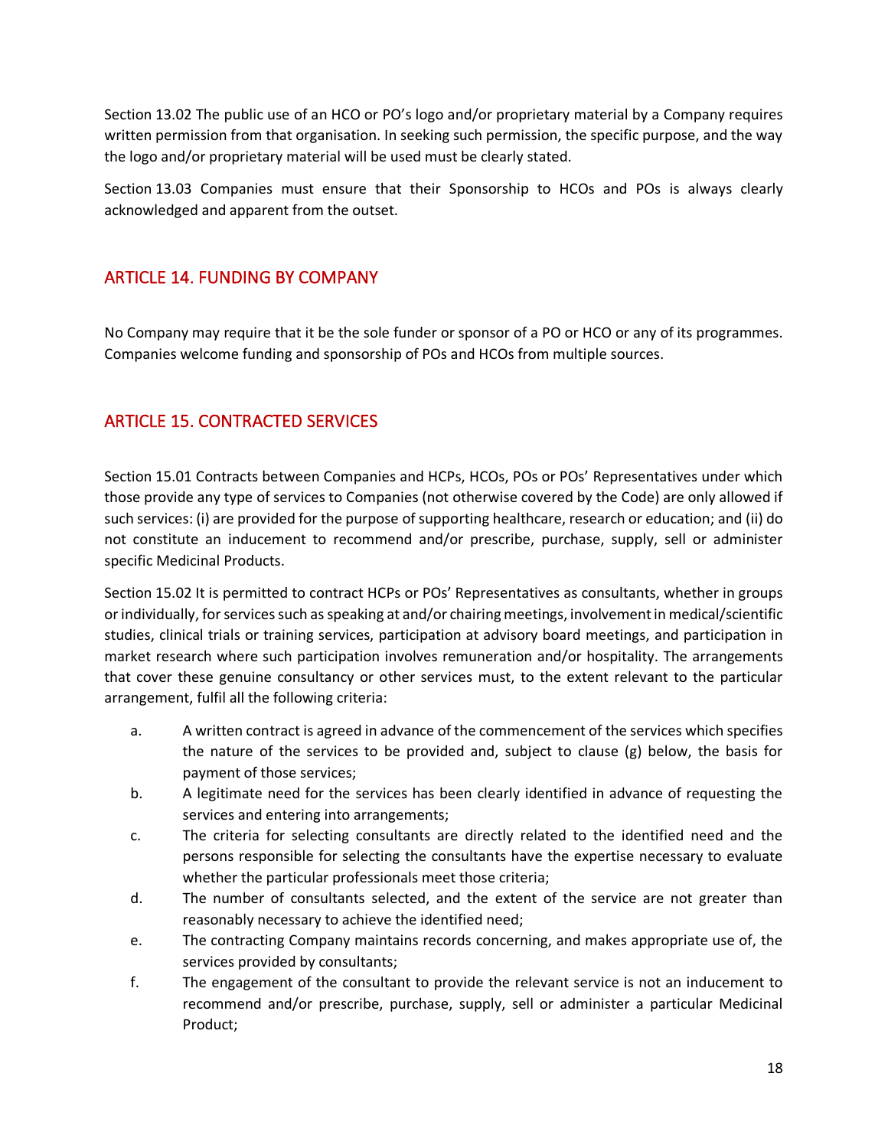Section 13.02 The public use of an HCO or PO's logo and/or proprietary material by a Company requires written permission from that organisation. In seeking such permission, the specific purpose, and the way the logo and/or proprietary material will be used must be clearly stated.

Section 13.03 Companies must ensure that their Sponsorship to HCOs and POs is always clearly acknowledged and apparent from the outset.

### <span id="page-18-0"></span>ARTICLE 14. FUNDING BY COMPANY

No Company may require that it be the sole funder or sponsor of a PO or HCO or any of its programmes. Companies welcome funding and sponsorship of POs and HCOs from multiple sources.

# <span id="page-18-1"></span>ARTICLE 15. CONTRACTED SERVICES

Section 15.01 Contracts between Companies and HCPs, HCOs, POs or POs' Representatives under which those provide any type of services to Companies (not otherwise covered by the Code) are only allowed if such services: (i) are provided for the purpose of supporting healthcare, research or education; and (ii) do not constitute an inducement to recommend and/or prescribe, purchase, supply, sell or administer specific Medicinal Products.

Section 15.02 It is permitted to contract HCPs or POs' Representatives as consultants, whether in groups or individually, for services such as speaking at and/or chairing meetings, involvement in medical/scientific studies, clinical trials or training services, participation at advisory board meetings, and participation in market research where such participation involves remuneration and/or hospitality. The arrangements that cover these genuine consultancy or other services must, to the extent relevant to the particular arrangement, fulfil all the following criteria:

- a. A written contract is agreed in advance of the commencement of the services which specifies the nature of the services to be provided and, subject to clause (g) below, the basis for payment of those services;
- b. A legitimate need for the services has been clearly identified in advance of requesting the services and entering into arrangements;
- c. The criteria for selecting consultants are directly related to the identified need and the persons responsible for selecting the consultants have the expertise necessary to evaluate whether the particular professionals meet those criteria;
- d. The number of consultants selected, and the extent of the service are not greater than reasonably necessary to achieve the identified need;
- e. The contracting Company maintains records concerning, and makes appropriate use of, the services provided by consultants;
- f. The engagement of the consultant to provide the relevant service is not an inducement to recommend and/or prescribe, purchase, supply, sell or administer a particular Medicinal Product;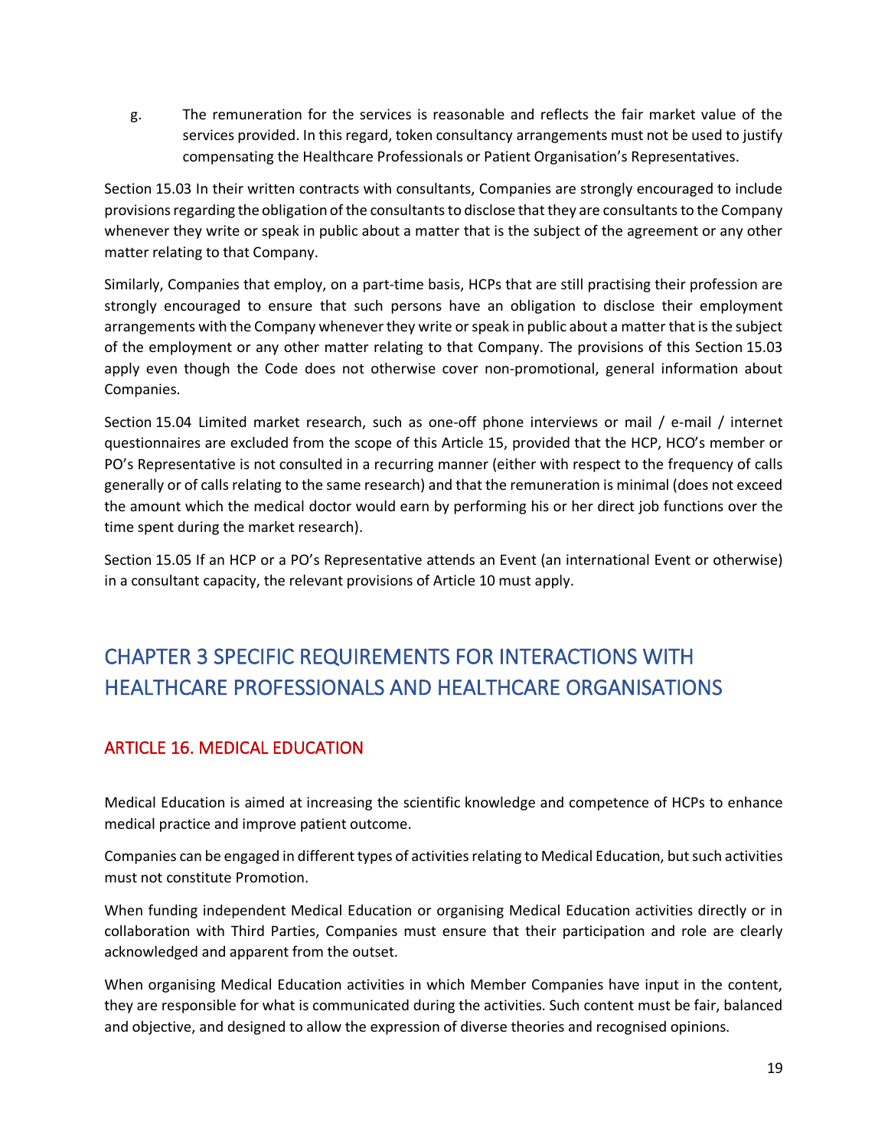g. The remuneration for the services is reasonable and reflects the fair market value of the services provided. In this regard, token consultancy arrangements must not be used to justify compensating the Healthcare Professionals or Patient Organisation's Representatives.

Section 15.03 In their written contracts with consultants, Companies are strongly encouraged to include provisions regarding the obligation of the consultants to disclose that they are consultants to the Company whenever they write or speak in public about a matter that is the subject of the agreement or any other matter relating to that Company.

Similarly, Companies that employ, on a part-time basis, HCPs that are still practising their profession are strongly encouraged to ensure that such persons have an obligation to disclose their employment arrangements with the Company whenever they write or speak in public about a matter that is the subject of the employment or any other matter relating to that Company. The provisions of this Section 15.03 apply even though the Code does not otherwise cover non-promotional, general information about Companies.

Section 15.04 Limited market research, such as one-off phone interviews or mail / e-mail / internet questionnaires are excluded from the scope of this Article 15, provided that the HCP, HCO's member or PO's Representative is not consulted in a recurring manner (either with respect to the frequency of calls generally or of calls relating to the same research) and that the remuneration is minimal (does not exceed the amount which the medical doctor would earn by performing his or her direct job functions over the time spent during the market research).

Section 15.05 If an HCP or a PO's Representative attends an Event (an international Event or otherwise) in a consultant capacity, the relevant provisions of Article 10 must apply.

# <span id="page-19-0"></span>CHAPTER 3 SPECIFIC REQUIREMENTS FOR INTERACTIONS WITH HEALTHCARE PROFESSIONALS AND HEALTHCARE ORGANISATIONS

# <span id="page-19-1"></span>ARTICLE 16. MEDICAL EDUCATION

Medical Education is aimed at increasing the scientific knowledge and competence of HCPs to enhance medical practice and improve patient outcome.

Companies can be engaged in different types of activities relating to Medical Education, but such activities must not constitute Promotion.

When funding independent Medical Education or organising Medical Education activities directly or in collaboration with Third Parties, Companies must ensure that their participation and role are clearly acknowledged and apparent from the outset.

When organising Medical Education activities in which Member Companies have input in the content, they are responsible for what is communicated during the activities. Such content must be fair, balanced and objective, and designed to allow the expression of diverse theories and recognised opinions.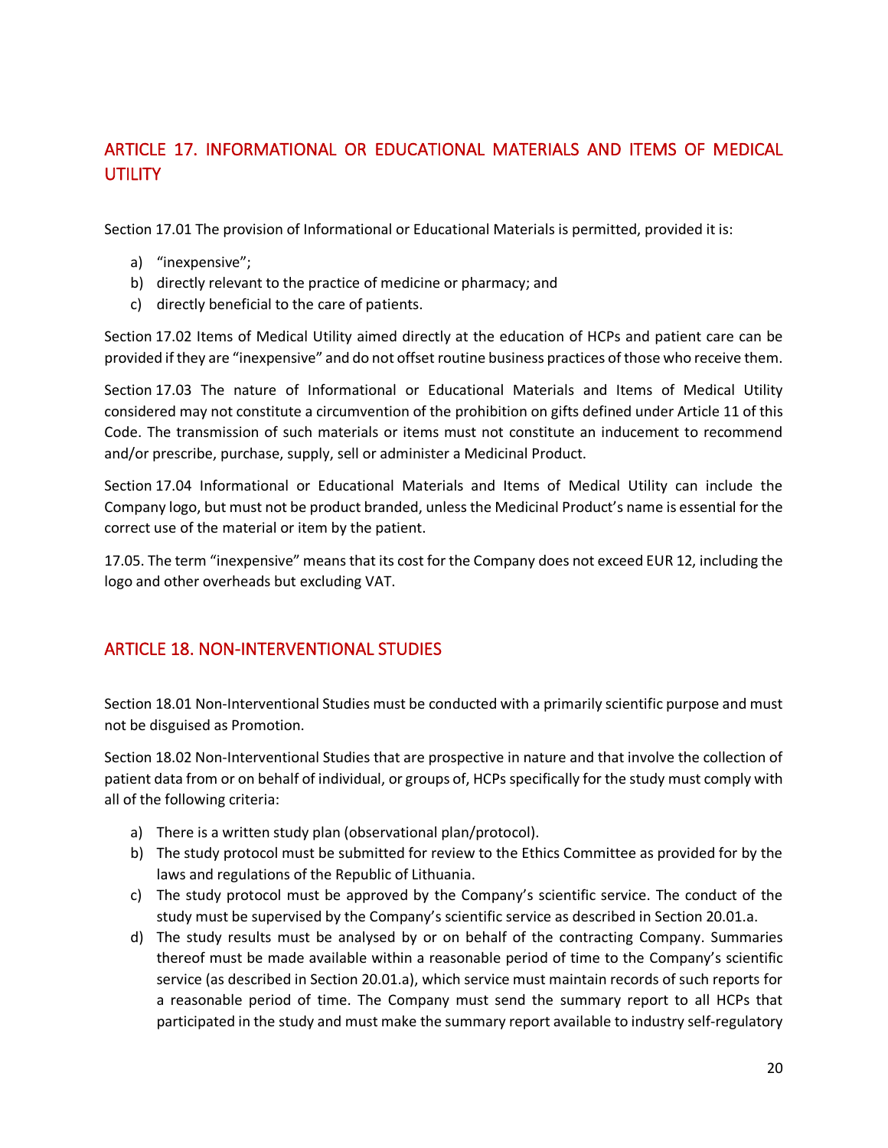# <span id="page-20-0"></span>ARTICLE 17. INFORMATIONAL OR EDUCATIONAL MATERIALS AND ITEMS OF MEDICAL UTILITY

Section 17.01 The provision of Informational or Educational Materials is permitted, provided it is:

- a) "inexpensive";
- b) directly relevant to the practice of medicine or pharmacy; and
- c) directly beneficial to the care of patients.

Section 17.02 Items of Medical Utility aimed directly at the education of HCPs and patient care can be provided if they are "inexpensive" and do not offset routine business practices of those who receive them.

Section 17.03 The nature of Informational or Educational Materials and Items of Medical Utility considered may not constitute a circumvention of the prohibition on gifts defined under Article 11 of this Code. The transmission of such materials or items must not constitute an inducement to recommend and/or prescribe, purchase, supply, sell or administer a Medicinal Product.

Section 17.04 Informational or Educational Materials and Items of Medical Utility can include the Company logo, but must not be product branded, unless the Medicinal Product's name is essential for the correct use of the material or item by the patient.

17.05. The term "inexpensive" means that its cost for the Company does not exceed EUR 12, including the logo and other overheads but excluding VAT.

### <span id="page-20-1"></span>ARTICLE 18. NON-INTERVENTIONAL STUDIES

Section 18.01 Non-Interventional Studies must be conducted with a primarily scientific purpose and must not be disguised as Promotion.

Section 18.02 Non-Interventional Studies that are prospective in nature and that involve the collection of patient data from or on behalf of individual, or groups of, HCPs specifically for the study must comply with all of the following criteria:

- a) There is a written study plan (observational plan/protocol).
- b) The study protocol must be submitted for review to the Ethics Committee as provided for by the laws and regulations of the Republic of Lithuania.
- c) The study protocol must be approved by the Company's scientific service. The conduct of the study must be supervised by the Company's scientific service as described in Section 20.01.a.
- d) The study results must be analysed by or on behalf of the contracting Company. Summaries thereof must be made available within a reasonable period of time to the Company's scientific service (as described in Section 20.01.a), which service must maintain records of such reports for a reasonable period of time. The Company must send the summary report to all HCPs that participated in the study and must make the summary report available to industry self-regulatory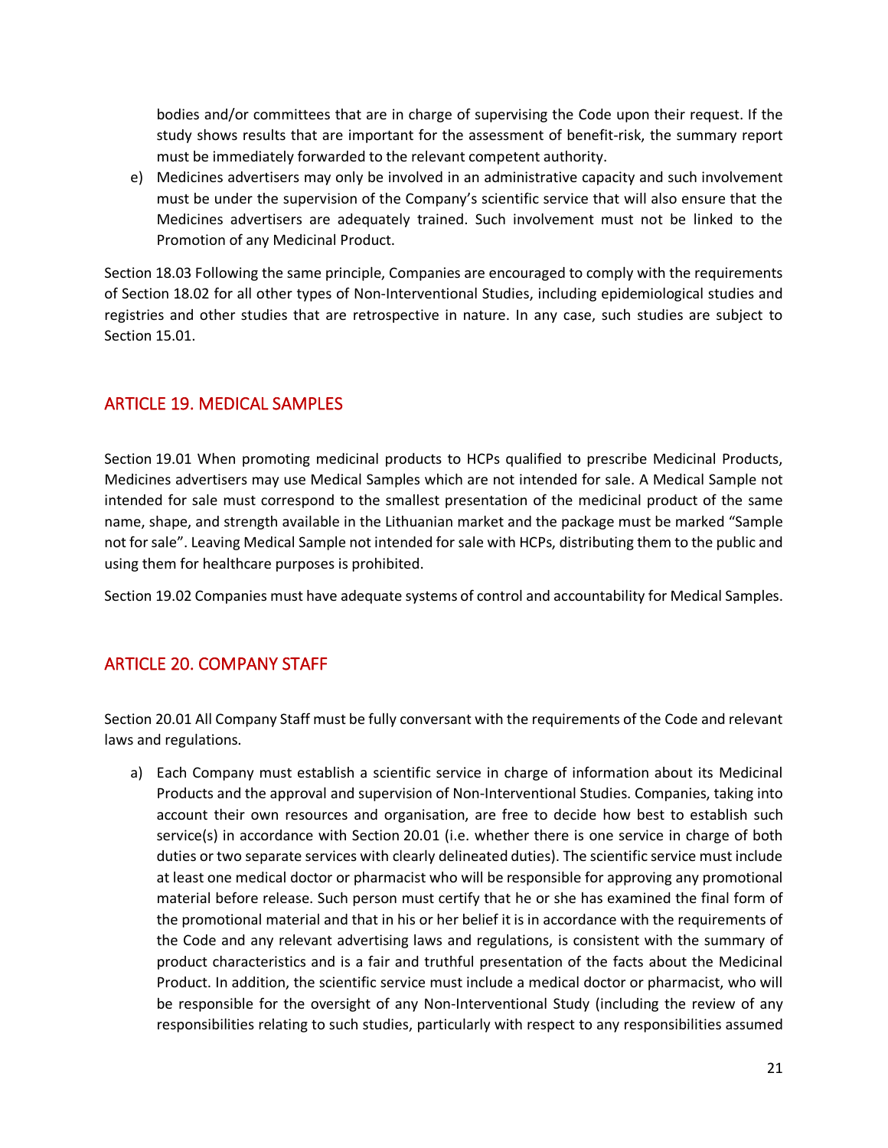bodies and/or committees that are in charge of supervising the Code upon their request. If the study shows results that are important for the assessment of benefit-risk, the summary report must be immediately forwarded to the relevant competent authority.

e) Medicines advertisers may only be involved in an administrative capacity and such involvement must be under the supervision of the Company's scientific service that will also ensure that the Medicines advertisers are adequately trained. Such involvement must not be linked to the Promotion of any Medicinal Product.

Section 18.03 Following the same principle, Companies are encouraged to comply with the requirements of Section 18.02 for all other types of Non-Interventional Studies, including epidemiological studies and registries and other studies that are retrospective in nature. In any case, such studies are subject to Section 15.01.

# <span id="page-21-0"></span>ARTICLE 19. MEDICAL SAMPLES

Section 19.01 When promoting medicinal products to HCPs qualified to prescribe Medicinal Products, Medicines advertisers may use Medical Samples which are not intended for sale. A Medical Sample not intended for sale must correspond to the smallest presentation of the medicinal product of the same name, shape, and strength available in the Lithuanian market and the package must be marked "Sample not for sale". Leaving Medical Sample not intended for sale with HCPs, distributing them to the public and using them for healthcare purposes is prohibited.

Section 19.02 Companies must have adequate systems of control and accountability for Medical Samples.

# <span id="page-21-1"></span>ARTICLE 20. COMPANY STAFF

Section 20.01 All Company Staff must be fully conversant with the requirements of the Code and relevant laws and regulations.

a) Each Company must establish a scientific service in charge of information about its Medicinal Products and the approval and supervision of Non-Interventional Studies. Companies, taking into account their own resources and organisation, are free to decide how best to establish such service(s) in accordance with Section 20.01 (i.e. whether there is one service in charge of both duties or two separate services with clearly delineated duties). The scientific service must include at least one medical doctor or pharmacist who will be responsible for approving any promotional material before release. Such person must certify that he or she has examined the final form of the promotional material and that in his or her belief it is in accordance with the requirements of the Code and any relevant advertising laws and regulations, is consistent with the summary of product characteristics and is a fair and truthful presentation of the facts about the Medicinal Product. In addition, the scientific service must include a medical doctor or pharmacist, who will be responsible for the oversight of any Non-Interventional Study (including the review of any responsibilities relating to such studies, particularly with respect to any responsibilities assumed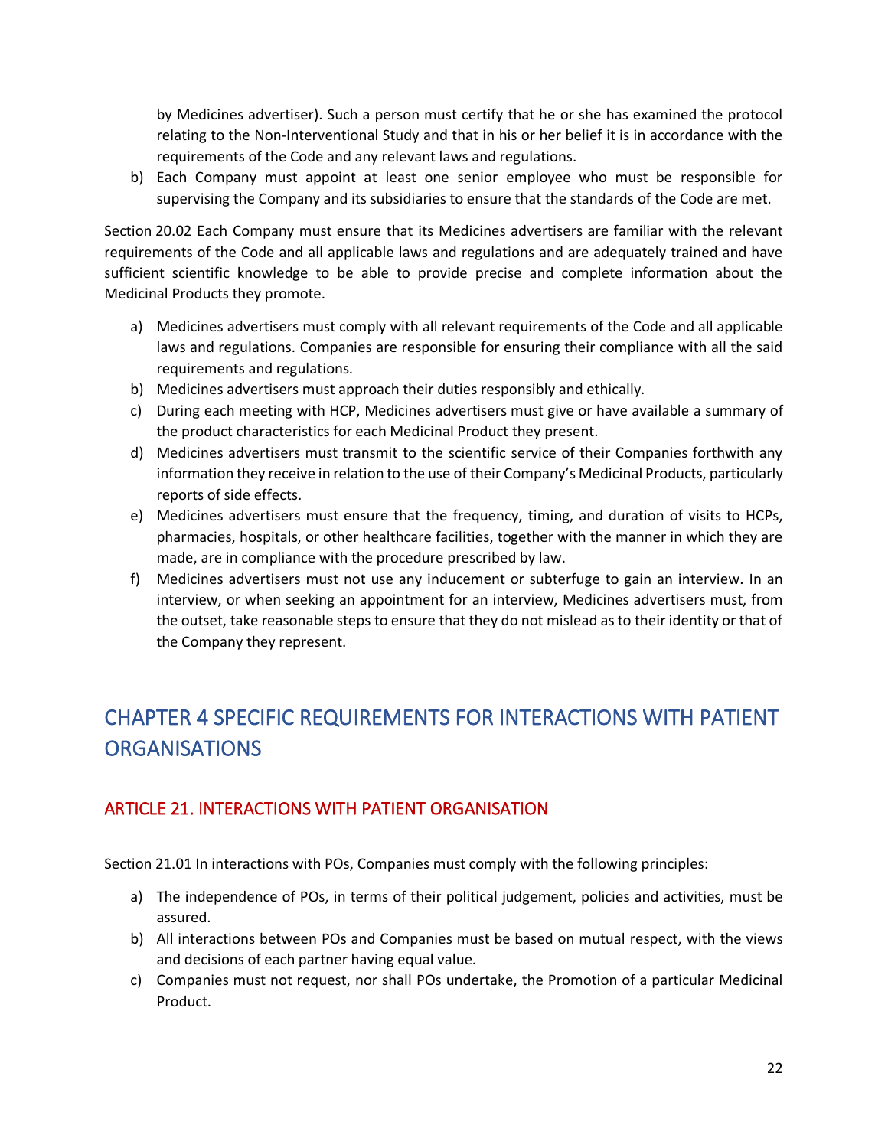by Medicines advertiser). Such a person must certify that he or she has examined the protocol relating to the Non-Interventional Study and that in his or her belief it is in accordance with the requirements of the Code and any relevant laws and regulations.

b) Each Company must appoint at least one senior employee who must be responsible for supervising the Company and its subsidiaries to ensure that the standards of the Code are met.

Section 20.02 Each Company must ensure that its Medicines advertisers are familiar with the relevant requirements of the Code and all applicable laws and regulations and are adequately trained and have sufficient scientific knowledge to be able to provide precise and complete information about the Medicinal Products they promote.

- a) Medicines advertisers must comply with all relevant requirements of the Code and all applicable laws and regulations. Companies are responsible for ensuring their compliance with all the said requirements and regulations.
- b) Medicines advertisers must approach their duties responsibly and ethically.
- c) During each meeting with HCP, Medicines advertisers must give or have available a summary of the product characteristics for each Medicinal Product they present.
- d) Medicines advertisers must transmit to the scientific service of their Companies forthwith any information they receive in relation to the use of their Company's Medicinal Products, particularly reports of side effects.
- e) Medicines advertisers must ensure that the frequency, timing, and duration of visits to HCPs, pharmacies, hospitals, or other healthcare facilities, together with the manner in which they are made, are in compliance with the procedure prescribed by law.
- f) Medicines advertisers must not use any inducement or subterfuge to gain an interview. In an interview, or when seeking an appointment for an interview, Medicines advertisers must, from the outset, take reasonable steps to ensure that they do not mislead as to their identity or that of the Company they represent.

# <span id="page-22-0"></span>CHAPTER 4 SPECIFIC REQUIREMENTS FOR INTERACTIONS WITH PATIENT **ORGANISATIONS**

# <span id="page-22-1"></span>ARTICLE 21. INTERACTIONS WITH PATIENT ORGANISATION

Section 21.01 In interactions with POs, Companies must comply with the following principles:

- a) The independence of POs, in terms of their political judgement, policies and activities, must be assured.
- b) All interactions between POs and Companies must be based on mutual respect, with the views and decisions of each partner having equal value.
- c) Companies must not request, nor shall POs undertake, the Promotion of a particular Medicinal Product.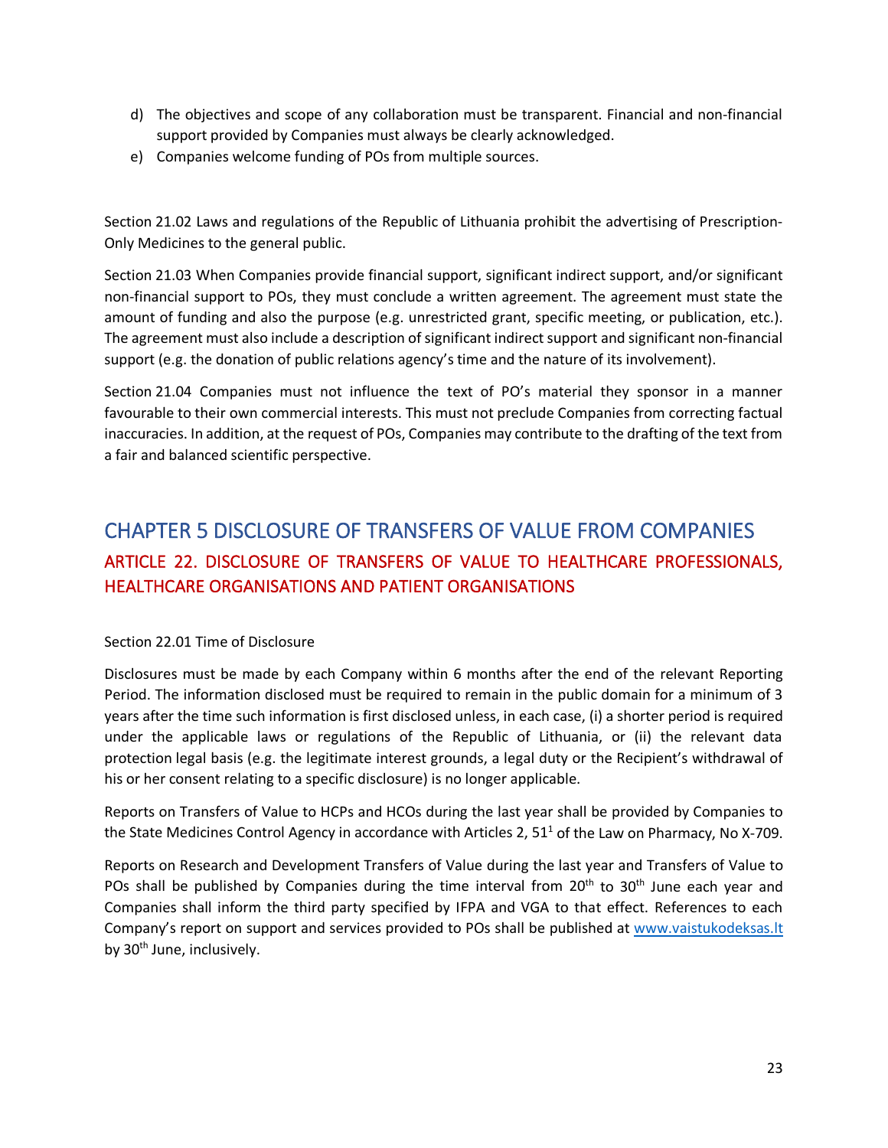- d) The objectives and scope of any collaboration must be transparent. Financial and non-financial support provided by Companies must always be clearly acknowledged.
- e) Companies welcome funding of POs from multiple sources.

Section 21.02 Laws and regulations of the Republic of Lithuania prohibit the advertising of Prescription-Only Medicines to the general public.

Section 21.03 When Companies provide financial support, significant indirect support, and/or significant non-financial support to POs, they must conclude a written agreement. The agreement must state the amount of funding and also the purpose (e.g. unrestricted grant, specific meeting, or publication, etc.). The agreement must also include a description of significant indirect support and significant non-financial support (e.g. the donation of public relations agency's time and the nature of its involvement).

Section 21.04 Companies must not influence the text of PO's material they sponsor in a manner favourable to their own commercial interests. This must not preclude Companies from correcting factual inaccuracies. In addition, at the request of POs, Companies may contribute to the drafting of the text from a fair and balanced scientific perspective.

# <span id="page-23-1"></span><span id="page-23-0"></span>CHAPTER 5 DISCLOSURE OF TRANSFERS OF VALUE FROM COMPANIES ARTICLE 22. DISCLOSURE OF TRANSFERS OF VALUE TO HEALTHCARE PROFESSIONALS, HEALTHCARE ORGANISATIONS AND PATIENT ORGANISATIONS

#### Section 22.01 Time of Disclosure

Disclosures must be made by each Company within 6 months after the end of the relevant Reporting Period. The information disclosed must be required to remain in the public domain for a minimum of 3 years after the time such information is first disclosed unless, in each case, (i) a shorter period is required under the applicable laws or regulations of the Republic of Lithuania, or (ii) the relevant data protection legal basis (e.g. the legitimate interest grounds, a legal duty or the Recipient's withdrawal of his or her consent relating to a specific disclosure) is no longer applicable.

Reports on Transfers of Value to HCPs and HCOs during the last year shall be provided by Companies to the State Medicines Control Agency in accordance with Articles 2,  $51<sup>1</sup>$  of the Law on Pharmacy, No X-709.

Reports on Research and Development Transfers of Value during the last year and Transfers of Value to POs shall be published by Companies during the time interval from  $20<sup>th</sup>$  to  $30<sup>th</sup>$  June each year and Companies shall inform the third party specified by IFPA and VGA to that effect. References to each Company's report on support and services provided to POs shall be published at [www.vaistukodeksas.lt](http://www.vaistukodeksas.lt/) by 30<sup>th</sup> June, inclusively.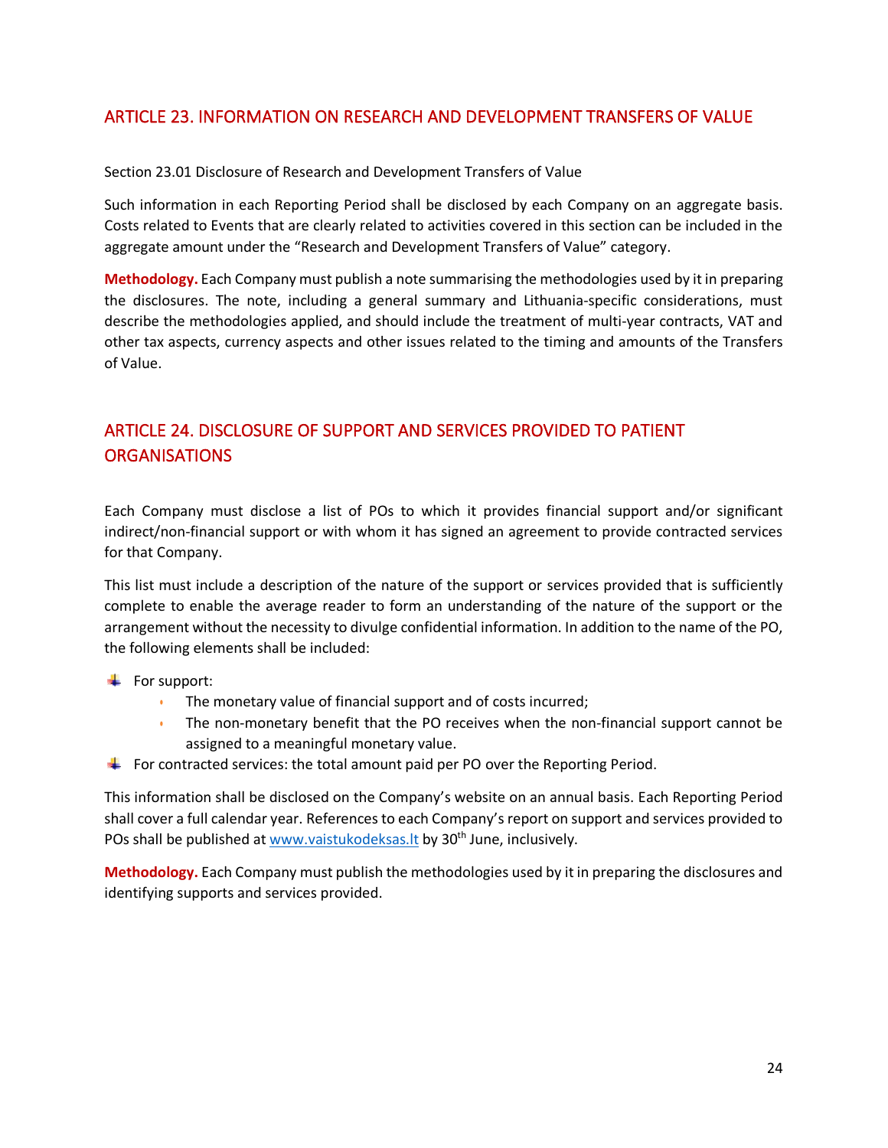## <span id="page-24-0"></span>ARTICLE 23. INFORMATION ON RESEARCH AND DEVELOPMENT TRANSFERS OF VALUE

Section 23.01 Disclosure of Research and Development Transfers of Value

Such information in each Reporting Period shall be disclosed by each Company on an aggregate basis. Costs related to Events that are clearly related to activities covered in this section can be included in the aggregate amount under the "Research and Development Transfers of Value" category.

**Methodology.** Each Company must publish a note summarising the methodologies used by it in preparing the disclosures. The note, including a general summary and Lithuania-specific considerations, must describe the methodologies applied, and should include the treatment of multi-year contracts, VAT and other tax aspects, currency aspects and other issues related to the timing and amounts of the Transfers of Value.

# <span id="page-24-1"></span>ARTICLE 24. DISCLOSURE OF SUPPORT AND SERVICES PROVIDED TO PATIENT **ORGANISATIONS**

Each Company must disclose a list of POs to which it provides financial support and/or significant indirect/non-financial support or with whom it has signed an agreement to provide contracted services for that Company.

This list must include a description of the nature of the support or services provided that is sufficiently complete to enable the average reader to form an understanding of the nature of the support or the arrangement without the necessity to divulge confidential information. In addition to the name of the PO, the following elements shall be included:

### $\leftarrow$  For support:

- **•** The monetary value of financial support and of costs incurred;
- **•** The non-monetary benefit that the PO receives when the non-financial support cannot be assigned to a meaningful monetary value.
- For contracted services: the total amount paid per PO over the Reporting Period.

This information shall be disclosed on the Company's website on an annual basis. Each Reporting Period shall cover a full calendar year. References to each Company's report on support and services provided to POs shall be published at www.vaistukodeksas. It by 30<sup>th</sup> June, inclusively.

**Methodology.** Each Company must publish the methodologies used by it in preparing the disclosures and identifying supports and services provided.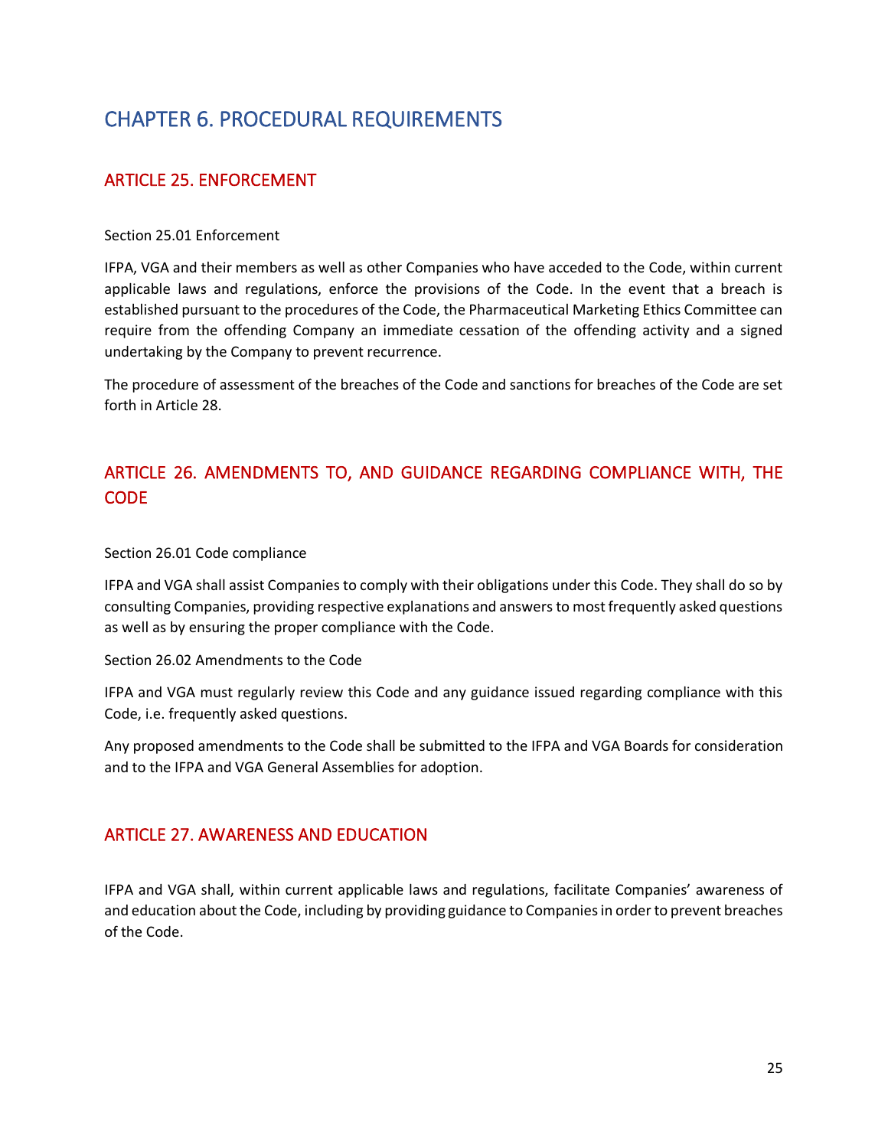# <span id="page-25-0"></span>CHAPTER 6. PROCEDURAL REQUIREMENTS

# <span id="page-25-1"></span>ARTICLE 25. ENFORCEMENT

### Section 25.01 Enforcement

IFPA, VGA and their members as well as other Companies who have acceded to the Code, within current applicable laws and regulations, enforce the provisions of the Code. In the event that a breach is established pursuant to the procedures of the Code, the Pharmaceutical Marketing Ethics Committee can require from the offending Company an immediate cessation of the offending activity and a signed undertaking by the Company to prevent recurrence.

The procedure of assessment of the breaches of the Code and sanctions for breaches of the Code are set forth in Article 28.

# <span id="page-25-2"></span>ARTICLE 26. AMENDMENTS TO, AND GUIDANCE REGARDING COMPLIANCE WITH, THE **CODE**

Section 26.01 Code compliance

IFPA and VGA shall assist Companies to comply with their obligations under this Code. They shall do so by consulting Companies, providing respective explanations and answers to most frequently asked questions as well as by ensuring the proper compliance with the Code.

Section 26.02 Amendments to the Code

IFPA and VGA must regularly review this Code and any guidance issued regarding compliance with this Code, i.e. frequently asked questions.

Any proposed amendments to the Code shall be submitted to the IFPA and VGA Boards for consideration and to the IFPA and VGA General Assemblies for adoption.

### <span id="page-25-3"></span>ARTICLE 27. AWARENESS AND EDUCATION

IFPA and VGA shall, within current applicable laws and regulations, facilitate Companies' awareness of and education about the Code, including by providing guidance to Companies in order to prevent breaches of the Code.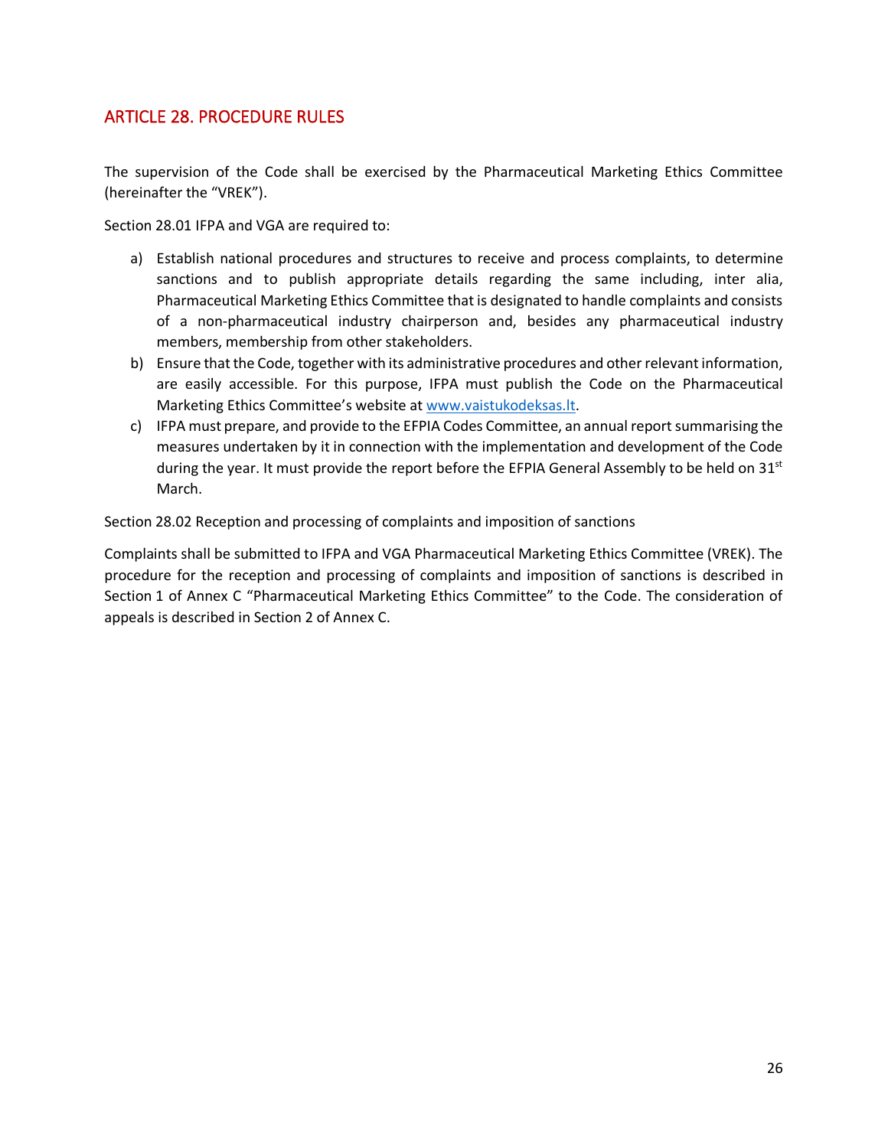### <span id="page-26-0"></span>ARTICLE 28. PROCEDURE RULES

The supervision of the Code shall be exercised by the Pharmaceutical Marketing Ethics Committee (hereinafter the "VREK").

Section 28.01 IFPA and VGA are required to:

- a) Establish national procedures and structures to receive and process complaints, to determine sanctions and to publish appropriate details regarding the same including, inter alia, Pharmaceutical Marketing Ethics Committee that is designated to handle complaints and consists of a non-pharmaceutical industry chairperson and, besides any pharmaceutical industry members, membership from other stakeholders.
- b) Ensure that the Code, together with its administrative procedures and other relevant information, are easily accessible. For this purpose, IFPA must publish the Code on the Pharmaceutical Marketing Ethics Committee's website at [www.vaistukodeksas.lt.](http://www.vaistukodeksas.lt/)
- c) IFPA must prepare, and provide to the EFPIA Codes Committee, an annual report summarising the measures undertaken by it in connection with the implementation and development of the Code during the year. It must provide the report before the EFPIA General Assembly to be held on  $31<sup>st</sup>$ March.

Section 28.02 Reception and processing of complaints and imposition of sanctions

Complaints shall be submitted to IFPA and VGA Pharmaceutical Marketing Ethics Committee (VREK). The procedure for the reception and processing of complaints and imposition of sanctions is described in Section 1 of Annex C "Pharmaceutical Marketing Ethics Committee" to the Code. The consideration of appeals is described in Section 2 of Annex C.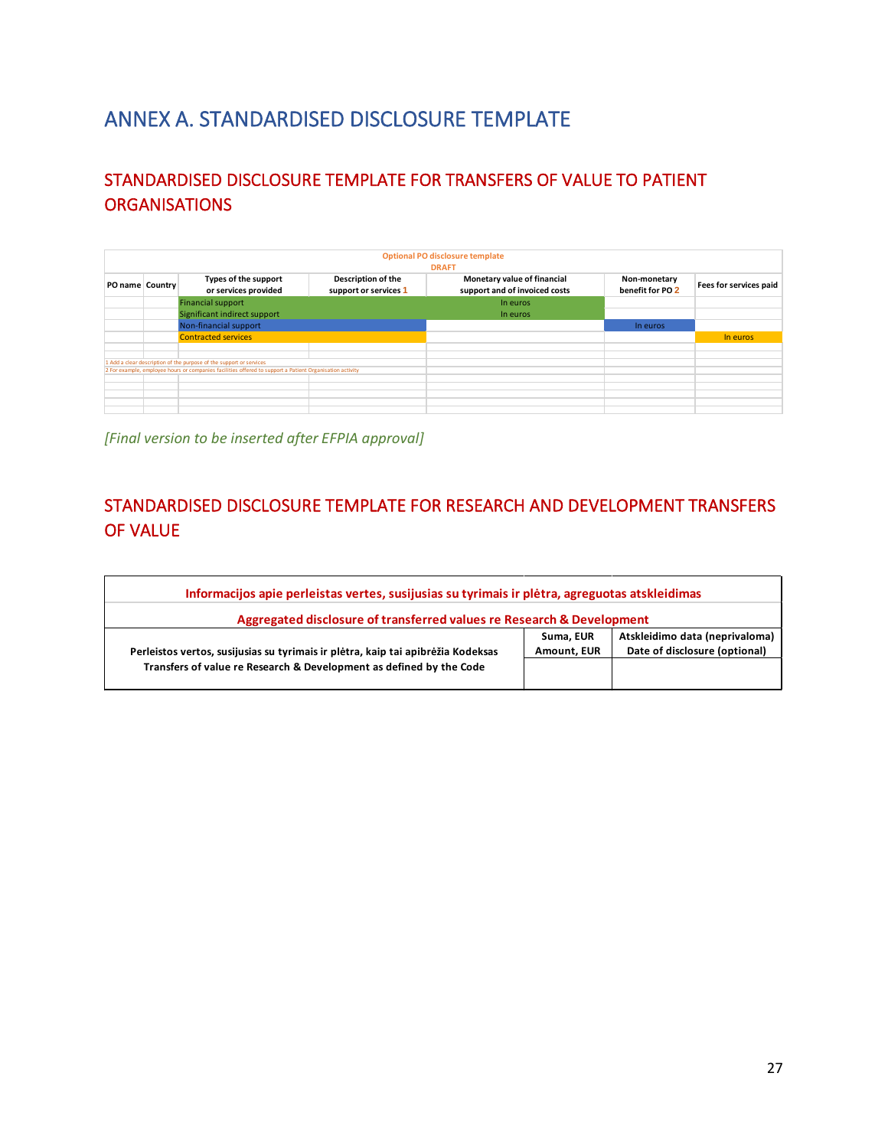# <span id="page-27-0"></span>ANNEX A. STANDARDISED DISCLOSURE TEMPLATE

# <span id="page-27-1"></span>STANDARDISED DISCLOSURE TEMPLATE FOR TRANSFERS OF VALUE TO PATIENT **ORGANISATIONS**

| <b>Optional PO disclosure template</b><br><b>DRAFT</b>                                                   |  |                                                                     |                                                    |                                                              |                                  |                        |
|----------------------------------------------------------------------------------------------------------|--|---------------------------------------------------------------------|----------------------------------------------------|--------------------------------------------------------------|----------------------------------|------------------------|
| PO name Country                                                                                          |  | Types of the support<br>or services provided                        | <b>Description of the</b><br>support or services 1 | Monetary value of financial<br>support and of invoiced costs | Non-monetary<br>benefit for PO 2 | Fees for services paid |
|                                                                                                          |  | <b>Financial support</b>                                            |                                                    | In euros                                                     |                                  |                        |
|                                                                                                          |  | Significant indirect support                                        |                                                    | In euros                                                     |                                  |                        |
|                                                                                                          |  | Non-financial support                                               |                                                    |                                                              | In euros                         |                        |
|                                                                                                          |  | <b>Contracted services</b>                                          |                                                    |                                                              |                                  | In euros               |
|                                                                                                          |  |                                                                     |                                                    |                                                              |                                  |                        |
|                                                                                                          |  | 1 Add a clear description of the purpose of the support or services |                                                    |                                                              |                                  |                        |
| 2 For example, employee hours or companies facilities offered to support a Patient Organisation activity |  |                                                                     |                                                    |                                                              |                                  |                        |
|                                                                                                          |  |                                                                     |                                                    |                                                              |                                  |                        |
|                                                                                                          |  |                                                                     |                                                    |                                                              |                                  |                        |
|                                                                                                          |  |                                                                     |                                                    |                                                              |                                  |                        |
|                                                                                                          |  |                                                                     |                                                    |                                                              |                                  |                        |

*<sup>[</sup>Final version to be inserted after EFPIA approval]*

# <span id="page-27-2"></span>STANDARDISED DISCLOSURE TEMPLATE FOR RESEARCH AND DEVELOPMENT TRANSFERS OF VALUE

| Informacijos apie perleistas vertes, susijusias su tyrimais ir plėtra, agreguotas atskleidimas<br>Aggregated disclosure of transferred values re Research & Development |             |                               |  |  |  |
|-------------------------------------------------------------------------------------------------------------------------------------------------------------------------|-------------|-------------------------------|--|--|--|
|                                                                                                                                                                         |             |                               |  |  |  |
| Perleistos vertos, susijusias su tyrimais ir plėtra, kaip tai apibrėžia Kodeksas                                                                                        | Amount, EUR | Date of disclosure (optional) |  |  |  |
| Transfers of value re Research & Development as defined by the Code                                                                                                     |             |                               |  |  |  |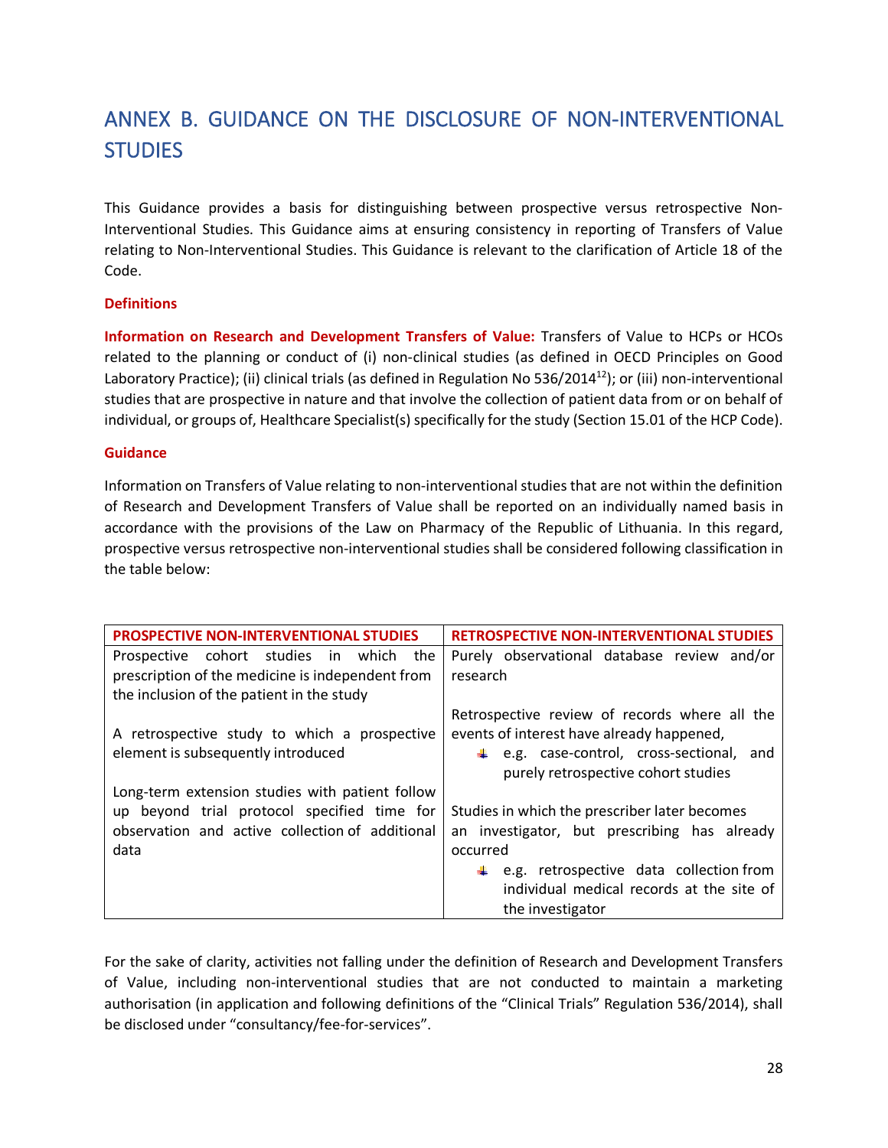# <span id="page-28-0"></span>ANNEX B. GUIDANCE ON THE DISCLOSURE OF NON-INTERVENTIONAL **STUDIES**

This Guidance provides a basis for distinguishing between prospective versus retrospective Non-Interventional Studies. This Guidance aims at ensuring consistency in reporting of Transfers of Value relating to Non-Interventional Studies. This Guidance is relevant to the clarification of Article 18 of the Code.

### **Definitions**

**Information on Research and Development Transfers of Value:** Transfers of Value to HCPs or HCOs related to the planning or conduct of (i) non-clinical studies (as defined in OECD Principles on Good Laboratory Practice); (ii) clinical trials (as defined in Regulation No  $536/2014^{12}$ ); or (iii) non-interventional studies that are prospective in nature and that involve the collection of patient data from or on behalf of individual, or groups of, Healthcare Specialist(s) specifically for the study (Section 15.01 of the HCP Code).

#### **Guidance**

Information on Transfers of Value relating to non-interventional studies that are not within the definition of Research and Development Transfers of Value shall be reported on an individually named basis in accordance with the provisions of the Law on Pharmacy of the Republic of Lithuania. In this regard, prospective versus retrospective non-interventional studies shall be considered following classification in the table below:

| <b>PROSPECTIVE NON-INTERVENTIONAL STUDIES</b>                                      | <b>RETROSPECTIVE NON-INTERVENTIONAL STUDIES</b>                                                                                                                                           |
|------------------------------------------------------------------------------------|-------------------------------------------------------------------------------------------------------------------------------------------------------------------------------------------|
| Prospective cohort studies in which<br>the                                         | Purely observational database review and/or                                                                                                                                               |
| prescription of the medicine is independent from                                   | research                                                                                                                                                                                  |
| the inclusion of the patient in the study                                          |                                                                                                                                                                                           |
| A retrospective study to which a prospective<br>element is subsequently introduced | Retrospective review of records where all the<br>events of interest have already happened,<br>$\downarrow$ e.g. case-control, cross-sectional, and<br>purely retrospective cohort studies |
| Long-term extension studies with patient follow                                    |                                                                                                                                                                                           |
| up beyond trial protocol specified time for                                        | Studies in which the prescriber later becomes                                                                                                                                             |
| observation and active collection of additional                                    | an investigator, but prescribing has already                                                                                                                                              |
| data                                                                               | occurred                                                                                                                                                                                  |
|                                                                                    | $\ddot{+}$ e.g. retrospective data collection from                                                                                                                                        |
|                                                                                    | individual medical records at the site of                                                                                                                                                 |
|                                                                                    | the investigator                                                                                                                                                                          |

For the sake of clarity, activities not falling under the definition of Research and Development Transfers of Value, including non-interventional studies that are not conducted to maintain a marketing authorisation (in application and following definitions of the "Clinical Trials" Regulation 536/2014), shall be disclosed under "consultancy/fee-for-services".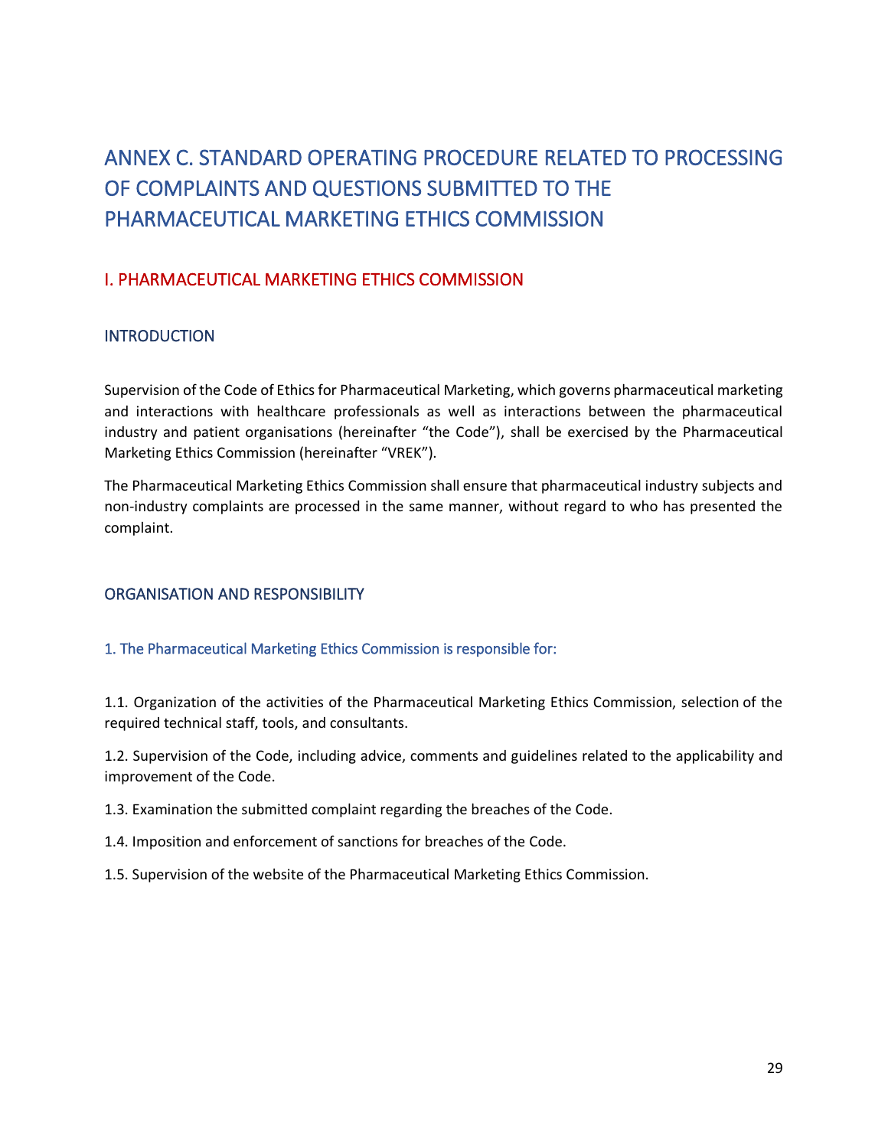# <span id="page-29-0"></span>ANNEX C. STANDARD OPERATING PROCEDURE RELATED TO PROCESSING OF COMPLAINTS AND QUESTIONS SUBMITTED TO THE PHARMACEUTICAL MARKETING ETHICS COMMISSION

### <span id="page-29-1"></span>I. PHARMACEUTICAL MARKETING ETHICS COMMISSION

### <span id="page-29-2"></span>INTRODUCTION

Supervision of the Code of Ethics for Pharmaceutical Marketing, which governs pharmaceutical marketing and interactions with healthcare professionals as well as interactions between the pharmaceutical industry and patient organisations (hereinafter "the Code"), shall be exercised by the Pharmaceutical Marketing Ethics Commission (hereinafter "VREK").

The Pharmaceutical Marketing Ethics Commission shall ensure that pharmaceutical industry subjects and non-industry complaints are processed in the same manner, without regard to who has presented the complaint.

### <span id="page-29-3"></span>ORGANISATION AND RESPONSIBILITY

#### 1. The Pharmaceutical Marketing Ethics Commission is responsible for:

1.1. Organization of the activities of the Pharmaceutical Marketing Ethics Commission, selection of the required technical staff, tools, and consultants.

1.2. Supervision of the Code, including advice, comments and guidelines related to the applicability and improvement of the Code.

1.3. Examination the submitted complaint regarding the breaches of the Code.

1.4. Imposition and enforcement of sanctions for breaches of the Code.

1.5. Supervision of the website of the Pharmaceutical Marketing Ethics Commission.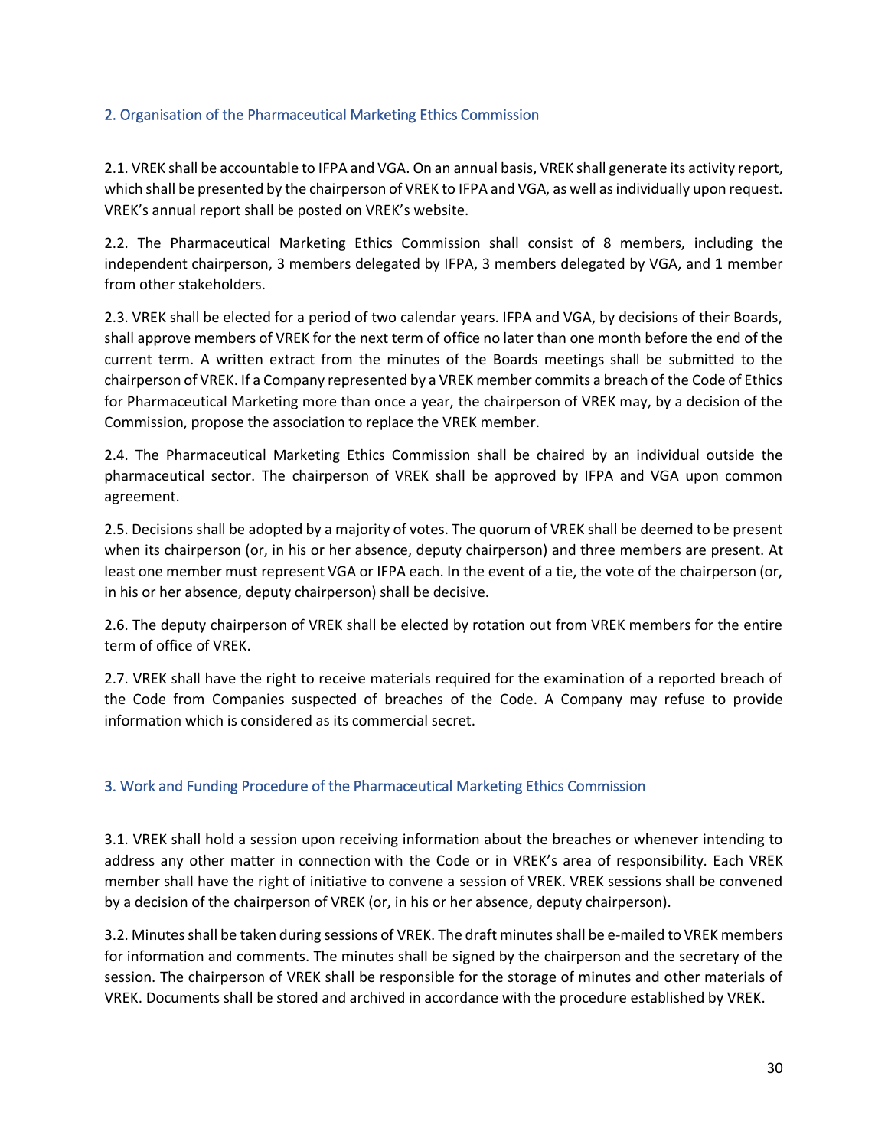### 2. Organisation of the Pharmaceutical Marketing Ethics Commission

2.1. VREK shall be accountable to IFPA and VGA. On an annual basis, VREK shall generate its activity report, which shall be presented by the chairperson of VREK to IFPA and VGA, as well as individually upon request. VREK's annual report shall be posted on VREK's website.

2.2. The Pharmaceutical Marketing Ethics Commission shall consist of 8 members, including the independent chairperson, 3 members delegated by IFPA, 3 members delegated by VGA, and 1 member from other stakeholders.

2.3. VREK shall be elected for a period of two calendar years. IFPA and VGA, by decisions of their Boards, shall approve members of VREK for the next term of office no later than one month before the end of the current term. A written extract from the minutes of the Boards meetings shall be submitted to the chairperson of VREK. If a Company represented by a VREK member commits a breach of the Code of Ethics for Pharmaceutical Marketing more than once a year, the chairperson of VREK may, by a decision of the Commission, propose the association to replace the VREK member.

2.4. The Pharmaceutical Marketing Ethics Commission shall be chaired by an individual outside the pharmaceutical sector. The chairperson of VREK shall be approved by IFPA and VGA upon common agreement.

2.5. Decisions shall be adopted by a majority of votes. The quorum of VREK shall be deemed to be present when its chairperson (or, in his or her absence, deputy chairperson) and three members are present. At least one member must represent VGA or IFPA each. In the event of a tie, the vote of the chairperson (or, in his or her absence, deputy chairperson) shall be decisive.

2.6. The deputy chairperson of VREK shall be elected by rotation out from VREK members for the entire term of office of VREK.

2.7. VREK shall have the right to receive materials required for the examination of a reported breach of the Code from Companies suspected of breaches of the Code. A Company may refuse to provide information which is considered as its commercial secret.

### 3. Work and Funding Procedure of the Pharmaceutical Marketing Ethics Commission

3.1. VREK shall hold a session upon receiving information about the breaches or whenever intending to address any other matter in connection with the Code or in VREK's area of responsibility. Each VREK member shall have the right of initiative to convene a session of VREK. VREK sessions shall be convened by a decision of the chairperson of VREK (or, in his or her absence, deputy chairperson).

3.2. Minutes shall be taken during sessions of VREK. The draft minutes shall be e-mailed to VREK members for information and comments. The minutes shall be signed by the chairperson and the secretary of the session. The chairperson of VREK shall be responsible for the storage of minutes and other materials of VREK. Documents shall be stored and archived in accordance with the procedure established by VREK.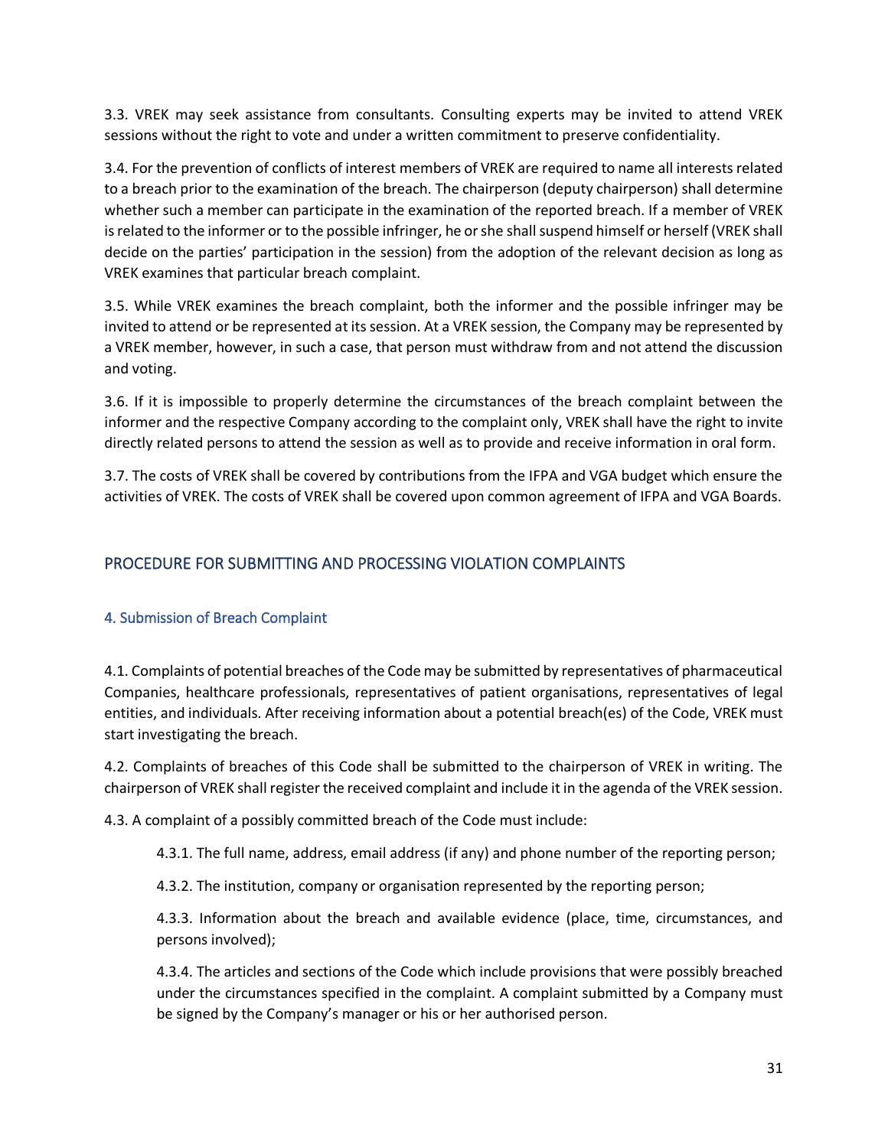3.3. VREK may seek assistance from consultants. Consulting experts may be invited to attend VREK sessions without the right to vote and under a written commitment to preserve confidentiality.

3.4. For the prevention of conflicts of interest members of VREK are required to name all interests related to a breach prior to the examination of the breach. The chairperson (deputy chairperson) shall determine whether such a member can participate in the examination of the reported breach. If a member of VREK is related to the informer or to the possible infringer, he or she shall suspend himself or herself (VREK shall decide on the parties' participation in the session) from the adoption of the relevant decision as long as VREK examines that particular breach complaint.

3.5. While VREK examines the breach complaint, both the informer and the possible infringer may be invited to attend or be represented at its session. At a VREK session, the Company may be represented by a VREK member, however, in such a case, that person must withdraw from and not attend the discussion and voting.

3.6. If it is impossible to properly determine the circumstances of the breach complaint between the informer and the respective Company according to the complaint only, VREK shall have the right to invite directly related persons to attend the session as well as to provide and receive information in oral form.

3.7. The costs of VREK shall be covered by contributions from the IFPA and VGA budget which ensure the activities of VREK. The costs of VREK shall be covered upon common agreement of IFPA and VGA Boards.

### <span id="page-31-0"></span>PROCEDURE FOR SUBMITTING AND PROCESSING VIOLATION COMPLAINTS

### 4. Submission of Breach Complaint

4.1. Complaints of potential breaches of the Code may be submitted by representatives of pharmaceutical Companies, healthcare professionals, representatives of patient organisations, representatives of legal entities, and individuals. After receiving information about a potential breach(es) of the Code, VREK must start investigating the breach.

4.2. Complaints of breaches of this Code shall be submitted to the chairperson of VREK in writing. The chairperson of VREK shall register the received complaint and include it in the agenda of the VREK session.

4.3. A complaint of a possibly committed breach of the Code must include:

4.3.1. The full name, address, email address (if any) and phone number of the reporting person;

4.3.2. The institution, company or organisation represented by the reporting person;

4.3.3. Information about the breach and available evidence (place, time, circumstances, and persons involved);

4.3.4. The articles and sections of the Code which include provisions that were possibly breached under the circumstances specified in the complaint. A complaint submitted by a Company must be signed by the Company's manager or his or her authorised person.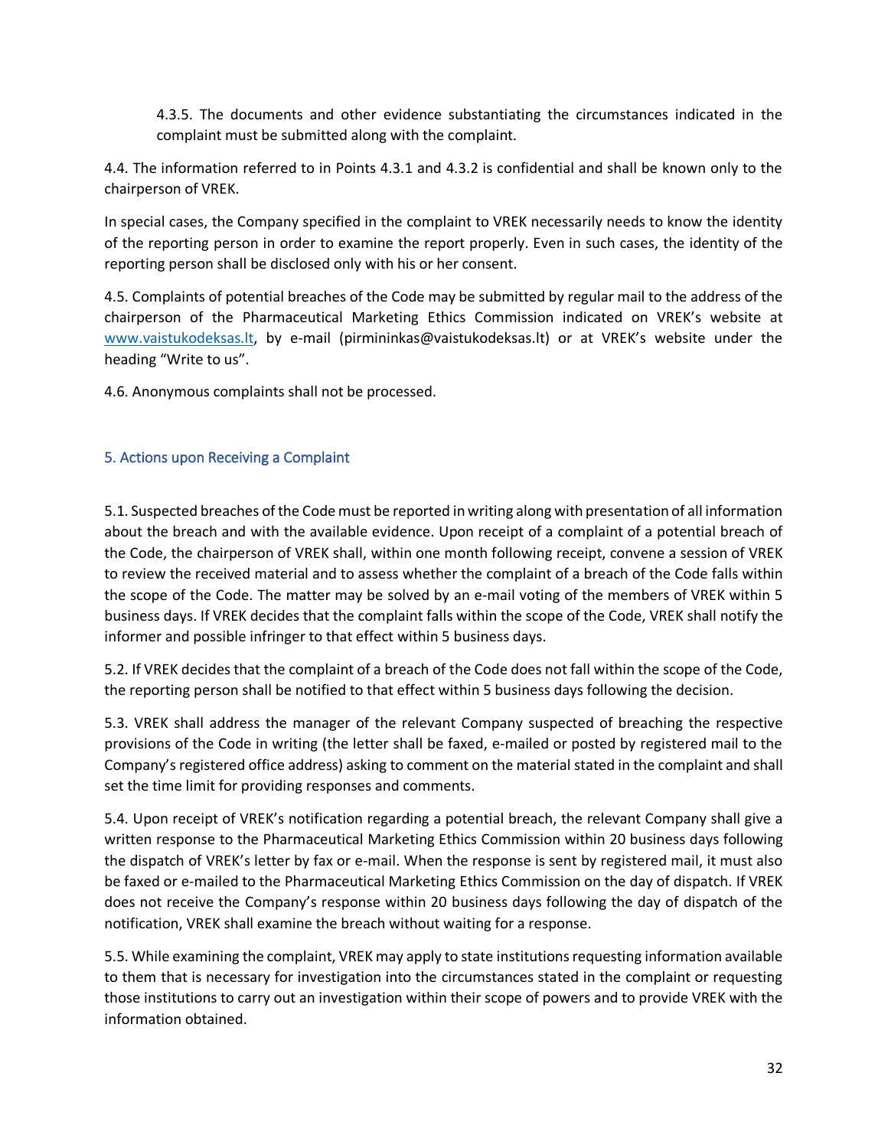4.3.5. The documents and other evidence substantiating the circumstances indicated in the complaint must be submitted along with the complaint.

4.4. The information referred to in Points 4.3.1 and 4.3.2 is confidential and shall be known only to the chairperson of VREK.

In special cases, the Company specified in the complaint to VREK necessarily needs to know the identity of the reporting person in order to examine the report properly. Even in such cases, the identity of the reporting person shall be disclosed only with his or her consent.

4.5. Complaints of potential breaches of the Code may be submitted by regular mail to the address of the chairperson of the Pharmaceutical Marketing Ethics Commission indicated on VREK's website at [www.vaistukodeksas.lt,](http://www.vaistukodeksas.lt/) by e-mail (pirmininkas@vaistukodeksas.lt) or at VREK's website under the heading "Write to us".

4.6. Anonymous complaints shall not be processed.

### 5. Actions upon Receiving a Complaint

5.1. Suspected breaches of the Code must be reported in writing along with presentation of all information about the breach and with the available evidence. Upon receipt of a complaint of a potential breach of the Code, the chairperson of VREK shall, within one month following receipt, convene a session of VREK to review the received material and to assess whether the complaint of a breach of the Code falls within the scope of the Code. The matter may be solved by an e-mail voting of the members of VREK within 5 business days. If VREK decides that the complaint falls within the scope of the Code, VREK shall notify the informer and possible infringer to that effect within 5 business days.

5.2. If VREK decides that the complaint of a breach of the Code does not fall within the scope of the Code, the reporting person shall be notified to that effect within 5 business days following the decision.

5.3. VREK shall address the manager of the relevant Company suspected of breaching the respective provisions of the Code in writing (the letter shall be faxed, e-mailed or posted by registered mail to the Company's registered office address) asking to comment on the material stated in the complaint and shall set the time limit for providing responses and comments.

5.4. Upon receipt of VREK's notification regarding a potential breach, the relevant Company shall give a written response to the Pharmaceutical Marketing Ethics Commission within 20 business days following the dispatch of VREK's letter by fax or e-mail. When the response is sent by registered mail, it must also be faxed or e-mailed to the Pharmaceutical Marketing Ethics Commission on the day of dispatch. If VREK does not receive the Company's response within 20 business days following the day of dispatch of the notification, VREK shall examine the breach without waiting for a response.

5.5. While examining the complaint, VREK may apply to state institutions requesting information available to them that is necessary for investigation into the circumstances stated in the complaint or requesting those institutions to carry out an investigation within their scope of powers and to provide VREK with the information obtained.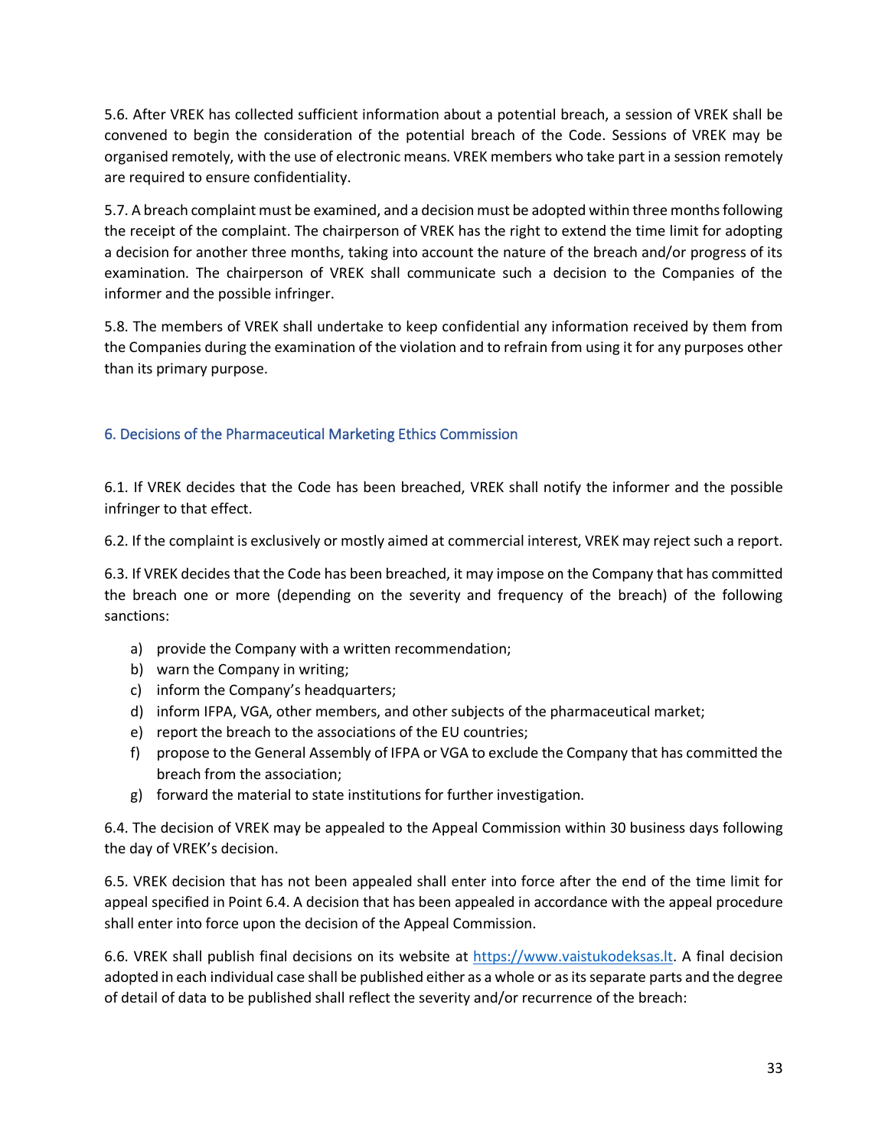5.6. After VREK has collected sufficient information about a potential breach, a session of VREK shall be convened to begin the consideration of the potential breach of the Code. Sessions of VREK may be organised remotely, with the use of electronic means. VREK members who take part in a session remotely are required to ensure confidentiality.

5.7. A breach complaint must be examined, and a decision must be adopted within three months following the receipt of the complaint. The chairperson of VREK has the right to extend the time limit for adopting a decision for another three months, taking into account the nature of the breach and/or progress of its examination. The chairperson of VREK shall communicate such a decision to the Companies of the informer and the possible infringer.

5.8. The members of VREK shall undertake to keep confidential any information received by them from the Companies during the examination of the violation and to refrain from using it for any purposes other than its primary purpose.

### 6. Decisions of the Pharmaceutical Marketing Ethics Commission

6.1. If VREK decides that the Code has been breached, VREK shall notify the informer and the possible infringer to that effect.

6.2. If the complaint is exclusively or mostly aimed at commercial interest, VREK may reject such a report.

6.3. If VREK decides that the Code has been breached, it may impose on the Company that has committed the breach one or more (depending on the severity and frequency of the breach) of the following sanctions:

- a) provide the Company with a written recommendation;
- b) warn the Company in writing;
- c) inform the Company's headquarters;
- d) inform IFPA, VGA, other members, and other subjects of the pharmaceutical market;
- e) report the breach to the associations of the EU countries;
- f) propose to the General Assembly of IFPA or VGA to exclude the Company that has committed the breach from the association;
- g) forward the material to state institutions for further investigation.

6.4. The decision of VREK may be appealed to the Appeal Commission within 30 business days following the day of VREK's decision.

6.5. VREK decision that has not been appealed shall enter into force after the end of the time limit for appeal specified in Point 6.4. A decision that has been appealed in accordance with the appeal procedure shall enter into force upon the decision of the Appeal Commission.

6.6. VREK shall publish final decisions on its website at [https://www.vaistukodeksas.lt.](https://www.vaistukodeksas.lt/) A final decision adopted in each individual case shall be published either as a whole or as its separate parts and the degree of detail of data to be published shall reflect the severity and/or recurrence of the breach: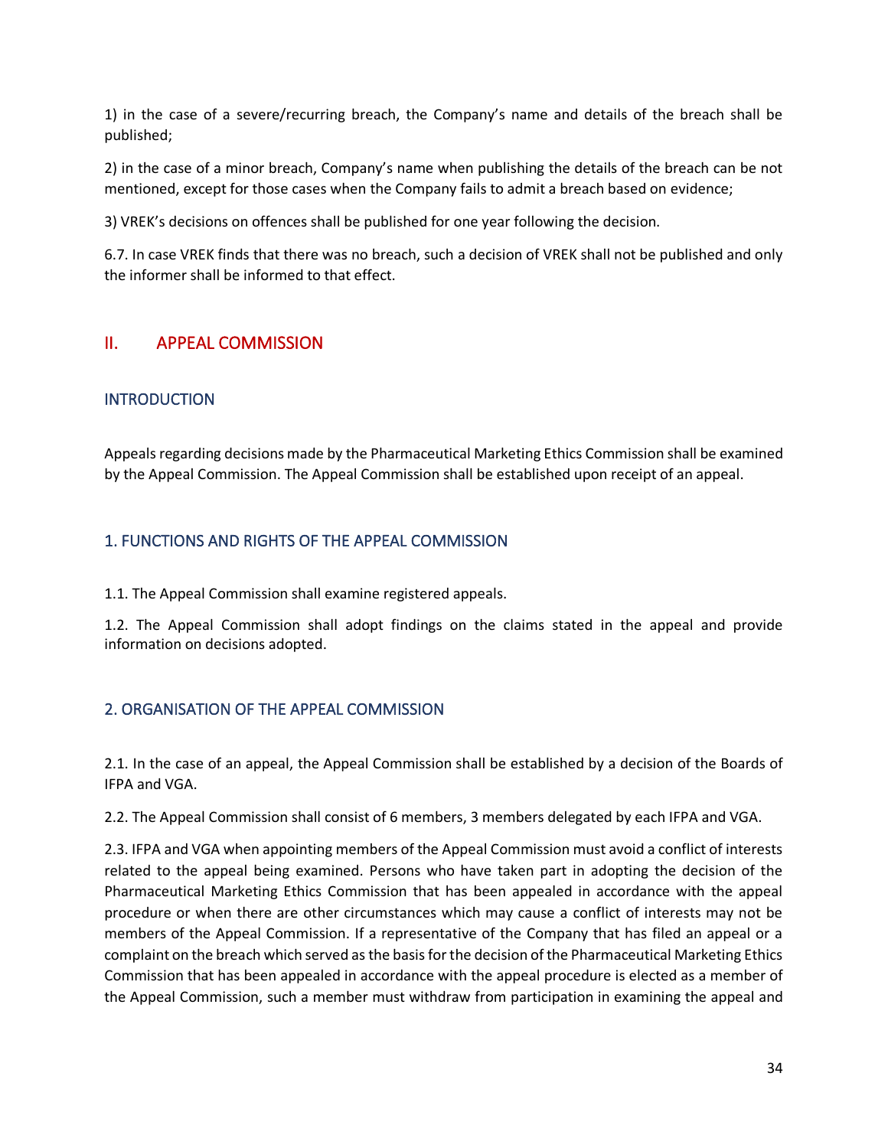1) in the case of a severe/recurring breach, the Company's name and details of the breach shall be published;

2) in the case of a minor breach, Company's name when publishing the details of the breach can be not mentioned, except for those cases when the Company fails to admit a breach based on evidence;

3) VREK's decisions on offences shall be published for one year following the decision.

6.7. In case VREK finds that there was no breach, such a decision of VREK shall not be published and only the informer shall be informed to that effect.

### <span id="page-34-0"></span>II. APPEAL COMMISSION

### <span id="page-34-1"></span>**INTRODUCTION**

Appeals regarding decisions made by the Pharmaceutical Marketing Ethics Commission shall be examined by the Appeal Commission. The Appeal Commission shall be established upon receipt of an appeal.

### <span id="page-34-2"></span>1. FUNCTIONS AND RIGHTS OF THE APPEAL COMMISSION

1.1. The Appeal Commission shall examine registered appeals.

1.2. The Appeal Commission shall adopt findings on the claims stated in the appeal and provide information on decisions adopted.

### <span id="page-34-3"></span>2. ORGANISATION OF THE APPEAL COMMISSION

2.1. In the case of an appeal, the Appeal Commission shall be established by a decision of the Boards of IFPA and VGA.

2.2. The Appeal Commission shall consist of 6 members, 3 members delegated by each IFPA and VGA.

2.3. IFPA and VGA when appointing members of the Appeal Commission must avoid a conflict of interests related to the appeal being examined. Persons who have taken part in adopting the decision of the Pharmaceutical Marketing Ethics Commission that has been appealed in accordance with the appeal procedure or when there are other circumstances which may cause a conflict of interests may not be members of the Appeal Commission. If a representative of the Company that has filed an appeal or a complaint on the breach which served as the basis for the decision of the Pharmaceutical Marketing Ethics Commission that has been appealed in accordance with the appeal procedure is elected as a member of the Appeal Commission, such a member must withdraw from participation in examining the appeal and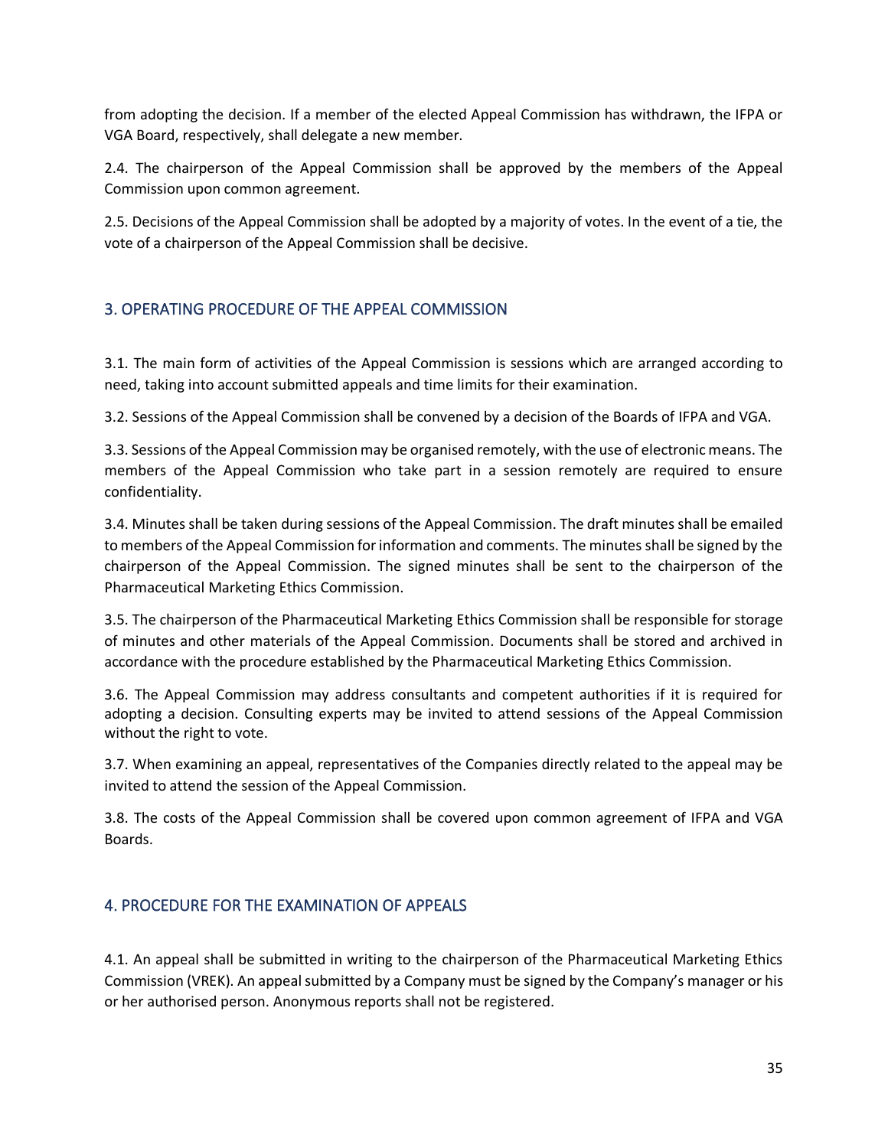from adopting the decision. If a member of the elected Appeal Commission has withdrawn, the IFPA or VGA Board, respectively, shall delegate a new member.

2.4. The chairperson of the Appeal Commission shall be approved by the members of the Appeal Commission upon common agreement.

2.5. Decisions of the Appeal Commission shall be adopted by a majority of votes. In the event of a tie, the vote of a chairperson of the Appeal Commission shall be decisive.

### <span id="page-35-0"></span>3. OPERATING PROCEDURE OF THE APPEAL COMMISSION

3.1. The main form of activities of the Appeal Commission is sessions which are arranged according to need, taking into account submitted appeals and time limits for their examination.

3.2. Sessions of the Appeal Commission shall be convened by a decision of the Boards of IFPA and VGA.

3.3. Sessions of the Appeal Commission may be organised remotely, with the use of electronic means. The members of the Appeal Commission who take part in a session remotely are required to ensure confidentiality.

3.4. Minutes shall be taken during sessions of the Appeal Commission. The draft minutes shall be emailed to members of the Appeal Commission for information and comments. The minutes shall be signed by the chairperson of the Appeal Commission. The signed minutes shall be sent to the chairperson of the Pharmaceutical Marketing Ethics Commission.

3.5. The chairperson of the Pharmaceutical Marketing Ethics Commission shall be responsible for storage of minutes and other materials of the Appeal Commission. Documents shall be stored and archived in accordance with the procedure established by the Pharmaceutical Marketing Ethics Commission.

3.6. The Appeal Commission may address consultants and competent authorities if it is required for adopting a decision. Consulting experts may be invited to attend sessions of the Appeal Commission without the right to vote.

3.7. When examining an appeal, representatives of the Companies directly related to the appeal may be invited to attend the session of the Appeal Commission.

3.8. The costs of the Appeal Commission shall be covered upon common agreement of IFPA and VGA Boards.

### <span id="page-35-1"></span>4. PROCEDURE FOR THE EXAMINATION OF APPEALS

4.1. An appeal shall be submitted in writing to the chairperson of the Pharmaceutical Marketing Ethics Commission (VREK). An appeal submitted by a Company must be signed by the Company's manager or his or her authorised person. Anonymous reports shall not be registered.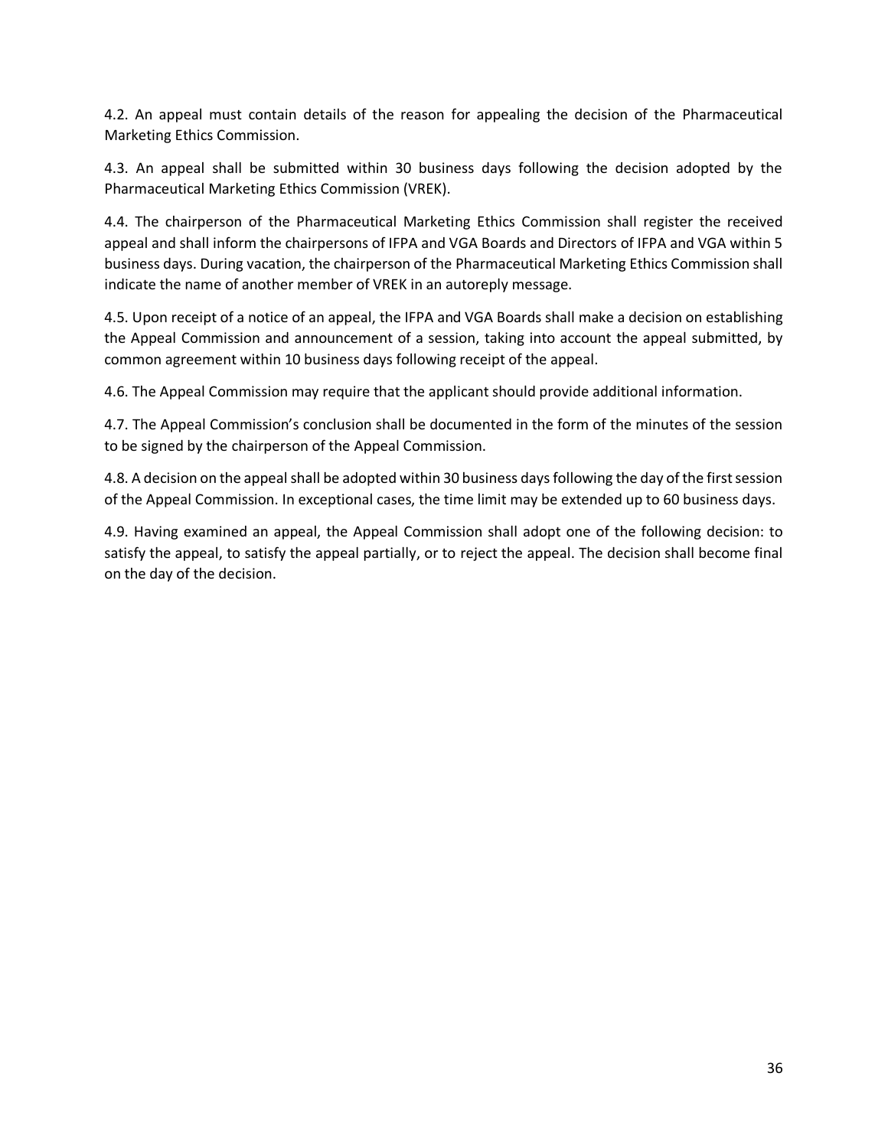4.2. An appeal must contain details of the reason for appealing the decision of the Pharmaceutical Marketing Ethics Commission.

4.3. An appeal shall be submitted within 30 business days following the decision adopted by the Pharmaceutical Marketing Ethics Commission (VREK).

4.4. The chairperson of the Pharmaceutical Marketing Ethics Commission shall register the received appeal and shall inform the chairpersons of IFPA and VGA Boards and Directors of IFPA and VGA within 5 business days. During vacation, the chairperson of the Pharmaceutical Marketing Ethics Commission shall indicate the name of another member of VREK in an autoreply message.

4.5. Upon receipt of a notice of an appeal, the IFPA and VGA Boards shall make a decision on establishing the Appeal Commission and announcement of a session, taking into account the appeal submitted, by common agreement within 10 business days following receipt of the appeal.

4.6. The Appeal Commission may require that the applicant should provide additional information.

4.7. The Appeal Commission's conclusion shall be documented in the form of the minutes of the session to be signed by the chairperson of the Appeal Commission.

4.8. A decision on the appeal shall be adopted within 30 business days following the day of the first session of the Appeal Commission. In exceptional cases, the time limit may be extended up to 60 business days.

4.9. Having examined an appeal, the Appeal Commission shall adopt one of the following decision: to satisfy the appeal, to satisfy the appeal partially, or to reject the appeal. The decision shall become final on the day of the decision.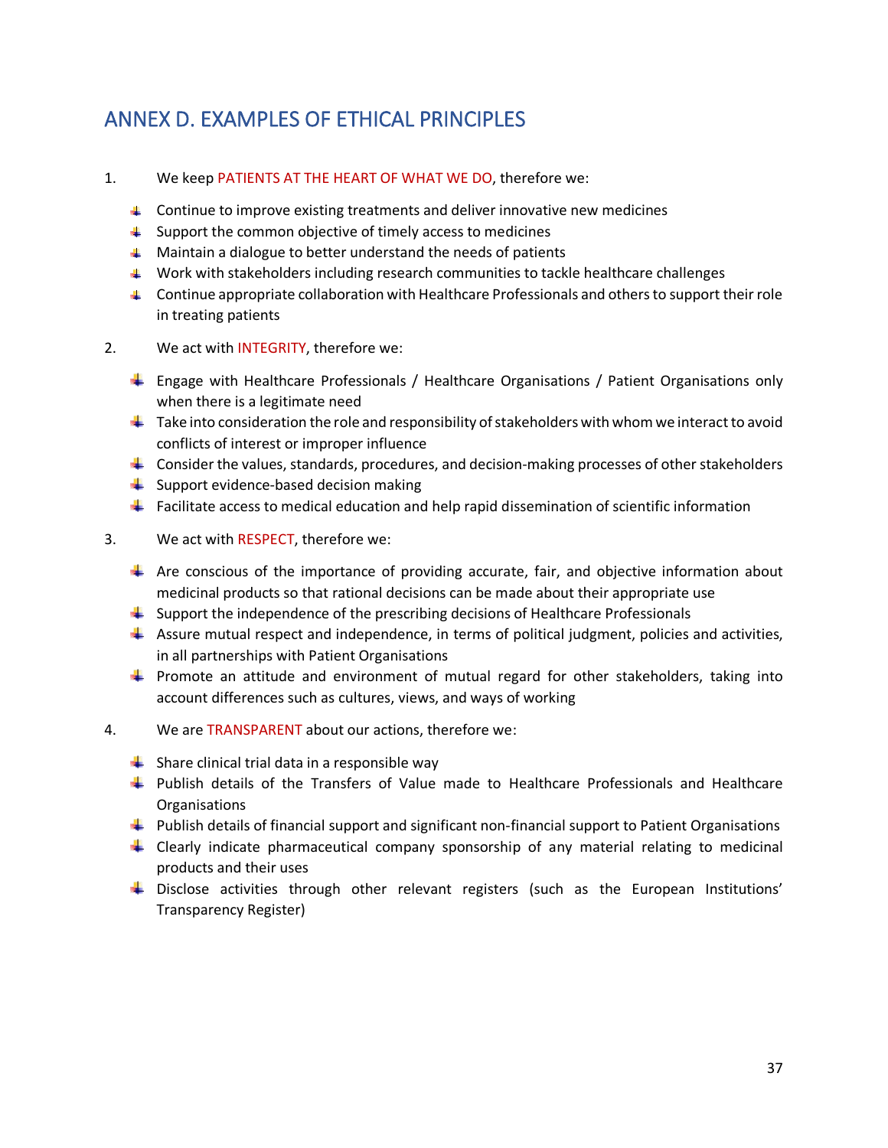# <span id="page-37-0"></span>ANNEX D. EXAMPLES OF ETHICAL PRINCIPLES

- 1. We keep PATIENTS AT THE HEART OF WHAT WE DO, therefore we:
	- Continue to improve existing treatments and deliver innovative new medicines
	- $\uparrow$  Support the common objective of timely access to medicines
	- $\uparrow$  Maintain a dialogue to better understand the needs of patients
	- $\ddot{\bullet}$  Work with stakeholders including research communities to tackle healthcare challenges
	- $\Box$  Continue appropriate collaboration with Healthcare Professionals and others to support their role in treating patients
- 2. We act with INTEGRITY, therefore we:
	- Engage with Healthcare Professionals / Healthcare Organisations / Patient Organisations only when there is a legitimate need
	- $\ddot{\phantom{a}}$  Take into consideration the role and responsibility of stakeholders with whom we interact to avoid conflicts of interest or improper influence
	- $\ddot{\phantom{1}}$  Consider the values, standards, procedures, and decision-making processes of other stakeholders
	- $\triangleq$  Support evidence-based decision making
	- **Facilitate access to medical education and help rapid dissemination of scientific information**
- 3. We act with RESPECT, therefore we:
	- Are conscious of the importance of providing accurate, fair, and objective information about medicinal products so that rational decisions can be made about their appropriate use
	- $\ddot{\phantom{1}}$  Support the independence of the prescribing decisions of Healthcare Professionals
	- $\ddot{\phantom{1}}$  Assure mutual respect and independence, in terms of political judgment, policies and activities, in all partnerships with Patient Organisations
	- **Promote an attitude and environment of mutual regard for other stakeholders, taking into** account differences such as cultures, views, and ways of working
- 4. We are TRANSPARENT about our actions, therefore we:
	- $\triangleq$  Share clinical trial data in a responsible way
	- Publish details of the Transfers of Value made to Healthcare Professionals and Healthcare Organisations
	- $\ddot{\phantom{1}}$  Publish details of financial support and significant non-financial support to Patient Organisations
	- $\ddot{\phantom{1}}$  Clearly indicate pharmaceutical company sponsorship of any material relating to medicinal products and their uses
	- $\ddot{\phantom{1}}$  Disclose activities through other relevant registers (such as the European Institutions' Transparency Register)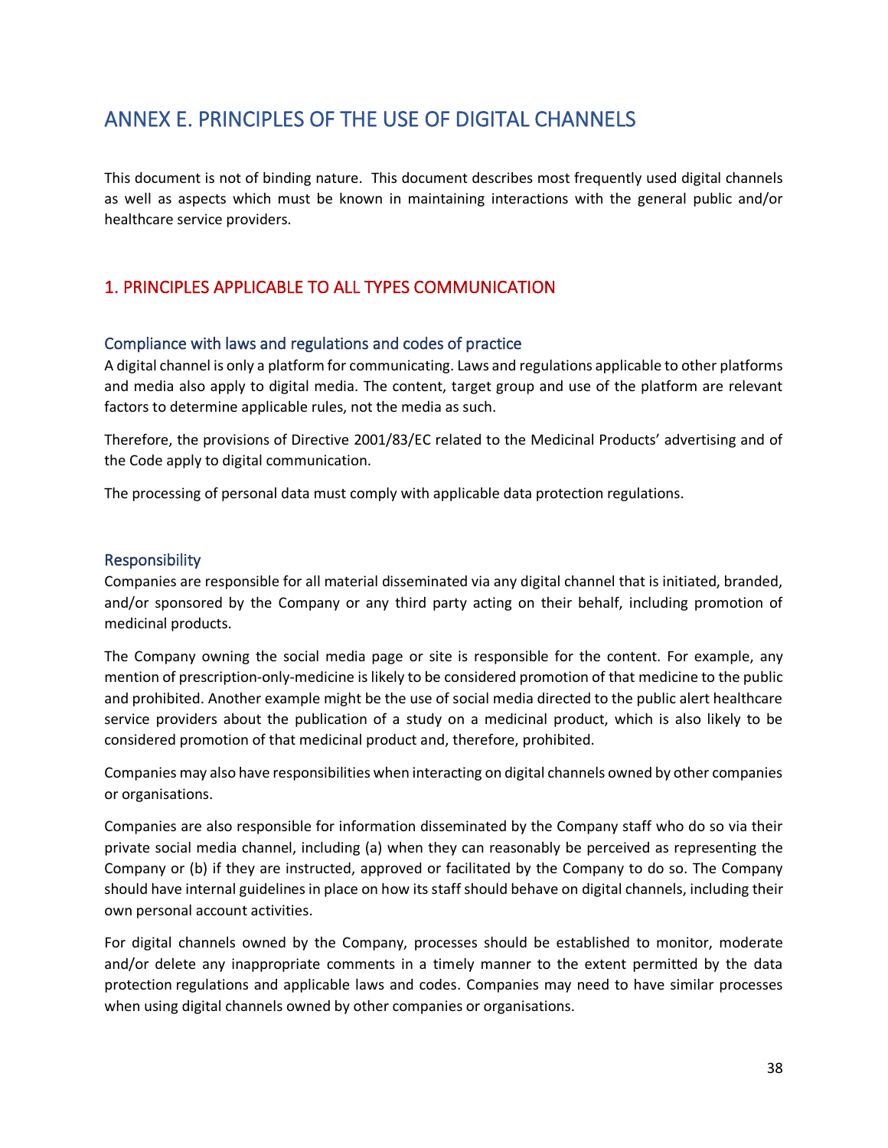# <span id="page-38-0"></span>ANNEX E. PRINCIPLES OF THE USE OF DIGITAL CHANNELS

This document is not of binding nature. This document describes most frequently used digital channels as well as aspects which must be known in maintaining interactions with the general public and/or healthcare service providers.

# <span id="page-38-1"></span>1. PRINCIPLES APPLICABLE TO ALL TYPES COMMUNICATION

### <span id="page-38-2"></span>Compliance with laws and regulations and codes of practice

A digital channel is only a platform for communicating. Laws and regulations applicable to other platforms and media also apply to digital media. The content, target group and use of the platform are relevant factors to determine applicable rules, not the media as such.

Therefore, the provisions of Directive 2001/83/EC related to the Medicinal Products' advertising and of the Code apply to digital communication.

The processing of personal data must comply with applicable data protection regulations.

### <span id="page-38-3"></span>Responsibility

Companies are responsible for all material disseminated via any digital channel that is initiated, branded, and/or sponsored by the Company or any third party acting on their behalf, including promotion of medicinal products.

The Company owning the social media page or site is responsible for the content. For example, any mention of prescription-only-medicine is likely to be considered promotion of that medicine to the public and prohibited. Another example might be the use of social media directed to the public alert healthcare service providers about the publication of a study on a medicinal product, which is also likely to be considered promotion of that medicinal product and, therefore, prohibited.

Companies may also have responsibilities when interacting on digital channels owned by other companies or organisations.

Companies are also responsible for information disseminated by the Company staff who do so via their private social media channel, including (a) when they can reasonably be perceived as representing the Company or (b) if they are instructed, approved or facilitated by the Company to do so. The Company should have internal guidelines in place on how its staff should behave on digital channels, including their own personal account activities.

For digital channels owned by the Company, processes should be established to monitor, moderate and/or delete any inappropriate comments in a timely manner to the extent permitted by the data protection regulations and applicable laws and codes. Companies may need to have similar processes when using digital channels owned by other companies or organisations.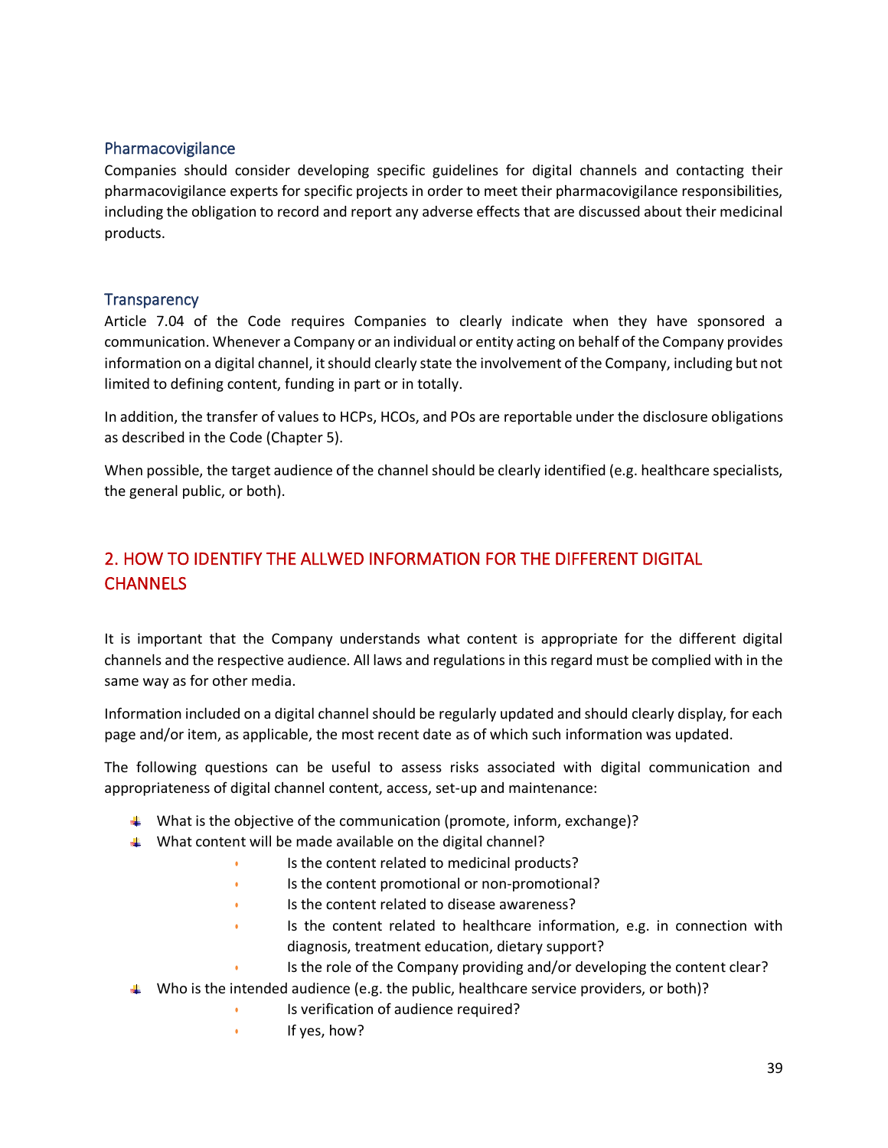### <span id="page-39-0"></span>Pharmacovigilance

Companies should consider developing specific guidelines for digital channels and contacting their pharmacovigilance experts for specific projects in order to meet their pharmacovigilance responsibilities, including the obligation to record and report any adverse effects that are discussed about their medicinal products.

### <span id="page-39-1"></span>**Transparency**

Article 7.04 of the Code requires Companies to clearly indicate when they have sponsored a communication. Whenever a Company or an individual or entity acting on behalf of the Company provides information on a digital channel, it should clearly state the involvement of the Company, including but not limited to defining content, funding in part or in totally.

In addition, the transfer of values to HCPs, HCOs, and POs are reportable under the disclosure obligations as described in the Code (Chapter 5).

When possible, the target audience of the channel should be clearly identified (e.g. healthcare specialists, the general public, or both).

# <span id="page-39-2"></span>2. HOW TO IDENTIFY THE ALLWED INFORMATION FOR THE DIFFERENT DIGITAL **CHANNELS**

It is important that the Company understands what content is appropriate for the different digital channels and the respective audience. All laws and regulations in this regard must be complied with in the same way as for other media.

Information included on a digital channel should be regularly updated and should clearly display, for each page and/or item, as applicable, the most recent date as of which such information was updated.

The following questions can be useful to assess risks associated with digital communication and appropriateness of digital channel content, access, set-up and maintenance:

- What is the objective of the communication (promote, inform, exchange)?
- $\downarrow$  What content will be made available on the digital channel?
	- **•** Is the content related to medicinal products?
	- **•** Is the content promotional or non-promotional?
	- **•** Is the content related to disease awareness?
	- **•** Is the content related to healthcare information, e.g. in connection with diagnosis, treatment education, dietary support?
	- **•** Is the role of the Company providing and/or developing the content clear?
- Who is the intended audience (e.g. the public, healthcare service providers, or both)?
	- **•** Is verification of audience required?
	- **•** If yes, how?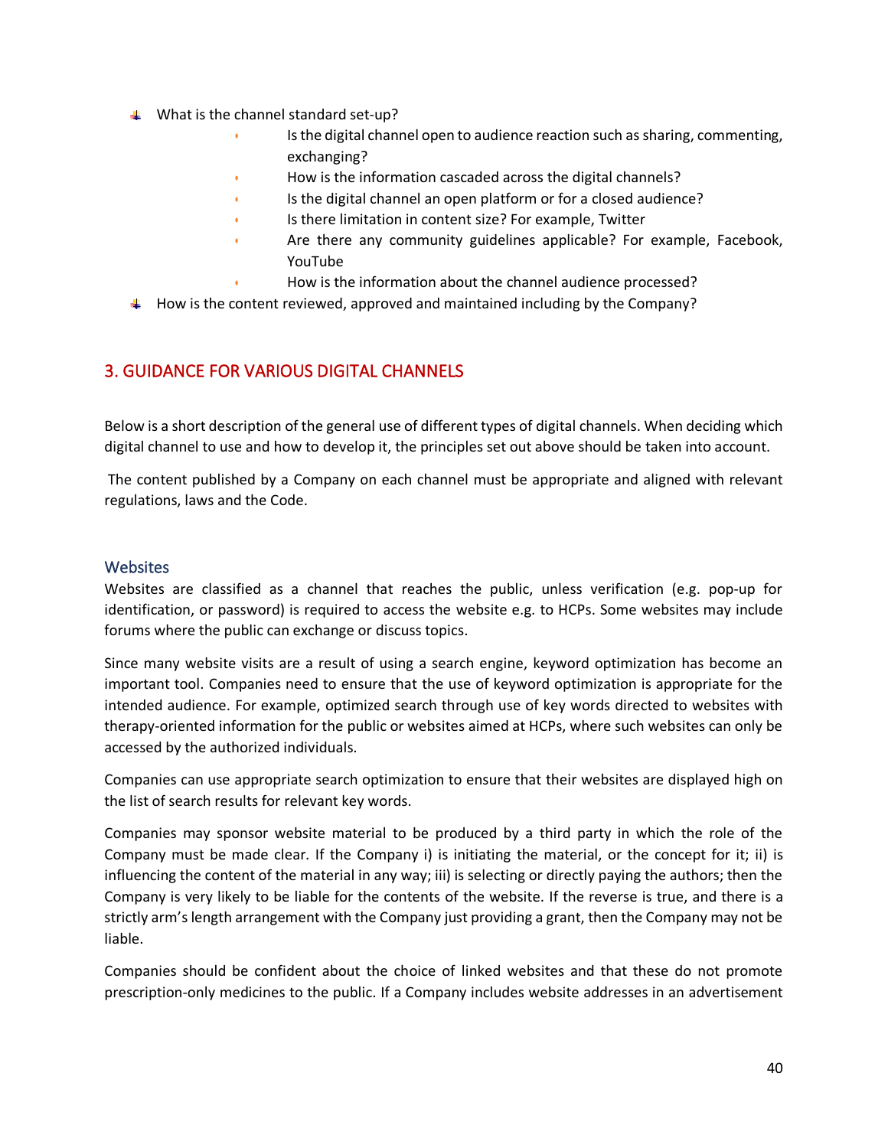- $\downarrow$  What is the channel standard set-up?
	- **•** Is the digital channel open to audience reaction such as sharing, commenting, exchanging?
	- **•** How is the information cascaded across the digital channels?
	- **•** Is the digital channel an open platform or for a closed audience?
	- **•** Is there limitation in content size? For example, Twitter
	- **•** Are there any community guidelines applicable? For example, Facebook, YouTube
		- **•** How is the information about the channel audience processed?
- $\ddot{\phantom{1}}$  How is the content reviewed, approved and maintained including by the Company?

### <span id="page-40-0"></span>3. GUIDANCE FOR VARIOUS DIGITAL CHANNELS

Below is a short description of the general use of different types of digital channels. When deciding which digital channel to use and how to develop it, the principles set out above should be taken into account.

The content published by a Company on each channel must be appropriate and aligned with relevant regulations, laws and the Code.

#### <span id="page-40-1"></span>**Websites**

Websites are classified as a channel that reaches the public, unless verification (e.g. pop-up for identification, or password) is required to access the website e.g. to HCPs. Some websites may include forums where the public can exchange or discuss topics.

Since many website visits are a result of using a search engine, keyword optimization has become an important tool. Companies need to ensure that the use of keyword optimization is appropriate for the intended audience. For example, optimized search through use of key words directed to websites with therapy-oriented information for the public or websites aimed at HCPs, where such websites can only be accessed by the authorized individuals.

Companies can use appropriate search optimization to ensure that their websites are displayed high on the list of search results for relevant key words.

Companies may sponsor website material to be produced by a third party in which the role of the Company must be made clear. If the Company i) is initiating the material, or the concept for it; ii) is influencing the content of the material in any way; iii) is selecting or directly paying the authors; then the Company is very likely to be liable for the contents of the website. If the reverse is true, and there is a strictly arm's length arrangement with the Company just providing a grant, then the Company may not be liable.

Companies should be confident about the choice of linked websites and that these do not promote prescription-only medicines to the public. If a Company includes website addresses in an advertisement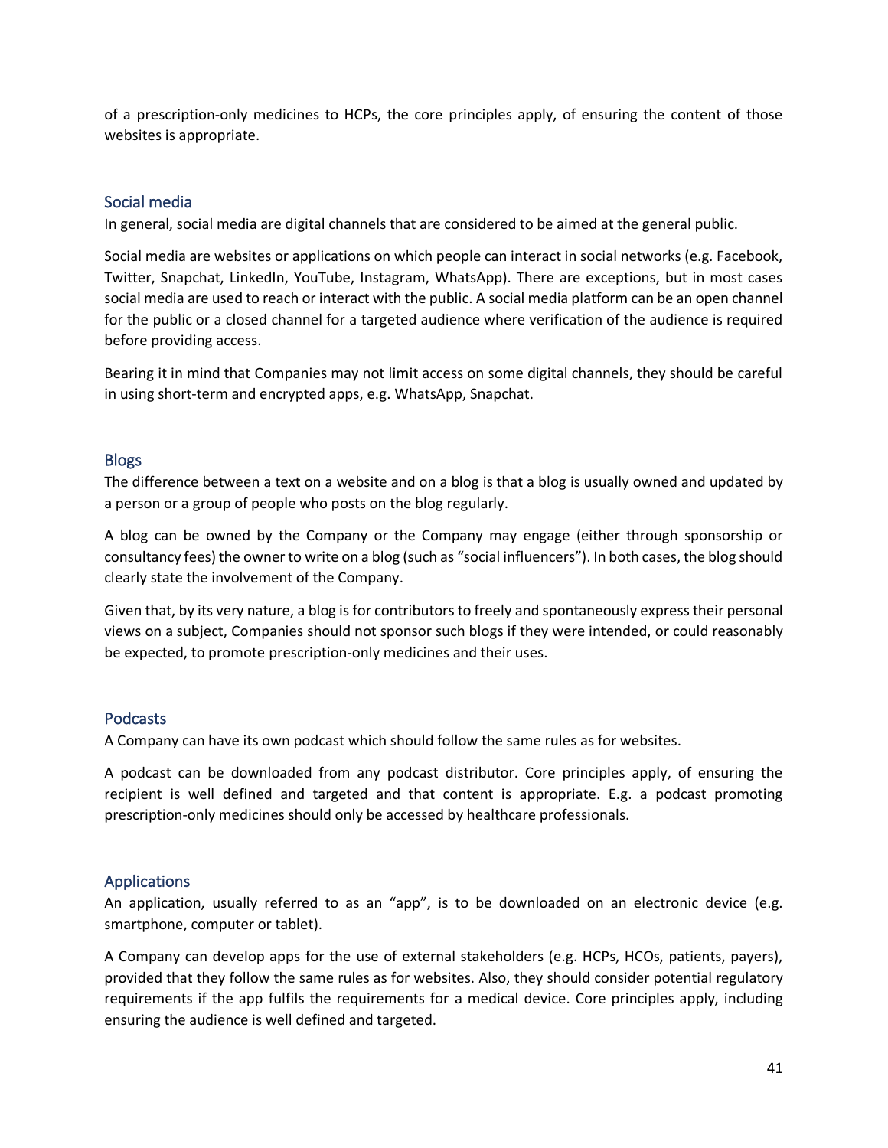of a prescription-only medicines to HCPs, the core principles apply, of ensuring the content of those websites is appropriate.

### <span id="page-41-0"></span>Social media

In general, social media are digital channels that are considered to be aimed at the general public.

Social media are websites or applications on which people can interact in social networks (e.g. Facebook, Twitter, Snapchat, LinkedIn, YouTube, Instagram, WhatsApp). There are exceptions, but in most cases social media are used to reach or interact with the public. A social media platform can be an open channel for the public or a closed channel for a targeted audience where verification of the audience is required before providing access.

Bearing it in mind that Companies may not limit access on some digital channels, they should be careful in using short-term and encrypted apps, e.g. WhatsApp, Snapchat.

### <span id="page-41-1"></span>Blogs

The difference between a text on a website and on a blog is that a blog is usually owned and updated by a person or a group of people who posts on the blog regularly.

A blog can be owned by the Company or the Company may engage (either through sponsorship or consultancy fees) the owner to write on a blog (such as "social influencers"). In both cases, the blog should clearly state the involvement of the Company.

Given that, by its very nature, a blog is for contributors to freely and spontaneously express their personal views on a subject, Companies should not sponsor such blogs if they were intended, or could reasonably be expected, to promote prescription-only medicines and their uses.

### <span id="page-41-2"></span>Podcasts

A Company can have its own podcast which should follow the same rules as for websites.

A podcast can be downloaded from any podcast distributor. Core principles apply, of ensuring the recipient is well defined and targeted and that content is appropriate. E.g. a podcast promoting prescription-only medicines should only be accessed by healthcare professionals.

### <span id="page-41-3"></span>Applications

An application, usually referred to as an "app", is to be downloaded on an electronic device (e.g. smartphone, computer or tablet).

A Company can develop apps for the use of external stakeholders (e.g. HCPs, HCOs, patients, payers), provided that they follow the same rules as for websites. Also, they should consider potential regulatory requirements if the app fulfils the requirements for a medical device. Core principles apply, including ensuring the audience is well defined and targeted.